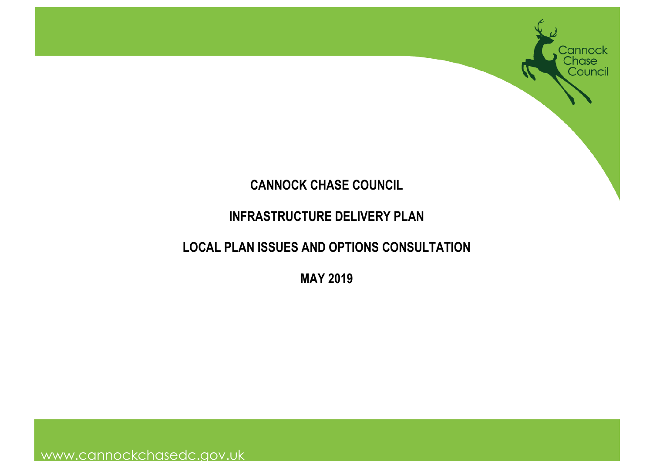

# **CANNOCK CHASE COUNCIL**

# **INFRASTRUCTURE DELIVERY PLAN**

# **LOCAL PLAN ISSUES AND OPTIONS CONSULTATION**

**MAY 2019** 

www.cannockchasedc.gov.uk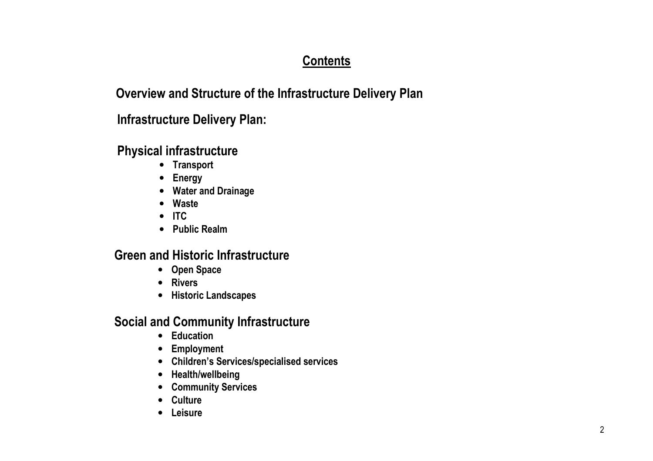# **Contents**

### **Overview and Structure of the Infrastructure Delivery Plan**

# **Infrastructure Delivery Plan:**

### **Physical infrastructure**

- **Transport**
- **Energy**
- **Water and Drainage**
- **Waste**
- **ITC**
- **Public Realm**

# **Green and Historic Infrastructure**

- **Open Space**
- **Rivers**
- **Historic Landscapes**

# **Social and Community Infrastructure**

- **Education**
- **Employment**
- **Children's Services/specialised services**
- **Health/wellbeing**
- **Community Services**
- **Culture**
- **Leisure**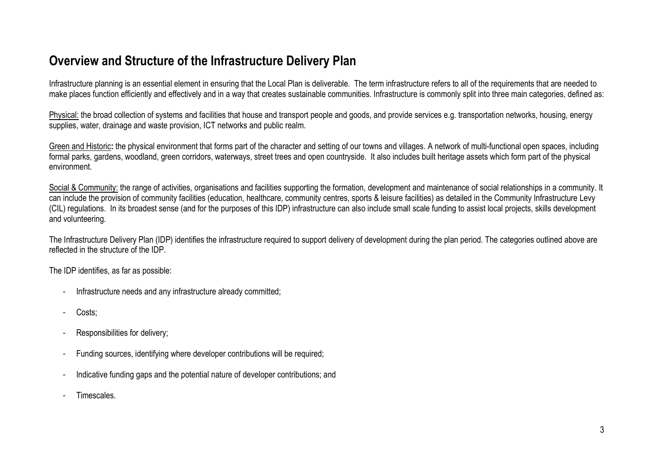# **Overview and Structure of the Infrastructure Delivery Plan**

Infrastructure planning is an essential element in ensuring that the Local Plan is deliverable. The term infrastructure refers to all of the requirements that are needed to make places function efficiently and effectively and in <sup>a</sup> way that creates sustainable communities. Infrastructure is commonly split into three main categories, defined as:

Physical: the broad collection of systems and facilities that house and transport people and goods, and provide services e.g. transportation networks, housing, energy supplies, water, drainage and waste provision, ICT networks and public realm.

Green and Historic**:** the physical environment that forms part of the character and setting of our towns and villages. A network of multi-functional open spaces, including formal parks, gardens, woodland, green corridors, waterways, street trees and open countryside. It also includes built heritage assets which form part of the physical environment.

Social & Community: the range of activities, [organisations](https://Social&Community:therangeofactivities,organisationsandfacilitiessupportingtheformation,developmentandmaintenanceofsocialrelationshipsinacommunity.It) and facilities supporting the formation, development and maintenance of social relationships in a community. It can include the provision of community facilities (education, healthcare, community centres, sports & leisure facilities) as detailed in the Community Infrastructure Levy (CIL) regulations. In its broadest sense (and for the purposes of this IDP) infrastructure can also include small scale funding to assist local projects, skills development and volunteering.

The Infrastructure Delivery Plan (IDP) identifies the infrastructure required to support delivery of development during the plan period. The categories outlined above are reflected in the structure of the IDP.

The IDP identifies, as far as possible:

- Infrastructure needs and any infrastructure already committed;
- -Costs;
- Responsibilities for delivery;
- Funding sources, identifying where developer contributions will be required;
- Indicative funding gaps and the potential nature of developer contributions; and
- **Timescales**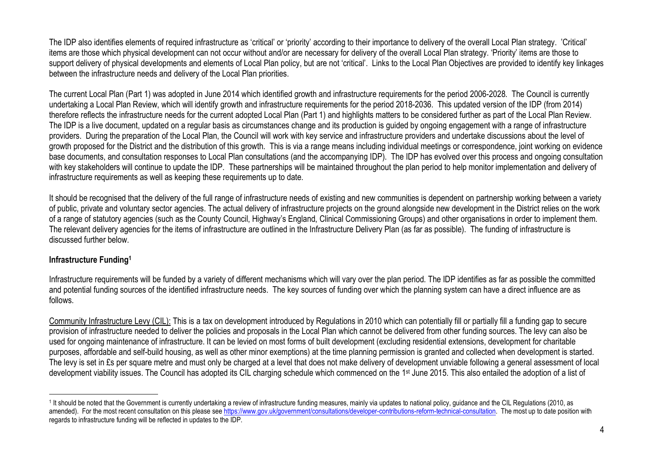The IDP also identifies elements of required infrastructure as 'critical' or 'priority' according to their importance to delivery of the overall Local Plan strategy. 'Critical' items are those which physical development can not occur without and/or are necessary for delivery of the overall Local Plan strategy. 'Priority' items are those to support delivery of physical developments and elements of Local Plan policy, but are not 'critical'. Links to the Local Plan Objectives are provided to identify key linkages between the infrastructure needs and delivery of the Local Plan priorities.

The current Local Plan (Part 1) was adopted in June 2014 which identified growth and infrastructure requirements for the period 2006-2028. The Council is currently undertaking <sup>a</sup> Local Plan Review, which will identify growth and infrastructure requirements for the period 2018-2036. This updated version of the IDP (from 2014) therefore reflects the infrastructure needs for the current adopted Local Plan (Part 1) and highlights matters to be considered further as part of the Local Plan Review. The IDP is <sup>a</sup> live document, updated on <sup>a</sup> regular basis as circumstances change and its production is guided by ongoing engagement with <sup>a</sup> range of infrastructure providers. During the preparation of the Local Plan, the Council will work with key service and infrastructure providers and undertake discussions about the level of growth proposed for the District and the distribution of this growth. This is via <sup>a</sup> range means including individual meetings or correspondence, joint working on evidence base documents, and consultation responses to Local Plan consultations (and the accompanying IDP). The IDP has evolved over this process and ongoing consultation with key stakeholders will continue to update the IDP. These partnerships will be maintained throughout the plan period to help monitor implementation and delivery of infrastructure requirements as well as keeping these requirements up to date.

It should be recognised that the delivery of the full range of infrastructure needs of existing and new communities is dependent on partnership working between <sup>a</sup> variety of public, private and voluntary sector agencies. The actual delivery of infrastructure projects on the ground alongside new development in the District relies on the work of <sup>a</sup> range of statutory agencies (such as the County Council, Highway's England, Clinical Commissioning Groups) and other organisations in order to implement them. The relevant delivery agencies for the items of infrastructure are outlined in the Infrastructure Delivery Plan (as far as possible). The funding of infrastructure is discussed further below.

#### **Infrastructure Funding1**

Infrastructure requirements will be funded by <sup>a</sup> variety of different mechanisms which will vary over the plan period. The IDP identifies as far as possible the committed and potential funding sources of the identified infrastructure needs. The key sources of funding over which the planning system can have <sup>a</sup> direct influence are as follows.

Community Infrastructure Levy (CIL): This is <sup>a</sup> tax on development introduced by Regulations in 2010 which can potentially fill or partially fill <sup>a</sup> funding gap to secure provision of infrastructure needed to deliver the policies and proposals in the Local Plan which cannot be delivered from other funding sources. The levy can also be used for ongoing maintenance of infrastructure. It can be levied on most forms of built development (excluding residential extensions, development for charitable purposes, affordable and self-build housing, as well as other minor exemptions) at the time planning permission is granted and collected when development is started. The levy is set in £s per square metre and must only be charged at <sup>a</sup> level that does not make delivery of development unviable following <sup>a</sup> general assessment of local development viability issues. The Council has adopted its CIL charging schedule which commenced on the 1<sup>st</sup> June 2015. This also entailed the adoption of a list of

<sup>1</sup> It should be noted that the Government is currently undertaking <sup>a</sup> review of infrastructure funding measures, mainly via updates to national policy, guidance and the CIL Regulations (2010, as amended). For the most recent consultation on this please see https://www.gov.uk/government/consultations/developer-contributions-reform-technical-consultation. The most up to date position with regards to infrastructure funding will be reflected in updates to the IDP.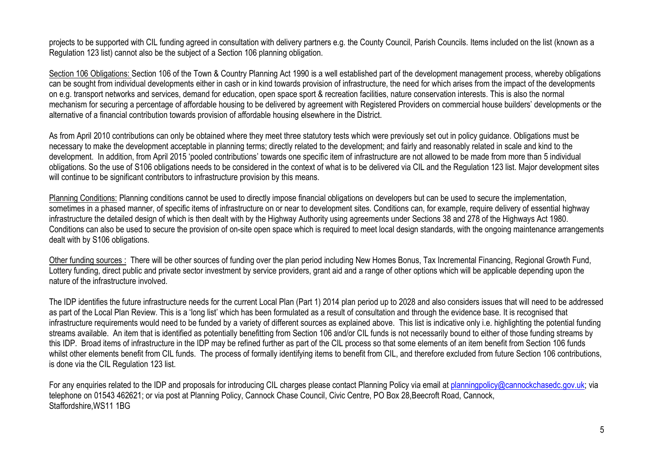projects to be supported with CIL funding agreed in consultation with delivery partners e.g. the County Council, Parish Councils. Items included on the list (known as <sup>a</sup> Regulation 123 list) cannot also be the subject of <sup>a</sup> Section 106 planning obligation.

Section 106 Obligations: Section 106 of the Town & Country Planning Act 1990 is <sup>a</sup> well established part of the development management process, whereby obligations can be sought from individual developments either in cash or in kind towards provision of infrastructure, the need for which arises from the impact of the developments on e.g. transport networks and services, demand for education, open space sport & recreation facilities, nature conservation interests. This is also the normal mechanism for securing <sup>a</sup> percentage of affordable housing to be delivered by agreement with Registered Providers on commercial house builders' developments or the alternative of <sup>a</sup> financial contribution towards provision of affordable housing elsewhere in the District.

As from April 2010 contributions can only be obtained where they meet three statutory tests which were previously set out in policy guidance. Obligations must be necessary to make the development acceptable in planning terms; directly related to the development; and fairly and reasonably related in scale and kind to the development. In addition, from April 2015 'pooled contributions' towards one specific item of infrastructure are not allowed to be made from more than 5 individual obligations. So the use of S106 obligations needs to be considered in the context of what is to be delivered via CIL and the Regulation 123 list. Major development sites will continue to be significant contributors to infrastructure provision by this means.

Planning Conditions: Planning conditions cannot be used to directly impose financial obligations on developers but can be used to secure the implementation, sometimes in <sup>a</sup> phased manner, of specific items of infrastructure on or near to development sites. Conditions can, for example, require delivery of essential highway infrastructure the detailed design of which is then dealt with by the Highway Authority using agreements under Sections 38 and 278 of the Highways Act 1980. Conditions can also be used to secure the provision of on-site open space which is required to meet local design standards, with the ongoing maintenance arrangements dealt with by S106 obligations.

Other funding sources : There will be other sources of funding over the plan period including New Homes Bonus, Tax Incremental Financing, Regional Growth Fund, Lottery funding, direct public and private sector investment by service providers, grant aid and <sup>a</sup> range of other options which will be applicable depending upon the nature of the infrastructure involved.

The IDP identifies the future infrastructure needs for the current Local Plan (Part 1) 2014 plan period up to 2028 and also considers issues that will need to be addressed as part of the Local Plan Review. This is <sup>a</sup> 'long list' which has been formulated as <sup>a</sup> result of consultation and through the evidence base. It is recognised that infrastructure requirements would need to be funded by <sup>a</sup> variety of different sources as explained above. This list is indicative only i.e. highlighting the potential funding streams available. An item that is identified as potentially benefitting from Section 106 and/or CIL funds is not necessarily bound to either of those funding streams by this IDP. Broad items of infrastructure in the IDP may be refined further as part of the CIL process so that some elements of an item benefit from Section 106 funds whilst other elements benefit from CIL funds. The process of formally identifying items to benefit from CIL, and therefore excluded from future Section 106 contributions, is done via the CIL Regulation 123 list.

For any enquiries related to the IDP and proposals for introducing CIL charges please contact Planning Policy via email at planningpolicy@cannockchasedc.gov.uk; via telephone on 01543 462621; or via post at Planning Policy, Cannock Chase Council, Civic Centre, PO Box 28,Beecroft Road, Cannock, Staffordshire,WS11 1BG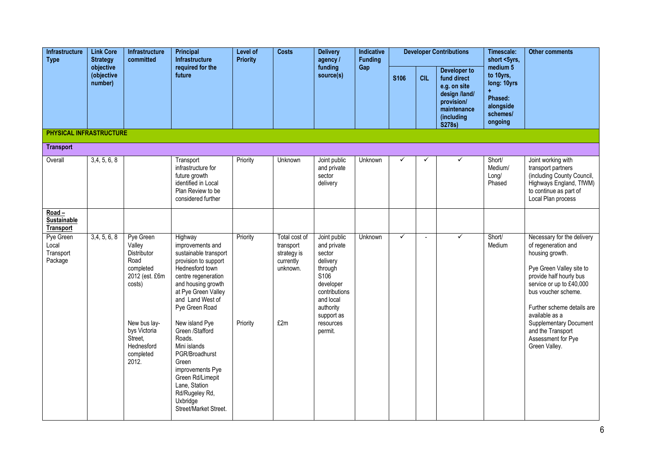| <b>Infrastructure</b><br><b>Type</b>               | <b>Link Core</b><br><b>Strategy</b> | Infrastructure<br>committed                                                                                                                                        | Principal<br>Infrastructure                                                                                                                                                                                                                                                                                                                                                                                         | Level of<br><b>Priority</b> | <b>Costs</b>                                                              | <b>Delivery</b><br>agency /                                                                                                                                                    | Indicative<br><b>Funding</b> |              |            | <b>Developer Contributions</b>                                                                                    | Timescale:<br>short <5yrs,                                                                     | <b>Other comments</b>                                                                                                                                                                                                                                                                                                       |
|----------------------------------------------------|-------------------------------------|--------------------------------------------------------------------------------------------------------------------------------------------------------------------|---------------------------------------------------------------------------------------------------------------------------------------------------------------------------------------------------------------------------------------------------------------------------------------------------------------------------------------------------------------------------------------------------------------------|-----------------------------|---------------------------------------------------------------------------|--------------------------------------------------------------------------------------------------------------------------------------------------------------------------------|------------------------------|--------------|------------|-------------------------------------------------------------------------------------------------------------------|------------------------------------------------------------------------------------------------|-----------------------------------------------------------------------------------------------------------------------------------------------------------------------------------------------------------------------------------------------------------------------------------------------------------------------------|
|                                                    | objective<br>(objective<br>number)  |                                                                                                                                                                    | required for the<br>future                                                                                                                                                                                                                                                                                                                                                                                          |                             |                                                                           | funding<br>source(s)                                                                                                                                                           | Gap                          | <b>S106</b>  | <b>CIL</b> | Developer to<br>fund direct<br>e.g. on site<br>design /land/<br>provision/<br>maintenance<br>(including<br>S278s) | medium <sub>5</sub><br>to 10yrs,<br>long: 10yrs<br>Phased:<br>alongside<br>schemes/<br>ongoing |                                                                                                                                                                                                                                                                                                                             |
| <b>PHYSICAL INFRASTRUCTURE</b>                     |                                     |                                                                                                                                                                    |                                                                                                                                                                                                                                                                                                                                                                                                                     |                             |                                                                           |                                                                                                                                                                                |                              |              |            |                                                                                                                   |                                                                                                |                                                                                                                                                                                                                                                                                                                             |
| <b>Transport</b>                                   |                                     |                                                                                                                                                                    |                                                                                                                                                                                                                                                                                                                                                                                                                     |                             |                                                                           |                                                                                                                                                                                |                              |              |            |                                                                                                                   |                                                                                                |                                                                                                                                                                                                                                                                                                                             |
| Overall                                            | 3,4,5,6,8                           |                                                                                                                                                                    | Transport<br>infrastructure for<br>future growth<br>identified in Local<br>Plan Review to be<br>considered further                                                                                                                                                                                                                                                                                                  | Priority                    | Unknown                                                                   | Joint public<br>and private<br>sector<br>delivery                                                                                                                              | Unknown                      | ✓            | ✓          | ✓                                                                                                                 | Short/<br>Medium/<br>Long/<br>Phased                                                           | Joint working with<br>transport partners<br>(including County Council,<br>Highways England, TfWM)<br>to continue as part of<br>Local Plan process                                                                                                                                                                           |
| $Road -$<br><b>Sustainable</b><br><b>Transport</b> |                                     |                                                                                                                                                                    |                                                                                                                                                                                                                                                                                                                                                                                                                     |                             |                                                                           |                                                                                                                                                                                |                              |              |            |                                                                                                                   |                                                                                                |                                                                                                                                                                                                                                                                                                                             |
| Pye Green<br>Local<br>Transport<br>Package         | 3,4,5,6,8                           | Pye Green<br>Valley<br>Distributor<br>Road<br>completed<br>2012 (est. £6m<br>costs)<br>New bus lay-<br>bys Victoria<br>Street,<br>Hednesford<br>completed<br>2012. | Highway<br>improvements and<br>sustainable transport<br>provision to support<br>Hednesford town<br>centre regeneration<br>and housing growth<br>at Pye Green Valley<br>and Land West of<br>Pye Green Road<br>New island Pye<br>Green /Stafford<br>Roads.<br>Mini islands<br>PGR/Broadhurst<br>Green<br>improvements Pye<br>Green Rd/Limepit<br>Lane, Station<br>Rd/Rugeley Rd,<br>Uxbridge<br>Street/Market Street. | Priority<br>Priority        | Total cost of<br>transport<br>strategy is<br>currently<br>unknown.<br>£2m | Joint public<br>and private<br>sector<br>delivery<br>through<br>S <sub>106</sub><br>developer<br>contributions<br>and local<br>authority<br>support as<br>resources<br>permit. | Unknown                      | $\checkmark$ |            | ✓                                                                                                                 | Short/<br>Medium                                                                               | Necessary for the delivery<br>of regeneration and<br>housing growth.<br>Pye Green Valley site to<br>provide half hourly bus<br>service or up to £40,000<br>bus voucher scheme.<br>Further scheme details are<br>available as a<br><b>Supplementary Document</b><br>and the Transport<br>Assessment for Pye<br>Green Valley. |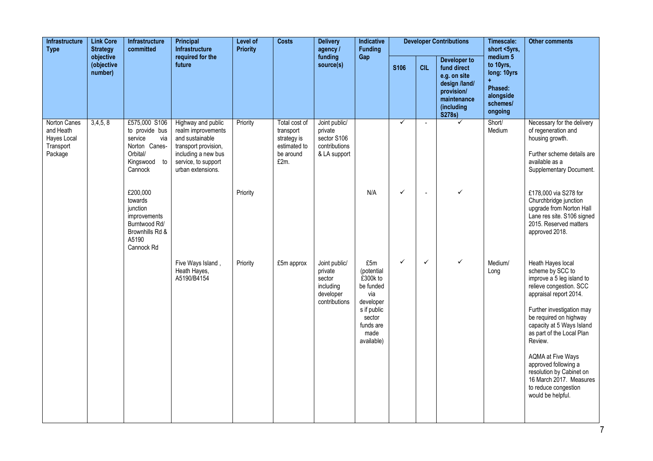| <b>Link Core</b><br><b>Infrastructure</b><br><b>Strategy</b><br><b>Type</b><br>objective | Infrastructure<br>committed | Principal<br><b>Infrastructure</b>                                                                                                           | Level of<br><b>Priority</b>                                                                                                                            | <b>Costs</b>         | <b>Delivery</b><br>agency /                                                    | <b>Indicative</b><br><b>Funding</b>                                           |                                                                                                                            |              | <b>Developer Contributions</b> | Timescale:<br>short <5yrs,                                                                                        | <b>Other comments</b>                                                               |                                                                                                                                                                                                                                                                                                                                                                                                             |
|------------------------------------------------------------------------------------------|-----------------------------|----------------------------------------------------------------------------------------------------------------------------------------------|--------------------------------------------------------------------------------------------------------------------------------------------------------|----------------------|--------------------------------------------------------------------------------|-------------------------------------------------------------------------------|----------------------------------------------------------------------------------------------------------------------------|--------------|--------------------------------|-------------------------------------------------------------------------------------------------------------------|-------------------------------------------------------------------------------------|-------------------------------------------------------------------------------------------------------------------------------------------------------------------------------------------------------------------------------------------------------------------------------------------------------------------------------------------------------------------------------------------------------------|
|                                                                                          | (objective<br>number)       |                                                                                                                                              | required for the<br>future                                                                                                                             |                      |                                                                                | funding<br>source(s)                                                          | Gap                                                                                                                        | <b>S106</b>  | <b>CIL</b>                     | Developer to<br>fund direct<br>e.g. on site<br>design /land/<br>provision/<br>maintenance<br>(including<br>S278s) | medium 5<br>to 10yrs,<br>long: 10yrs<br>Phased:<br>alongside<br>schemes/<br>ongoing |                                                                                                                                                                                                                                                                                                                                                                                                             |
| Norton Canes<br>and Heath<br>Hayes Local<br>Transport<br>Package                         | 3,4,5,8                     | £575,000 S106<br>to provide bus<br>service<br>via<br>Norton Canes-<br>Orbital/<br>Kingswood to<br>Cannock<br>£200,000<br>towards<br>junction | Highway and public<br>realm improvements<br>and sustainable<br>transport provision,<br>including a new bus<br>service, to support<br>urban extensions. | Priority<br>Priority | Total cost of<br>transport<br>strategy is<br>estimated to<br>be around<br>£2m. | Joint public/<br>private<br>sector S106<br>contributions<br>& LA support      | N/A                                                                                                                        | ✓<br>✓       | $\overline{\phantom{a}}$       | $\checkmark$<br>✓                                                                                                 | Short/<br>Medium                                                                    | Necessary for the delivery<br>of regeneration and<br>housing growth.<br>Further scheme details are<br>available as a<br>Supplementary Document.<br>£178,000 via S278 for<br>Churchbridge junction<br>upgrade from Norton Hall                                                                                                                                                                               |
|                                                                                          |                             | improvements<br>Burntwood Rd/<br>Brownhills Rd &<br>A5190<br>Cannock Rd                                                                      |                                                                                                                                                        |                      |                                                                                |                                                                               |                                                                                                                            |              |                                |                                                                                                                   |                                                                                     | Lane res site. S106 signed<br>2015. Reserved matters<br>approved 2018.                                                                                                                                                                                                                                                                                                                                      |
|                                                                                          |                             |                                                                                                                                              | Five Ways Island,<br>Heath Hayes,<br>A5190/B4154                                                                                                       | Priority             | £5m approx                                                                     | Joint public/<br>private<br>sector<br>including<br>developer<br>contributions | £5m<br>(potential<br>£300k to<br>be funded<br>via<br>developer<br>s if public<br>sector<br>funds are<br>made<br>available) | $\checkmark$ | $\checkmark$                   | ✓                                                                                                                 | Medium/<br>Long                                                                     | Heath Hayes local<br>scheme by SCC to<br>improve a 5 leg island to<br>relieve congestion. SCC<br>appraisal report 2014.<br>Further investigation may<br>be required on highway<br>capacity at 5 Ways Island<br>as part of the Local Plan<br>Review.<br><b>AQMA at Five Ways</b><br>approved following a<br>resolution by Cabinet on<br>16 March 2017. Measures<br>to reduce congestion<br>would be helpful. |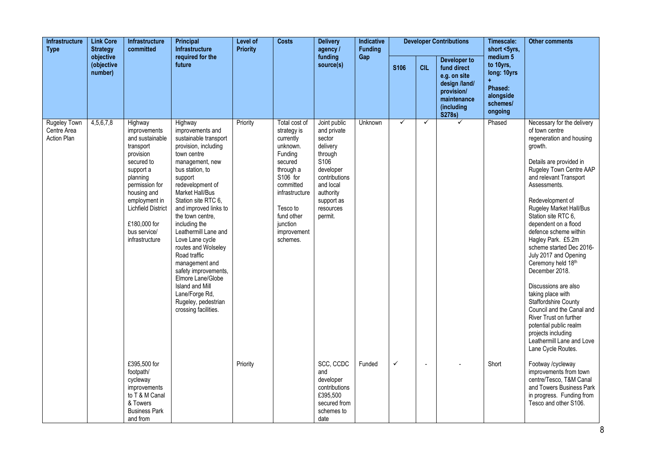| <b>Infrastructure</b><br><b>Type</b>              | <b>Link Core</b><br><b>Strategy</b> | <b>Infrastructure</b><br>committed                                                                                                                                                                                                           | Principal<br><b>Infrastructure</b>                                                                                                                                                                                                                                                                                                                                                                                                                                                                            | Level of<br><b>Priority</b> | <b>Costs</b>                                                                                                                                                                                         | <b>Delivery</b><br>agency /                                                                                                                                                    | Indicative<br><b>Funding</b> |              |                | <b>Developer Contributions</b>                                                                                    | Timescale:<br>short <5yrs,                                                          | <b>Other comments</b>                                                                                                                                                                                                                                                                                                                                                                                                                                                                                                                                                                                                                                               |
|---------------------------------------------------|-------------------------------------|----------------------------------------------------------------------------------------------------------------------------------------------------------------------------------------------------------------------------------------------|---------------------------------------------------------------------------------------------------------------------------------------------------------------------------------------------------------------------------------------------------------------------------------------------------------------------------------------------------------------------------------------------------------------------------------------------------------------------------------------------------------------|-----------------------------|------------------------------------------------------------------------------------------------------------------------------------------------------------------------------------------------------|--------------------------------------------------------------------------------------------------------------------------------------------------------------------------------|------------------------------|--------------|----------------|-------------------------------------------------------------------------------------------------------------------|-------------------------------------------------------------------------------------|---------------------------------------------------------------------------------------------------------------------------------------------------------------------------------------------------------------------------------------------------------------------------------------------------------------------------------------------------------------------------------------------------------------------------------------------------------------------------------------------------------------------------------------------------------------------------------------------------------------------------------------------------------------------|
|                                                   | objective<br>(objective<br>number)  |                                                                                                                                                                                                                                              | required for the<br>future                                                                                                                                                                                                                                                                                                                                                                                                                                                                                    |                             |                                                                                                                                                                                                      | funding<br>source(s)                                                                                                                                                           | Gap                          | <b>S106</b>  | <b>CIL</b>     | Developer to<br>fund direct<br>e.g. on site<br>design /land/<br>provision/<br>maintenance<br>(including<br>S278s) | medium 5<br>to 10yrs,<br>long: 10yrs<br>Phased:<br>alongside<br>schemes/<br>ongoing |                                                                                                                                                                                                                                                                                                                                                                                                                                                                                                                                                                                                                                                                     |
| <b>Rugeley Town</b><br>Centre Area<br>Action Plan | 4,5,6,7,8                           | Highway<br>improvements<br>and sustainable<br>transport<br>provision<br>secured to<br>support a<br>planning<br>permission for<br>housing and<br>employment in<br><b>Lichfield District</b><br>£180,000 for<br>bus service/<br>infrastructure | Highway<br>improvements and<br>sustainable transport<br>provision, including<br>town centre<br>management, new<br>bus station, to<br>support<br>redevelopment of<br>Market Hall/Bus<br>Station site RTC 6,<br>and improved links to<br>the town centre,<br>including the<br>Leathermill Lane and<br>Love Lane cycle<br>routes and Wolseley<br>Road traffic<br>management and<br>safety improvements.<br>Elmore Lane/Globe<br>Island and Mill<br>Lane/Forge Rd,<br>Rugeley, pedestrian<br>crossing facilities. | Priority                    | Total cost of<br>strategy is<br>currently<br>unknown.<br>Funding<br>secured<br>through a<br>S106 for<br>committed<br>infrastructure<br>Tesco to<br>fund other<br>junction<br>improvement<br>schemes. | Joint public<br>and private<br>sector<br>delivery<br>through<br>S <sub>106</sub><br>developer<br>contributions<br>and local<br>authority<br>support as<br>resources<br>permit. | Unknown                      | $\checkmark$ | $\checkmark$   | ✓                                                                                                                 | Phased                                                                              | Necessary for the delivery<br>of town centre<br>regeneration and housing<br>growth.<br>Details are provided in<br>Rugeley Town Centre AAP<br>and relevant Transport<br>Assessments.<br>Redevelopment of<br>Rugeley Market Hall/Bus<br>Station site RTC 6,<br>dependent on a flood<br>defence scheme within<br>Hagley Park. £5.2m<br>scheme started Dec 2016-<br>July 2017 and Opening<br>Ceremony held 18th<br>December 2018.<br>Discussions are also<br>taking place with<br><b>Staffordshire County</b><br>Council and the Canal and<br>River Trust on further<br>potential public realm<br>projects including<br>Leathermill Lane and Love<br>Lane Cycle Routes. |
|                                                   |                                     | £395,500 for<br>footpath/<br>cycleway<br>improvements<br>to T & M Canal<br>& Towers<br><b>Business Park</b><br>and from                                                                                                                      |                                                                                                                                                                                                                                                                                                                                                                                                                                                                                                               | Priority                    |                                                                                                                                                                                                      | SCC, CCDC<br>and<br>developer<br>contributions<br>£395,500<br>secured from<br>schemes to<br>date                                                                               | Funded                       | ✓            | $\blacksquare$ |                                                                                                                   | Short                                                                               | Footway /cycleway<br>improvements from town<br>centre/Tesco. T&M Canal<br>and Towers Business Park<br>in progress. Funding from<br>Tesco and other S106.                                                                                                                                                                                                                                                                                                                                                                                                                                                                                                            |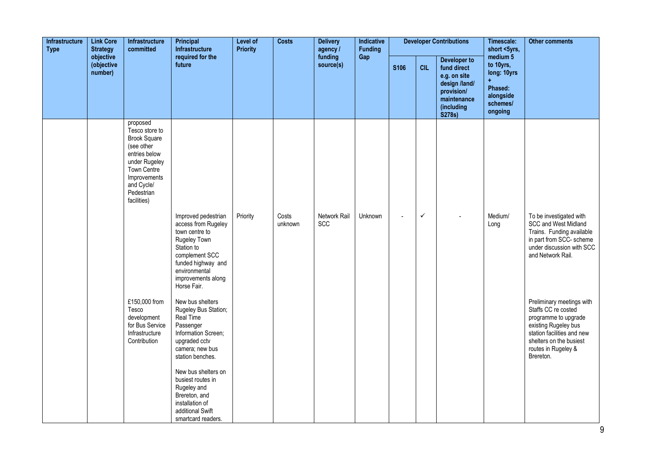| Infrastructure<br><b>Link Core</b><br><b>Strategy</b><br><b>Type</b><br>objective | Infrastructure<br>committed | Principal<br><b>Infrastructure</b>                                                                                                                                          | Level of<br><b>Priority</b>                                                                                                                                                                                                   | <b>Costs</b> | <b>Delivery</b><br>agency / | Indicative<br><b>Funding</b> |         |             | <b>Developer Contributions</b> | Timescale:<br>short <5yrs,                                                                                               | <b>Other comments</b>                                                                          |                                                                                                                                                                                               |
|-----------------------------------------------------------------------------------|-----------------------------|-----------------------------------------------------------------------------------------------------------------------------------------------------------------------------|-------------------------------------------------------------------------------------------------------------------------------------------------------------------------------------------------------------------------------|--------------|-----------------------------|------------------------------|---------|-------------|--------------------------------|--------------------------------------------------------------------------------------------------------------------------|------------------------------------------------------------------------------------------------|-----------------------------------------------------------------------------------------------------------------------------------------------------------------------------------------------|
|                                                                                   | (objective<br>number)       |                                                                                                                                                                             | required for the<br>future                                                                                                                                                                                                    |              |                             | funding<br>source(s)         | Gap     | <b>S106</b> | <b>CIL</b>                     | <b>Developer to</b><br>fund direct<br>e.g. on site<br>design /land/<br>provision/<br>maintenance<br>(including<br>S278s) | medium <sub>5</sub><br>to 10yrs,<br>long: 10yrs<br>Phased:<br>alongside<br>schemes/<br>ongoing |                                                                                                                                                                                               |
|                                                                                   |                             | proposed<br>Tesco store to<br><b>Brook Square</b><br>(see other<br>entries below<br>under Rugeley<br>Town Centre<br>Improvements<br>and Cycle/<br>Pedestrian<br>facilities) |                                                                                                                                                                                                                               |              |                             |                              |         |             |                                |                                                                                                                          |                                                                                                |                                                                                                                                                                                               |
|                                                                                   |                             |                                                                                                                                                                             | Improved pedestrian<br>access from Rugeley<br>town centre to<br>Rugeley Town<br>Station to<br>complement SCC<br>funded highway and<br>environmental<br>improvements along<br>Horse Fair.                                      | Priority     | Costs<br>unknown            | Network Rail<br>SCC          | Unknown | $\sim$      | ✓                              |                                                                                                                          | Medium/<br>Long                                                                                | To be investigated with<br><b>SCC and West Midland</b><br>Trains. Funding available<br>in part from SCC- scheme<br>under discussion with SCC<br>and Network Rail.                             |
|                                                                                   |                             | £150,000 from<br>Tesco<br>development<br>for Bus Service<br>Infrastructure<br>Contribution                                                                                  | New bus shelters<br>Rugeley Bus Station;<br>Real Time<br>Passenger<br>Information Screen;<br>upgraded cctv<br>camera; new bus<br>station benches.<br>New bus shelters on<br>busiest routes in<br>Rugeley and<br>Brereton, and |              |                             |                              |         |             |                                |                                                                                                                          |                                                                                                | Preliminary meetings with<br>Staffs CC re costed<br>programme to upgrade<br>existing Rugeley bus<br>station facilities and new<br>shelters on the busiest<br>routes in Rugeley &<br>Brereton. |
|                                                                                   |                             |                                                                                                                                                                             | installation of<br>additional Swift<br>smartcard readers.                                                                                                                                                                     |              |                             |                              |         |             |                                |                                                                                                                          |                                                                                                |                                                                                                                                                                                               |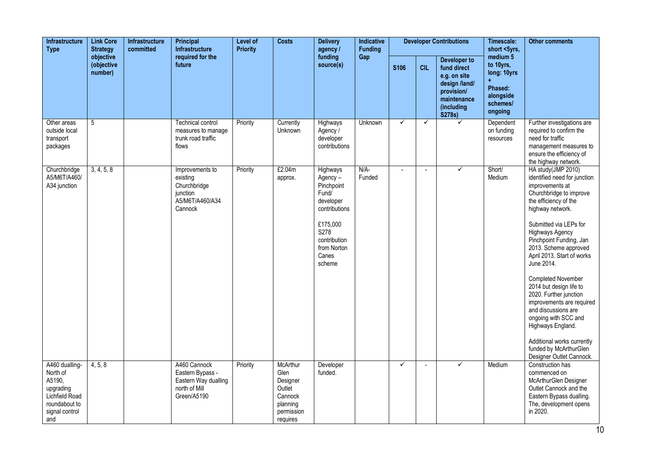| <b>Link Core</b><br><b>Infrastructure</b><br><b>Type</b><br><b>Strategy</b><br>objective                      | <b>Infrastructure</b><br>committed | <b>Principal</b><br>Infrastructure | Level of<br><b>Priority</b>                                                              | <b>Costs</b> | <b>Delivery</b><br>agency /                                                             | <b>Indicative</b><br><b>Funding</b>                                                                                                            |                  |              | <b>Developer Contributions</b> | Timescale:<br>short <5yrs,                                                                                               | <b>Other comments</b>                                                               |                                                                                                                                                                                                                                                                                                                                                                                                                                                                                                                                                                   |
|---------------------------------------------------------------------------------------------------------------|------------------------------------|------------------------------------|------------------------------------------------------------------------------------------|--------------|-----------------------------------------------------------------------------------------|------------------------------------------------------------------------------------------------------------------------------------------------|------------------|--------------|--------------------------------|--------------------------------------------------------------------------------------------------------------------------|-------------------------------------------------------------------------------------|-------------------------------------------------------------------------------------------------------------------------------------------------------------------------------------------------------------------------------------------------------------------------------------------------------------------------------------------------------------------------------------------------------------------------------------------------------------------------------------------------------------------------------------------------------------------|
|                                                                                                               | (objective<br>number)              |                                    | required for the<br>future                                                               |              |                                                                                         | funding<br>source(s)                                                                                                                           | Gap              | <b>S106</b>  | <b>CIL</b>                     | <b>Developer to</b><br>fund direct<br>e.g. on site<br>design /land/<br>provision/<br>maintenance<br>(including<br>S278s) | medium 5<br>to 10yrs,<br>long: 10yrs<br>Phased:<br>alongside<br>schemes/<br>ongoing |                                                                                                                                                                                                                                                                                                                                                                                                                                                                                                                                                                   |
| Other areas<br>outside local<br>transport<br>packages                                                         | 5                                  |                                    | <b>Technical control</b><br>measures to manage<br>trunk road traffic<br>flows            | Priority     | Currently<br>Unknown                                                                    | Highways<br>Agency /<br>developer<br>contributions                                                                                             | <b>Unknown</b>   | $\checkmark$ | $\checkmark$                   | $\checkmark$                                                                                                             | Dependent<br>on funding<br>resources                                                | Further investigations are<br>required to confirm the<br>need for traffic<br>management measures to<br>ensure the efficiency of<br>the highway network.                                                                                                                                                                                                                                                                                                                                                                                                           |
| Churchbridge<br>A5/M6T/A460/<br>A34 junction                                                                  | 3, 4, 5, 8                         |                                    | Improvements to<br>existing<br>Churchbridge<br>junction<br>A5/M6T/A460/A34<br>Cannock    | Priority     | £2.04m<br>approx.                                                                       | Highways<br>Agency-<br>Pinchpoint<br>Fund/<br>developer<br>contributions<br>£175,000<br>S278<br>contribution<br>from Norton<br>Canes<br>scheme | $N/A-$<br>Funded | $\sim$       |                                | $\checkmark$                                                                                                             | Short/<br>Medium                                                                    | HA study(JMP 2010)<br>identified need for junction<br>improvements at<br>Churchbridge to improve<br>the efficiency of the<br>highway network.<br>Submitted via LEPs for<br>Highways Agency<br>Pinchpoint Funding, Jan<br>2013. Scheme approved<br>April 2013. Start of works<br>June 2014.<br><b>Completed November</b><br>2014 but design life to<br>2020. Further junction<br>improvements are required<br>and discussions are<br>ongoing with SCC and<br>Highways England.<br>Additional works currently<br>funded by McArthurGlen<br>Designer Outlet Cannock. |
| A460 dualling-<br>North of<br>A5190,<br>upgrading<br>Lichfield Road<br>roundabout to<br>signal control<br>and | 4, 5, 8                            |                                    | A460 Cannock<br>Eastern Bypass -<br>Eastern Way dualling<br>north of Mill<br>Green/A5190 | Priority     | McArthur<br>Glen<br>Designer<br>Outlet<br>Cannock<br>planning<br>permission<br>requires | Developer<br>funded.                                                                                                                           |                  | ✓            | $\tilde{\phantom{a}}$          | ✓                                                                                                                        | Medium                                                                              | Construction has<br>commenced on<br>McArthurGlen Designer<br>Outlet Cannock and the<br>Eastern Bypass dualling.<br>The, development opens<br>in 2020.                                                                                                                                                                                                                                                                                                                                                                                                             |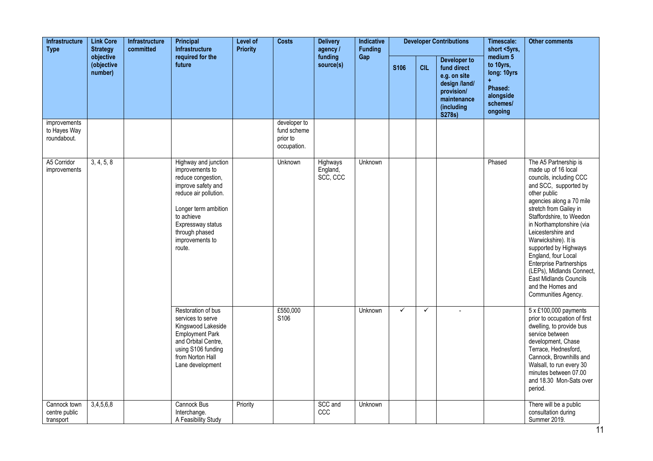| <b>Infrastructure</b><br><b>Link Core</b><br><b>Type</b><br><b>Strategy</b><br>objective |                       | <b>Infrastructure</b><br>committed | Principal<br>Infrastructure                                                                                                                                                                                            | Level of<br><b>Priority</b> | <b>Costs</b>                                           | <b>Delivery</b><br>agency /      | Indicative<br><b>Funding</b> |              |              | <b>Developer Contributions</b>                                                                                           | Timescale:<br>short <5yrs,                                                          | <b>Other comments</b>                                                                                                                                                                                                                                                                                                                                                                                                                                      |
|------------------------------------------------------------------------------------------|-----------------------|------------------------------------|------------------------------------------------------------------------------------------------------------------------------------------------------------------------------------------------------------------------|-----------------------------|--------------------------------------------------------|----------------------------------|------------------------------|--------------|--------------|--------------------------------------------------------------------------------------------------------------------------|-------------------------------------------------------------------------------------|------------------------------------------------------------------------------------------------------------------------------------------------------------------------------------------------------------------------------------------------------------------------------------------------------------------------------------------------------------------------------------------------------------------------------------------------------------|
|                                                                                          | (objective<br>number) |                                    | required for the<br>future                                                                                                                                                                                             |                             |                                                        | funding<br>source(s)             | Gap                          | <b>S106</b>  | <b>CIL</b>   | <b>Developer to</b><br>fund direct<br>e.g. on site<br>design /land/<br>provision/<br>maintenance<br>(including<br>S278s) | medium 5<br>to 10yrs,<br>long: 10yrs<br>Phased:<br>alongside<br>schemes/<br>ongoing |                                                                                                                                                                                                                                                                                                                                                                                                                                                            |
| improvements<br>to Hayes Way<br>roundabout.                                              |                       |                                    |                                                                                                                                                                                                                        |                             | developer to<br>fund scheme<br>prior to<br>occupation. |                                  |                              |              |              |                                                                                                                          |                                                                                     |                                                                                                                                                                                                                                                                                                                                                                                                                                                            |
| A5 Corridor<br>improvements                                                              | 3, 4, 5, 8            |                                    | Highway and junction<br>improvements to<br>reduce congestion,<br>improve safety and<br>reduce air pollution.<br>Longer term ambition<br>to achieve<br>Expressway status<br>through phased<br>improvements to<br>route. |                             | Unknown                                                | Highways<br>England,<br>SCC, CCC | <b>Unknown</b>               |              |              |                                                                                                                          | Phased                                                                              | The A5 Partnership is<br>made up of 16 local<br>councils, including CCC<br>and SCC, supported by<br>other public<br>agencies along a 70 mile<br>stretch from Gailey in<br>Staffordshire, to Weedon<br>in Northamptonshire (via<br>Leicestershire and<br>Warwickshire). It is<br>supported by Highways<br>England, four Local<br>Enterprise Partnerships<br>(LEPs), Midlands Connect,<br>East Midlands Councils<br>and the Homes and<br>Communities Agency. |
|                                                                                          |                       |                                    | Restoration of bus<br>services to serve<br>Kingswood Lakeside<br><b>Employment Park</b><br>and Orbital Centre,<br>using S106 funding<br>from Norton Hall<br>Lane development                                           |                             | £550,000<br>S106                                       |                                  | Unknown                      | $\checkmark$ | $\checkmark$ |                                                                                                                          |                                                                                     | 5 x £100,000 payments<br>prior to occupation of first<br>dwelling, to provide bus<br>service between<br>development, Chase<br>Terrace, Hednesford,<br>Cannock, Brownhills and<br>Walsall, to run every 30<br>minutes between 07.00<br>and 18.30 Mon-Sats over<br>period.                                                                                                                                                                                   |
| Cannock town<br>centre public<br>transport                                               | 3,4,5,6,8             |                                    | Cannock Bus<br>Interchange.<br>A Feasibility Study                                                                                                                                                                     | Priority                    |                                                        | SCC and<br>CCC                   | <b>Unknown</b>               |              |              |                                                                                                                          |                                                                                     | There will be a public<br>consultation during<br>Summer 2019.                                                                                                                                                                                                                                                                                                                                                                                              |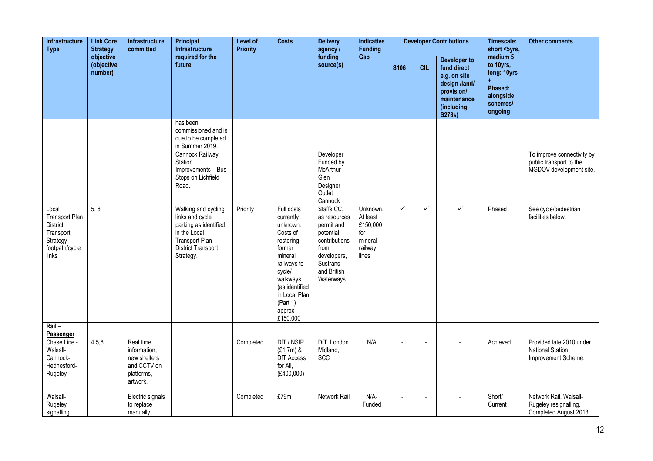| Infrastructure<br><b>Type</b>                                                                  | <b>Link Core</b><br><b>Strategy</b> | Infrastructure<br>committed                                                        | <b>Principal</b><br>Infrastructure                                                                                                          | Level of<br><b>Priority</b> | <b>Costs</b>                                                                                                                                                                                | <b>Delivery</b><br>agency /                                                                                                            | Indicative<br><b>Funding</b>                                           |                  |                | <b>Developer Contributions</b>                                                                                    | Timescale:<br>short <5yrs,                                                          | <b>Other comments</b>                                                            |
|------------------------------------------------------------------------------------------------|-------------------------------------|------------------------------------------------------------------------------------|---------------------------------------------------------------------------------------------------------------------------------------------|-----------------------------|---------------------------------------------------------------------------------------------------------------------------------------------------------------------------------------------|----------------------------------------------------------------------------------------------------------------------------------------|------------------------------------------------------------------------|------------------|----------------|-------------------------------------------------------------------------------------------------------------------|-------------------------------------------------------------------------------------|----------------------------------------------------------------------------------|
|                                                                                                | objective<br>(objective<br>number)  |                                                                                    | required for the<br>future                                                                                                                  |                             |                                                                                                                                                                                             | funding<br>source(s)                                                                                                                   | Gap                                                                    | S <sub>106</sub> | <b>CIL</b>     | Developer to<br>fund direct<br>e.g. on site<br>design /land/<br>provision/<br>maintenance<br>(including<br>S278s) | medium 5<br>to 10yrs,<br>long: 10yrs<br>Phased:<br>alongside<br>schemes/<br>ongoing |                                                                                  |
|                                                                                                |                                     |                                                                                    | has been<br>commissioned and is<br>due to be completed<br>in Summer 2019.                                                                   |                             |                                                                                                                                                                                             |                                                                                                                                        |                                                                        |                  |                |                                                                                                                   |                                                                                     |                                                                                  |
|                                                                                                |                                     |                                                                                    | Cannock Railway<br>Station<br>Improvements - Bus<br>Stops on Lichfield<br>Road.                                                             |                             |                                                                                                                                                                                             | Developer<br>Funded by<br>McArthur<br>Glen<br>Designer<br>Outlet<br>Cannock                                                            |                                                                        |                  |                |                                                                                                                   |                                                                                     | To improve connectivity by<br>public transport to the<br>MGDOV development site. |
| Local<br><b>Transport Plan</b><br>District<br>Transport<br>Strategy<br>footpath/cycle<br>links | 5, 8                                |                                                                                    | Walking and cycling<br>links and cycle<br>parking as identified<br>in the Local<br>Transport Plan<br><b>District Transport</b><br>Strategy. | Priority                    | Full costs<br>currently<br>unknown.<br>Costs of<br>restoring<br>former<br>mineral<br>railways to<br>cycle/<br>walkways<br>(as identified<br>in Local Plan<br>(Part 1)<br>approx<br>£150,000 | Staffs CC,<br>as resources<br>permit and<br>potential<br>contributions<br>from<br>developers,<br>Sustrans<br>and British<br>Waterways. | Unknown.<br>At least<br>£150,000<br>for<br>mineral<br>railway<br>lines | $\checkmark$     | $\checkmark$   | ✓                                                                                                                 | Phased                                                                              | See cycle/pedestrian<br>facilities below.                                        |
| $Rail -$<br>Passenger                                                                          |                                     |                                                                                    |                                                                                                                                             |                             |                                                                                                                                                                                             |                                                                                                                                        |                                                                        |                  |                |                                                                                                                   |                                                                                     |                                                                                  |
| Chase Line -<br>Walsall-<br>Cannock-<br>Hednesford-<br>Rugeley                                 | 4,5,8                               | Real time<br>information,<br>new shelters<br>and CCTV on<br>platforms,<br>artwork. |                                                                                                                                             | Completed                   | DfT / NSIP<br>$(E1.7m)$ &<br>DfT Access<br>for All,<br>(E400,000)                                                                                                                           | DfT, London<br>Midland,<br>SCC                                                                                                         | N/A                                                                    | $\overline{a}$   | ÷,             |                                                                                                                   | Achieved                                                                            | Provided late 2010 under<br><b>National Station</b><br>Improvement Scheme.       |
| Walsall-<br>Rugeley<br>signalling                                                              |                                     | Electric signals<br>to replace<br>manually                                         |                                                                                                                                             | Completed                   | £79m                                                                                                                                                                                        | Network Rail                                                                                                                           | $N/A-$<br>Funded                                                       | $\blacksquare$   | $\blacksquare$ |                                                                                                                   | Short/<br>Current                                                                   | Network Rail, Walsall-<br>Rugeley resignalling.<br>Completed August 2013.        |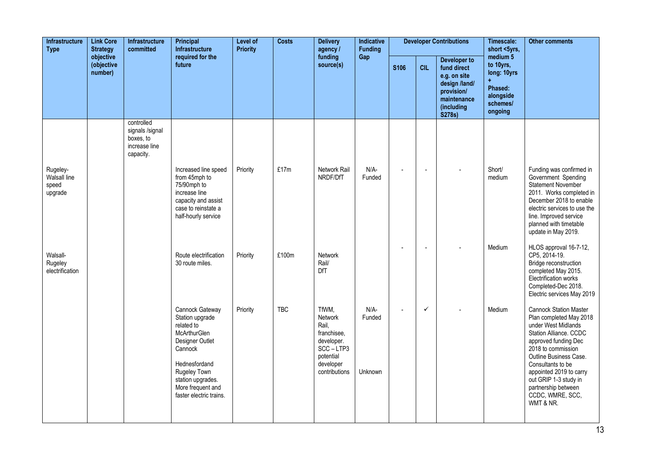| Infrastructure<br><b>Type</b>                | <b>Link Core</b><br><b>Strategy</b> | Infrastructure<br>committed                                              | Principal<br>Infrastructure                                                                                                                                                                          | Level of<br><b>Priority</b> | <b>Costs</b> | <b>Delivery</b><br>agency /                                                                                   | Indicative<br><b>Funding</b> |                          |              | <b>Developer Contributions</b>                                                                                    | Timescale:<br>short <5yrs,                                                          | <b>Other comments</b>                                                                                                                                                                                                                                                                                              |
|----------------------------------------------|-------------------------------------|--------------------------------------------------------------------------|------------------------------------------------------------------------------------------------------------------------------------------------------------------------------------------------------|-----------------------------|--------------|---------------------------------------------------------------------------------------------------------------|------------------------------|--------------------------|--------------|-------------------------------------------------------------------------------------------------------------------|-------------------------------------------------------------------------------------|--------------------------------------------------------------------------------------------------------------------------------------------------------------------------------------------------------------------------------------------------------------------------------------------------------------------|
|                                              | objective<br>(objective<br>number)  |                                                                          | required for the<br>future                                                                                                                                                                           |                             |              | funding<br>source(s)                                                                                          | Gap                          | <b>S106</b>              | <b>CIL</b>   | Developer to<br>fund direct<br>e.g. on site<br>design /land/<br>provision/<br>maintenance<br>(including<br>S278s) | medium 5<br>to 10yrs,<br>long: 10yrs<br>Phased:<br>alongside<br>schemes/<br>ongoing |                                                                                                                                                                                                                                                                                                                    |
|                                              |                                     | controlled<br>signals /signal<br>boxes, to<br>increase line<br>capacity. |                                                                                                                                                                                                      |                             |              |                                                                                                               |                              |                          |              |                                                                                                                   |                                                                                     |                                                                                                                                                                                                                                                                                                                    |
| Rugeley-<br>Walsall line<br>speed<br>upgrade |                                     |                                                                          | Increased line speed<br>from 45mph to<br>75/90mph to<br>increase line<br>capacity and assist<br>case to reinstate a<br>half-hourly service                                                           | Priority                    | £17m         | Network Rail<br>NRDF/DfT                                                                                      | $N/A$ -<br>Funded            | $\overline{\phantom{a}}$ | $\sim$       |                                                                                                                   | Short/<br>medium                                                                    | Funding was confirmed in<br>Government Spending<br><b>Statement November</b><br>2011. Works completed in<br>December 2018 to enable<br>electric services to use the<br>line. Improved service<br>planned with timetable<br>update in May 2019.                                                                     |
| Walsall-<br>Rugeley<br>electrification       |                                     |                                                                          | Route electrification<br>30 route miles.                                                                                                                                                             | Priority                    | £100m        | <b>Network</b><br>Rail/<br>DfT                                                                                |                              |                          |              |                                                                                                                   | Medium                                                                              | HLOS approval 16-7-12,<br>CP5, 2014-19.<br>Bridge reconstruction<br>completed May 2015.<br>Electrification works<br>Completed-Dec 2018.<br>Electric services May 2019                                                                                                                                              |
|                                              |                                     |                                                                          | Cannock Gateway<br>Station upgrade<br>related to<br>McArthurGlen<br>Designer Outlet<br>Cannock<br>Hednesfordand<br>Rugeley Town<br>station upgrades.<br>More frequent and<br>faster electric trains. | Priority                    | <b>TBC</b>   | TfWM,<br>Network<br>Rail,<br>franchisee,<br>developer.<br>SCC-LTP3<br>potential<br>developer<br>contributions | $N/A-$<br>Funded<br>Unknown  | $\overline{\phantom{a}}$ | $\checkmark$ |                                                                                                                   | Medium                                                                              | <b>Cannock Station Master</b><br>Plan completed May 2018<br>under West Midlands<br>Station Alliance. CCDC<br>approved funding Dec<br>2018 to commission<br>Outline Business Case.<br>Consultants to be<br>appointed 2019 to carry<br>out GRIP 1-3 study in<br>partnership between<br>CCDC, WMRE, SCC,<br>WMT & NR. |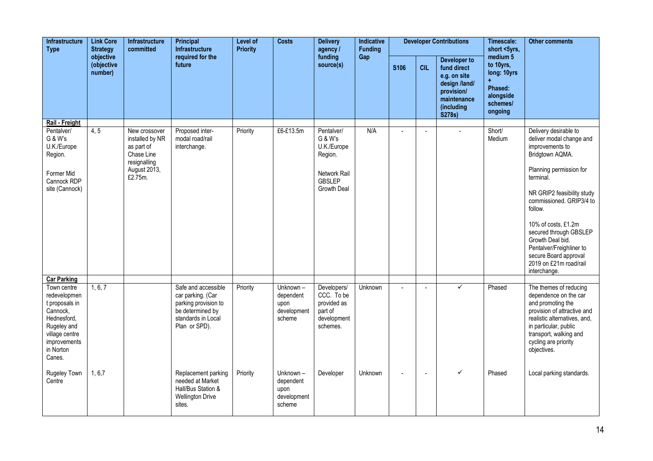| Infrastructure<br><b>Link Core</b><br><b>Type</b><br><b>Strategy</b><br>objective                                                                | Infrastructure<br>committed | <b>Principal</b><br>Infrastructure                                                                      | Level of<br><b>Priority</b>                                                                                                 | <b>Costs</b> | <b>Delivery</b><br>agency /                            | Indicative<br><b>Funding</b>                                                                    |         |             | <b>Developer Contributions</b> | Timescale:<br>short <5yrs,                                                                                        | <b>Other comments</b>                                                                          |                                                                                                                                                                                                                                                                                                                                                                          |
|--------------------------------------------------------------------------------------------------------------------------------------------------|-----------------------------|---------------------------------------------------------------------------------------------------------|-----------------------------------------------------------------------------------------------------------------------------|--------------|--------------------------------------------------------|-------------------------------------------------------------------------------------------------|---------|-------------|--------------------------------|-------------------------------------------------------------------------------------------------------------------|------------------------------------------------------------------------------------------------|--------------------------------------------------------------------------------------------------------------------------------------------------------------------------------------------------------------------------------------------------------------------------------------------------------------------------------------------------------------------------|
|                                                                                                                                                  | (objective<br>number)       |                                                                                                         | required for the<br>future                                                                                                  |              |                                                        | funding<br>source(s)                                                                            | Gap     | <b>S106</b> | <b>CIL</b>                     | Developer to<br>fund direct<br>e.g. on site<br>design /land/<br>provision/<br>maintenance<br>(including<br>S278s) | medium <sub>5</sub><br>to 10yrs,<br>long: 10yrs<br>Phased:<br>alongside<br>schemes/<br>ongoing |                                                                                                                                                                                                                                                                                                                                                                          |
| Rail - Freight                                                                                                                                   |                             |                                                                                                         |                                                                                                                             |              |                                                        |                                                                                                 |         |             |                                |                                                                                                                   |                                                                                                |                                                                                                                                                                                                                                                                                                                                                                          |
| Pentalver/<br>G & W's<br>U.K./Europe<br>Region.<br>Former Mid<br>Cannock RDP<br>site (Cannock)                                                   | 4, 5                        | New crossover<br>installed by NR<br>as part of<br>Chase Line<br>resignalling<br>August 2013,<br>£2.75m. | Proposed inter-<br>modal road/rail<br>interchange.                                                                          | Priority     | £6-£13.5m                                              | Pentalver/<br>G & W's<br>U.K./Europe<br>Region.<br>Network Rail<br><b>GBSLEP</b><br>Growth Deal | N/A     |             | $\overline{a}$                 |                                                                                                                   | Short/<br>Medium                                                                               | Delivery desirable to<br>deliver modal change and<br>improvements to<br>Bridgtown AQMA.<br>Planning permission for<br>terminal.<br>NR GRIP2 feasibility study<br>commissioned. GRIP3/4 to<br>follow.<br>10% of costs, £1.2m<br>secured through GBSLEP<br>Growth Deal bid.<br>Pentalver/Freighliner to<br>secure Board approval<br>2019 on £21m road/rail<br>interchange. |
| <b>Car Parking</b>                                                                                                                               |                             |                                                                                                         |                                                                                                                             |              |                                                        |                                                                                                 |         |             |                                |                                                                                                                   |                                                                                                |                                                                                                                                                                                                                                                                                                                                                                          |
| Town centre<br>redevelopmen<br>t proposals in<br>Cannock,<br>Hednesford,<br>Rugeley and<br>village centre<br>improvements<br>in Norton<br>Canes. | 1, 6, 7                     |                                                                                                         | Safe and accessible<br>car parking. (Car<br>parking provision to<br>be determined by<br>standards in Local<br>Plan or SPD). | Priority     | Unknown-<br>dependent<br>upon<br>development<br>scheme | Developers/<br>CCC. To be<br>provided as<br>part of<br>development<br>schemes.                  | Unknown |             |                                | ✓                                                                                                                 | Phased                                                                                         | The themes of reducing<br>dependence on the car<br>and promoting the<br>provision of attractive and<br>realistic alternatives, and,<br>in particular, public<br>transport, walking and<br>cycling are priority<br>objectives.                                                                                                                                            |
| Rugeley Town<br>Centre                                                                                                                           | 1, 6, 7                     |                                                                                                         | Replacement parking<br>needed at Market<br>Hall/Bus Station &<br><b>Wellington Drive</b><br>sites.                          | Priority     | Unknown-<br>dependent<br>upon<br>development<br>scheme | Developer                                                                                       | Unknown |             | $\blacksquare$                 | ✓                                                                                                                 | Phased                                                                                         | Local parking standards.                                                                                                                                                                                                                                                                                                                                                 |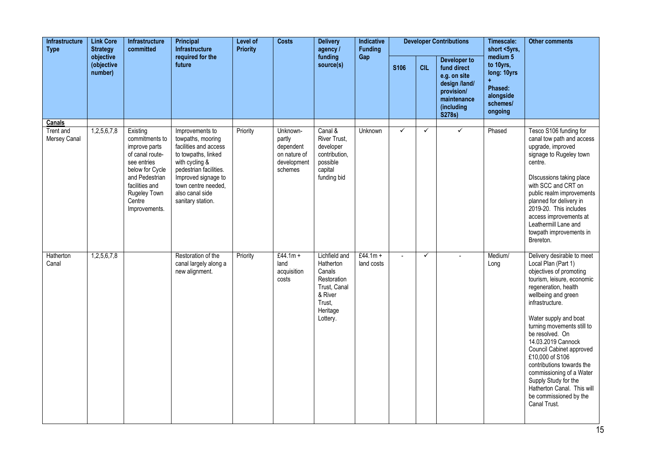| <b>Infrastructure</b><br><b>Type</b><br>objective | <b>Link Core</b><br><b>Strategy</b> | <b>Infrastructure</b><br>committed                                                                                                                                              | Principal<br><b>Infrastructure</b>                                                                                                                                                                                     | Level of<br><b>Priority</b> | <b>Costs</b>                                                              | <b>Delivery</b><br>agency /                                                                                      | Indicative<br><b>Funding</b> |                |              | <b>Developer Contributions</b>                                                                                    | Timescale:<br>short <5yrs,                                                          | <b>Other comments</b>                                                                                                                                                                                                                                                                                                                                                                                                                                                                |
|---------------------------------------------------|-------------------------------------|---------------------------------------------------------------------------------------------------------------------------------------------------------------------------------|------------------------------------------------------------------------------------------------------------------------------------------------------------------------------------------------------------------------|-----------------------------|---------------------------------------------------------------------------|------------------------------------------------------------------------------------------------------------------|------------------------------|----------------|--------------|-------------------------------------------------------------------------------------------------------------------|-------------------------------------------------------------------------------------|--------------------------------------------------------------------------------------------------------------------------------------------------------------------------------------------------------------------------------------------------------------------------------------------------------------------------------------------------------------------------------------------------------------------------------------------------------------------------------------|
|                                                   | (objective<br>number)               |                                                                                                                                                                                 | required for the<br>future                                                                                                                                                                                             |                             |                                                                           | funding<br>source(s)                                                                                             | Gap                          | <b>S106</b>    | <b>CIL</b>   | Developer to<br>fund direct<br>e.g. on site<br>design /land/<br>provision/<br>maintenance<br>(including<br>S278s) | medium 5<br>to 10yrs,<br>long: 10yrs<br>Phased:<br>alongside<br>schemes/<br>ongoing |                                                                                                                                                                                                                                                                                                                                                                                                                                                                                      |
| Canals                                            |                                     |                                                                                                                                                                                 |                                                                                                                                                                                                                        |                             |                                                                           |                                                                                                                  |                              | ✓              | $\checkmark$ | $\checkmark$                                                                                                      |                                                                                     |                                                                                                                                                                                                                                                                                                                                                                                                                                                                                      |
| <b>Trent and</b><br>Mersey Canal                  | 1,2,5,6,7,8                         | Existing<br>commitments to<br>improve parts<br>of canal route-<br>see entries<br>below for Cycle<br>and Pedestrian<br>facilities and<br>Rugeley Town<br>Centre<br>Improvements. | Improvements to<br>towpaths, mooring<br>facilities and access<br>to towpaths, linked<br>with cycling &<br>pedestrian facilities.<br>Improved signage to<br>town centre needed,<br>also canal side<br>sanitary station. | Priority                    | Unknown-<br>partly<br>dependent<br>on nature of<br>development<br>schemes | Canal &<br>River Trust,<br>developer<br>contribution,<br>possible<br>capital<br>funding bid                      | Unknown                      |                |              |                                                                                                                   | Phased                                                                              | Tesco S106 funding for<br>canal tow path and access<br>upgrade, improved<br>signage to Rugeley town<br>centre.<br>Discussions taking place<br>with SCC and CRT on<br>public realm improvements<br>planned for delivery in<br>2019-20. This includes<br>access improvements at<br>Leathermill Lane and<br>towpath improvements in<br>Brereton.                                                                                                                                        |
| Hatherton<br>Canal                                | 1,2,5,6,7,8                         |                                                                                                                                                                                 | Restoration of the<br>canal largely along a<br>new alignment.                                                                                                                                                          | Priority                    | £44.1m +<br>land<br>acquisition<br>costs                                  | Lichfield and<br>Hatherton<br>Canals<br>Restoration<br>Trust, Canal<br>& River<br>Trust,<br>Heritage<br>Lottery. | £44.1m +<br>land costs       | $\overline{a}$ | $\checkmark$ |                                                                                                                   | Medium/<br>Long                                                                     | Delivery desirable to meet<br>Local Plan (Part 1)<br>objectives of promoting<br>tourism, leisure, economic<br>regeneration, health<br>wellbeing and green<br>infrastructure.<br>Water supply and boat<br>turning movements still to<br>be resolved. On<br>14.03.2019 Cannock<br>Council Cabinet approved<br>£10,000 of S106<br>contributions towards the<br>commissioning of a Water<br>Supply Study for the<br>Hatherton Canal. This will<br>be commissioned by the<br>Canal Trust. |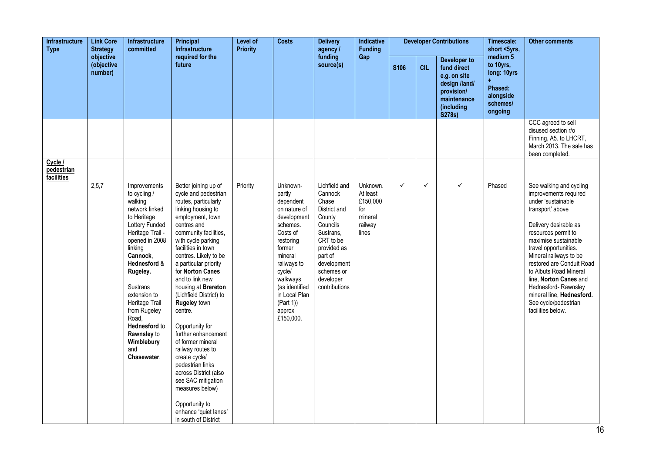| <b>Infrastructure</b><br><b>Type</b><br>objective | <b>Link Core</b><br><b>Strategy</b> | <b>Infrastructure</b><br>committed                                                                                                                                                                                                                                                                                             | <b>Principal</b><br><b>Infrastructure</b>                                                                                                                                                                                                                                                                                                                                                                                                                                                                                                                                                                                              | <b>Level of</b><br><b>Priority</b> | <b>Costs</b>                                                                                                                                                                                                                        | <b>Delivery</b><br>agency /                                                                                                                                                            | Indicative<br><b>Funding</b>                                           |              |              | <b>Developer Contributions</b>                                                                                    | Timescale:<br>short <5yrs,                                                                     | <b>Other comments</b>                                                                                                                                                                                                                                                                                                                                                                                   |
|---------------------------------------------------|-------------------------------------|--------------------------------------------------------------------------------------------------------------------------------------------------------------------------------------------------------------------------------------------------------------------------------------------------------------------------------|----------------------------------------------------------------------------------------------------------------------------------------------------------------------------------------------------------------------------------------------------------------------------------------------------------------------------------------------------------------------------------------------------------------------------------------------------------------------------------------------------------------------------------------------------------------------------------------------------------------------------------------|------------------------------------|-------------------------------------------------------------------------------------------------------------------------------------------------------------------------------------------------------------------------------------|----------------------------------------------------------------------------------------------------------------------------------------------------------------------------------------|------------------------------------------------------------------------|--------------|--------------|-------------------------------------------------------------------------------------------------------------------|------------------------------------------------------------------------------------------------|---------------------------------------------------------------------------------------------------------------------------------------------------------------------------------------------------------------------------------------------------------------------------------------------------------------------------------------------------------------------------------------------------------|
|                                                   | (objective<br>number)               |                                                                                                                                                                                                                                                                                                                                | required for the<br>future                                                                                                                                                                                                                                                                                                                                                                                                                                                                                                                                                                                                             |                                    |                                                                                                                                                                                                                                     | funding<br>source(s)                                                                                                                                                                   | Gap                                                                    | <b>S106</b>  | <b>CIL</b>   | Developer to<br>fund direct<br>e.g. on site<br>design /land/<br>provision/<br>maintenance<br>(including<br>S278s) | medium <sub>5</sub><br>to 10yrs,<br>long: 10yrs<br>Phased:<br>alongside<br>schemes/<br>ongoing |                                                                                                                                                                                                                                                                                                                                                                                                         |
|                                                   |                                     |                                                                                                                                                                                                                                                                                                                                |                                                                                                                                                                                                                                                                                                                                                                                                                                                                                                                                                                                                                                        |                                    |                                                                                                                                                                                                                                     |                                                                                                                                                                                        |                                                                        |              |              |                                                                                                                   |                                                                                                | CCC agreed to sell<br>disused section r/o<br>Finning, A5. to LHCRT,<br>March 2013. The sale has<br>been completed.                                                                                                                                                                                                                                                                                      |
| Cycle /<br>pedestrian<br>facilities               |                                     |                                                                                                                                                                                                                                                                                                                                |                                                                                                                                                                                                                                                                                                                                                                                                                                                                                                                                                                                                                                        |                                    |                                                                                                                                                                                                                                     |                                                                                                                                                                                        |                                                                        |              |              |                                                                                                                   |                                                                                                |                                                                                                                                                                                                                                                                                                                                                                                                         |
|                                                   | 2,5,7                               | Improvements<br>to cycling /<br>walking<br>network linked<br>to Heritage<br>Lottery Funded<br>Heritage Trail -<br>opened in 2008<br>linking<br>Cannock.<br>Hednesford &<br>Rugeley.<br>Sustrans<br>extension to<br>Heritage Trail<br>from Rugeley<br>Road,<br>Hednesford to<br>Rawnsley to<br>Wimblebury<br>and<br>Chasewater. | Better joining up of<br>cycle and pedestrian<br>routes, particularly<br>linking housing to<br>employment, town<br>centres and<br>community facilities,<br>with cycle parking<br>facilities in town<br>centres. Likely to be<br>a particular priority<br>for Norton Canes<br>and to link new<br>housing at Brereton<br>(Lichfield District) to<br>Rugeley town<br>centre.<br>Opportunity for<br>further enhancement<br>of former mineral<br>railway routes to<br>create cycle/<br>pedestrian links<br>across District (also<br>see SAC mitigation<br>measures below)<br>Opportunity to<br>enhance 'quiet lanes'<br>in south of District | Priority                           | Unknown-<br>partly<br>dependent<br>on nature of<br>development<br>schemes.<br>Costs of<br>restoring<br>former<br>mineral<br>railways to<br>cycle/<br>walkways<br>(as identified<br>in Local Plan<br>(Part 1)<br>approx<br>£150,000. | Lichfield and<br>Cannock<br>Chase<br>District and<br>County<br>Councils<br>Sustrans.<br>CRT to be<br>provided as<br>part of<br>development<br>schemes or<br>developer<br>contributions | Unknown.<br>At least<br>£150,000<br>for<br>mineral<br>railway<br>lines | $\checkmark$ | $\checkmark$ | ✓                                                                                                                 | Phased                                                                                         | See walking and cycling<br>improvements required<br>under 'sustainable<br>transport' above<br>Delivery desirable as<br>resources permit to<br>maximise sustainable<br>travel opportunities.<br>Mineral railways to be<br>restored are Conduit Road<br>to Albuts Road Mineral<br>line, Norton Canes and<br>Hednesford-Rawnsley<br>mineral line, Hednesford.<br>See cycle/pedestrian<br>facilities below. |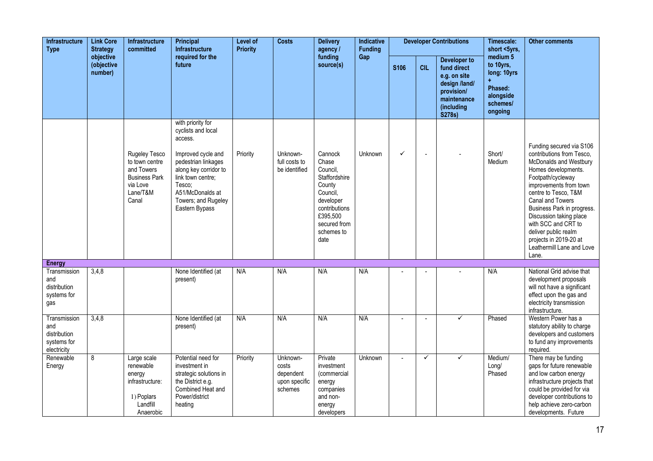| <b>Infrastructure</b><br><b>Type</b>                              | <b>Link Core</b><br><b>Strategy</b> | Infrastructure<br>committed                                                                            | Principal<br><b>Infrastructure</b>                                                                                                                                                                                   | <b>Level of</b><br><b>Priority</b> | <b>Costs</b>                                               | <b>Delivery</b><br>agency /                                                                                                                         | Indicative<br><b>Funding</b> |                |            | <b>Developer Contributions</b>                                                                                    | Timescale:<br>short <5yrs,                                                          | <b>Other comments</b>                                                                                                                                                                                                                                                                                                                                                     |
|-------------------------------------------------------------------|-------------------------------------|--------------------------------------------------------------------------------------------------------|----------------------------------------------------------------------------------------------------------------------------------------------------------------------------------------------------------------------|------------------------------------|------------------------------------------------------------|-----------------------------------------------------------------------------------------------------------------------------------------------------|------------------------------|----------------|------------|-------------------------------------------------------------------------------------------------------------------|-------------------------------------------------------------------------------------|---------------------------------------------------------------------------------------------------------------------------------------------------------------------------------------------------------------------------------------------------------------------------------------------------------------------------------------------------------------------------|
|                                                                   | objective<br>(objective<br>number)  |                                                                                                        | required for the<br>future                                                                                                                                                                                           |                                    |                                                            | funding<br>source(s)                                                                                                                                | Gap                          | <b>S106</b>    | <b>CIL</b> | Developer to<br>fund direct<br>e.g. on site<br>design /land/<br>provision/<br>maintenance<br>(including<br>S278s) | medium 5<br>to 10yrs,<br>long: 10yrs<br>Phased:<br>alongside<br>schemes/<br>ongoing |                                                                                                                                                                                                                                                                                                                                                                           |
|                                                                   |                                     | Rugeley Tesco<br>to town centre<br>and Towers<br><b>Business Park</b><br>via Love<br>Lane/T&M<br>Canal | with priority for<br>cyclists and local<br>access.<br>Improved cycle and<br>pedestrian linkages<br>along key corridor to<br>link town centre;<br>Tesco;<br>A51/McDonalds at<br>Towers; and Rugeley<br>Eastern Bypass | Priority                           | Unknown-<br>full costs to<br>be identified                 | Cannock<br>Chase<br>Council,<br>Staffordshire<br>County<br>Council,<br>developer<br>contributions<br>£395,500<br>secured from<br>schemes to<br>date | <b>Unknown</b>               | ✓              |            |                                                                                                                   | Short/<br>Medium                                                                    | Funding secured via S106<br>contributions from Tesco.<br>McDonalds and Westbury<br>Homes developments.<br>Footpath/cycleway<br>improvements from town<br>centre to Tesco, T&M<br>Canal and Towers<br>Business Park in progress.<br>Discussion taking place<br>with SCC and CRT to<br>deliver public realm<br>projects in 2019-20 at<br>Leathermill Lane and Love<br>Lane. |
| <b>Energy</b>                                                     |                                     |                                                                                                        |                                                                                                                                                                                                                      |                                    |                                                            |                                                                                                                                                     |                              |                |            |                                                                                                                   |                                                                                     |                                                                                                                                                                                                                                                                                                                                                                           |
| Transmission<br>and<br>distribution<br>systems for<br>gas         | 3,4,8                               |                                                                                                        | None Identified (at<br>present)                                                                                                                                                                                      | N/A                                | N/A                                                        | N/A                                                                                                                                                 | N/A                          |                |            |                                                                                                                   | N/A                                                                                 | National Grid advise that<br>development proposals<br>will not have a significant<br>effect upon the gas and<br>electricity transmission<br>infrastructure.                                                                                                                                                                                                               |
| Transmission<br>and<br>distribution<br>systems for<br>electricity | 3,4,8                               |                                                                                                        | None Identified (at<br>present)                                                                                                                                                                                      | N/A                                | N/A                                                        | N/A                                                                                                                                                 | N/A                          | $\sim$         | $\sim$     | ✓                                                                                                                 | Phased                                                                              | Western Power has a<br>statutory ability to charge<br>developers and customers<br>to fund any improvements<br>required.                                                                                                                                                                                                                                                   |
| Renewable<br>Energy                                               | 8                                   | Large scale<br>renewable<br>energy<br>infrastructure:<br>1) Poplars<br>Landfill<br>Anaerobic           | Potential need for<br>investment in<br>strategic solutions in<br>the District e.g.<br>Combined Heat and<br>Power/district<br>heating                                                                                 | Priority                           | Unknown-<br>costs<br>dependent<br>upon specific<br>schemes | Private<br>investment<br>(commercial<br>energy<br>companies<br>and non-<br>energy<br>developers                                                     | <b>Unknown</b>               | $\overline{a}$ | ✓          | ✓                                                                                                                 | Medium/<br>Long/<br>Phased                                                          | There may be funding<br>gaps for future renewable<br>and low carbon energy<br>infrastructure projects that<br>could be provided for via<br>developer contributions to<br>help achieve zero-carbon<br>developments. Future                                                                                                                                                 |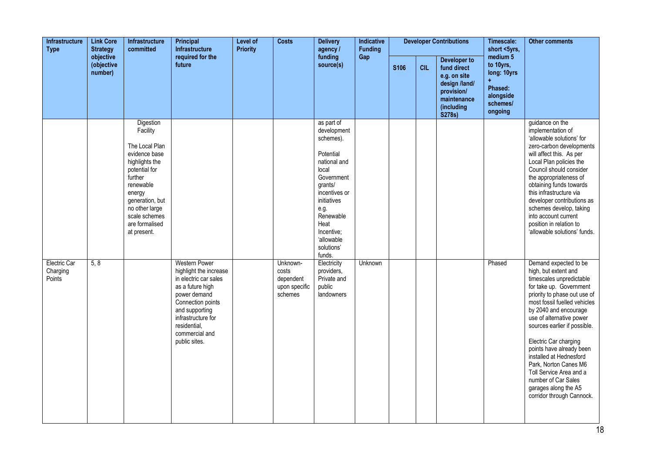| <b>Infrastructure</b><br><b>Type</b><br><b>Strategy</b><br>objective | <b>Link Core</b>      | Infrastructure<br>committed                                                                                                                                                                                          | Principal<br><b>Infrastructure</b>                                                                                                                                                                                          | <b>Level of</b><br><b>Priority</b> | <b>Costs</b>                                               | <b>Delivery</b><br>agency /                                                                                                                                                                                            | Indicative<br><b>Funding</b> |             |            | <b>Developer Contributions</b>                                                                                    | Timescale:<br>short <5yrs,                                                          | <b>Other comments</b>                                                                                                                                                                                                                                                                                                                                                                                                                                                     |
|----------------------------------------------------------------------|-----------------------|----------------------------------------------------------------------------------------------------------------------------------------------------------------------------------------------------------------------|-----------------------------------------------------------------------------------------------------------------------------------------------------------------------------------------------------------------------------|------------------------------------|------------------------------------------------------------|------------------------------------------------------------------------------------------------------------------------------------------------------------------------------------------------------------------------|------------------------------|-------------|------------|-------------------------------------------------------------------------------------------------------------------|-------------------------------------------------------------------------------------|---------------------------------------------------------------------------------------------------------------------------------------------------------------------------------------------------------------------------------------------------------------------------------------------------------------------------------------------------------------------------------------------------------------------------------------------------------------------------|
|                                                                      | (objective<br>number) |                                                                                                                                                                                                                      | required for the<br>future                                                                                                                                                                                                  |                                    |                                                            | funding<br>source(s)                                                                                                                                                                                                   | Gap                          | <b>S106</b> | <b>CIL</b> | Developer to<br>fund direct<br>e.g. on site<br>design /land/<br>provision/<br>maintenance<br>(including<br>S278s) | medium 5<br>to 10yrs,<br>long: 10yrs<br>Phased:<br>alongside<br>schemes/<br>ongoing |                                                                                                                                                                                                                                                                                                                                                                                                                                                                           |
|                                                                      |                       | Digestion<br>Facility<br>The Local Plan<br>evidence base<br>highlights the<br>potential for<br>further<br>renewable<br>energy<br>generation, but<br>no other large<br>scale schemes<br>are formalised<br>at present. |                                                                                                                                                                                                                             |                                    |                                                            | as part of<br>development<br>schemes).<br>Potential<br>national and<br>local<br>Government<br>grants/<br>incentives or<br>initiatives<br>e.g.<br>Renewable<br>Heat<br>Incentive;<br>'allowable<br>solutions'<br>funds. |                              |             |            |                                                                                                                   |                                                                                     | guidance on the<br>implementation of<br>'allowable solutions' for<br>zero-carbon developments<br>will affect this. As per<br>Local Plan policies the<br>Council should consider<br>the appropriateness of<br>obtaining funds towards<br>this infrastructure via<br>developer contributions as<br>schemes develop, taking<br>into account current<br>position in relation to<br>'allowable solutions' funds.                                                               |
| Electric Car<br>Charging<br>Points                                   | 5, 8                  |                                                                                                                                                                                                                      | <b>Western Power</b><br>highlight the increase<br>in electric car sales<br>as a future high<br>power demand<br>Connection points<br>and supporting<br>infrastructure for<br>residential.<br>commercial and<br>public sites. |                                    | Unknown-<br>costs<br>dependent<br>upon specific<br>schemes | Electricity<br>providers,<br>Private and<br>public<br>landowners                                                                                                                                                       | Unknown                      |             |            |                                                                                                                   | Phased                                                                              | Demand expected to be<br>high, but extent and<br>timescales unpredictable<br>for take up. Government<br>priority to phase out use of<br>most fossil fuelled vehicles<br>by 2040 and encourage<br>use of alternative power<br>sources earlier if possible.<br>Electric Car charging<br>points have already been<br>installed at Hednesford<br>Park, Norton Canes M6<br>Toll Service Area and a<br>number of Car Sales<br>garages along the A5<br>corridor through Cannock. |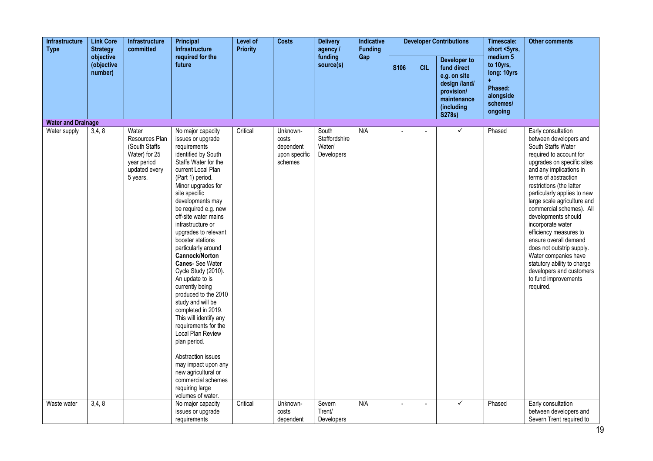| Infrastructure<br><b>Type</b> | <b>Link Core</b><br><b>Strategy</b> | Infrastructure<br>committed                                                                           | Principal<br><b>Infrastructure</b>                                                                                                                                                                                                                                                                                                                                                                                                                                                                                                                                                                                                                                                                                                                      | Level of<br><b>Priority</b> | <b>Costs</b>                                               | <b>Delivery</b><br>agency /                    | Indicative<br><b>Funding</b> |             |            | <b>Developer Contributions</b>                                                                                    | Timescale:<br>short <5yrs,                                                          | <b>Other comments</b>                                                                                                                                                                                                                                                                                                                                                                                                                                                                                                                                    |
|-------------------------------|-------------------------------------|-------------------------------------------------------------------------------------------------------|---------------------------------------------------------------------------------------------------------------------------------------------------------------------------------------------------------------------------------------------------------------------------------------------------------------------------------------------------------------------------------------------------------------------------------------------------------------------------------------------------------------------------------------------------------------------------------------------------------------------------------------------------------------------------------------------------------------------------------------------------------|-----------------------------|------------------------------------------------------------|------------------------------------------------|------------------------------|-------------|------------|-------------------------------------------------------------------------------------------------------------------|-------------------------------------------------------------------------------------|----------------------------------------------------------------------------------------------------------------------------------------------------------------------------------------------------------------------------------------------------------------------------------------------------------------------------------------------------------------------------------------------------------------------------------------------------------------------------------------------------------------------------------------------------------|
|                               | objective<br>(objective<br>number)  |                                                                                                       | required for the<br>future                                                                                                                                                                                                                                                                                                                                                                                                                                                                                                                                                                                                                                                                                                                              |                             |                                                            | funding<br>source(s)                           | Gap                          | <b>S106</b> | <b>CIL</b> | Developer to<br>fund direct<br>e.g. on site<br>design /land/<br>provision/<br>maintenance<br>(including<br>S278s) | medium 5<br>to 10yrs,<br>long: 10yrs<br>Phased:<br>alongside<br>schemes/<br>ongoing |                                                                                                                                                                                                                                                                                                                                                                                                                                                                                                                                                          |
| <b>Water and Drainage</b>     |                                     |                                                                                                       |                                                                                                                                                                                                                                                                                                                                                                                                                                                                                                                                                                                                                                                                                                                                                         |                             |                                                            |                                                |                              |             |            |                                                                                                                   |                                                                                     |                                                                                                                                                                                                                                                                                                                                                                                                                                                                                                                                                          |
| Water supply                  | 3,4,8                               | Water<br>Resources Plan<br>(South Staffs<br>Water) for 25<br>year period<br>updated every<br>5 years. | No major capacity<br>issues or upgrade<br>requirements<br>identified by South<br>Staffs Water for the<br>current Local Plan<br>(Part 1) period.<br>Minor upgrades for<br>site specific<br>developments may<br>be required e.g. new<br>off-site water mains<br>infrastructure or<br>upgrades to relevant<br>booster stations<br>particularly around<br>Cannock/Norton<br><b>Canes-See Water</b><br>Cycle Study (2010).<br>An update to is<br>currently being<br>produced to the 2010<br>study and will be<br>completed in 2019.<br>This will identify any<br>requirements for the<br>Local Plan Review<br>plan period.<br>Abstraction issues<br>may impact upon any<br>new agricultural or<br>commercial schemes<br>requiring large<br>volumes of water. | Critical                    | Unknown-<br>costs<br>dependent<br>upon specific<br>schemes | South<br>Staffordshire<br>Water/<br>Developers | N/A                          |             |            | ✓                                                                                                                 | Phased                                                                              | Early consultation<br>between developers and<br>South Staffs Water<br>required to account for<br>upgrades on specific sites<br>and any implications in<br>terms of abstraction<br>restrictions (the latter<br>particularly applies to new<br>large scale agriculture and<br>commercial schemes). All<br>developments should<br>incorporate water<br>efficiency measures to<br>ensure overall demand<br>does not outstrip supply.<br>Water companies have<br>statutory ability to charge<br>developers and customers<br>to fund improvements<br>required. |
| Waste water                   | 3,4,8                               |                                                                                                       | No major capacity                                                                                                                                                                                                                                                                                                                                                                                                                                                                                                                                                                                                                                                                                                                                       | Critical                    | Unknown-                                                   | Severn                                         | N/A                          |             |            | ✓                                                                                                                 | Phased                                                                              | Early consultation                                                                                                                                                                                                                                                                                                                                                                                                                                                                                                                                       |
|                               |                                     |                                                                                                       | issues or upgrade<br>requirements                                                                                                                                                                                                                                                                                                                                                                                                                                                                                                                                                                                                                                                                                                                       |                             | costs<br>dependent                                         | Trent/<br>Developers                           |                              |             |            |                                                                                                                   |                                                                                     | between developers and<br>Severn Trent required to                                                                                                                                                                                                                                                                                                                                                                                                                                                                                                       |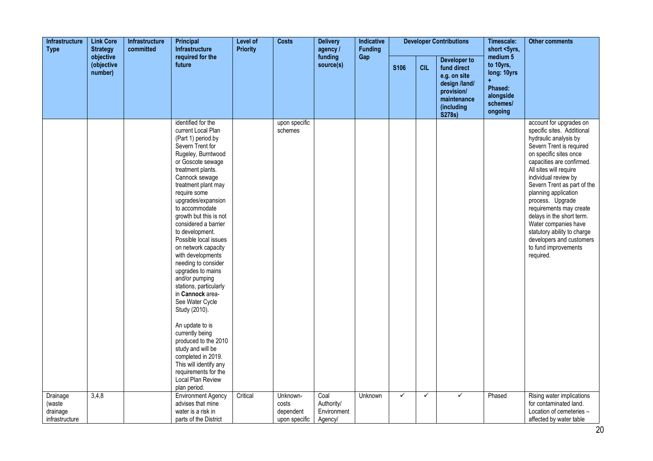| Infrastructure<br><b>Strategy</b><br><b>Type</b><br>objective | <b>Link Core</b>      | Infrastructure<br>committed | Principal<br><b>Infrastructure</b>                                                                                                                                                                                                                                                                                                                                                                                                                                                                                                                                                                                                                                                                                                            | Level of<br><b>Priority</b> | <b>Costs</b>                                    | <b>Delivery</b><br>agency /                  | Indicative<br><b>Funding</b> |                  |              | <b>Developer Contributions</b>                                                                                    | Timescale:<br>short <5yrs,                                                                     | <b>Other comments</b>                                                                                                                                                                                                                                                                                                                                                                                                                                                          |
|---------------------------------------------------------------|-----------------------|-----------------------------|-----------------------------------------------------------------------------------------------------------------------------------------------------------------------------------------------------------------------------------------------------------------------------------------------------------------------------------------------------------------------------------------------------------------------------------------------------------------------------------------------------------------------------------------------------------------------------------------------------------------------------------------------------------------------------------------------------------------------------------------------|-----------------------------|-------------------------------------------------|----------------------------------------------|------------------------------|------------------|--------------|-------------------------------------------------------------------------------------------------------------------|------------------------------------------------------------------------------------------------|--------------------------------------------------------------------------------------------------------------------------------------------------------------------------------------------------------------------------------------------------------------------------------------------------------------------------------------------------------------------------------------------------------------------------------------------------------------------------------|
|                                                               | (objective<br>number) |                             | required for the<br>future                                                                                                                                                                                                                                                                                                                                                                                                                                                                                                                                                                                                                                                                                                                    |                             |                                                 | funding<br>source(s)                         | Gap                          | S <sub>106</sub> | <b>CIL</b>   | Developer to<br>fund direct<br>e.g. on site<br>design /land/<br>provision/<br>maintenance<br>(including<br>S278s) | medium <sub>5</sub><br>to 10yrs,<br>long: 10yrs<br>Phased:<br>alongside<br>schemes/<br>ongoing |                                                                                                                                                                                                                                                                                                                                                                                                                                                                                |
|                                                               |                       |                             | identified for the<br>current Local Plan<br>(Part 1) period.by<br>Severn Trent for<br>Rugeley, Burntwood<br>or Goscote sewage<br>treatment plants.<br>Cannock sewage<br>treatment plant may<br>require some<br>upgrades/expansion<br>to accommodate<br>growth but this is not<br>considered a barrier<br>to development.<br>Possible local issues<br>on network capacity<br>with developments<br>needing to consider<br>upgrades to mains<br>and/or pumping<br>stations, particularly<br>in Cannock area-<br>See Water Cycle<br>Study (2010).<br>An update to is<br>currently being<br>produced to the 2010<br>study and will be<br>completed in 2019.<br>This will identify any<br>requirements for the<br>Local Plan Review<br>plan period. |                             | upon specific<br>schemes                        |                                              |                              |                  |              |                                                                                                                   |                                                                                                | account for upgrades on<br>specific sites. Additional<br>hydraulic analysis by<br>Severn Trent is required<br>on specific sites once<br>capacities are confirmed.<br>All sites will require<br>individual review by<br>Severn Trent as part of the<br>planning application<br>process. Upgrade<br>requirements may create<br>delays in the short term.<br>Water companies have<br>statutory ability to charge<br>developers and customers<br>to fund improvements<br>required. |
| Drainage<br>(waste<br>drainage<br>infrastructure              | 3,4,8                 |                             | <b>Environment Agency</b><br>advises that mine<br>water is a risk in<br>parts of the District                                                                                                                                                                                                                                                                                                                                                                                                                                                                                                                                                                                                                                                 | Critical                    | Unknown-<br>costs<br>dependent<br>upon specific | Coal<br>Authority/<br>Environment<br>Agency/ | Unknown                      | $\checkmark$     | $\checkmark$ | ✓                                                                                                                 | Phased                                                                                         | Rising water implications<br>for contaminated land.<br>Location of cemeteries -<br>affected by water table                                                                                                                                                                                                                                                                                                                                                                     |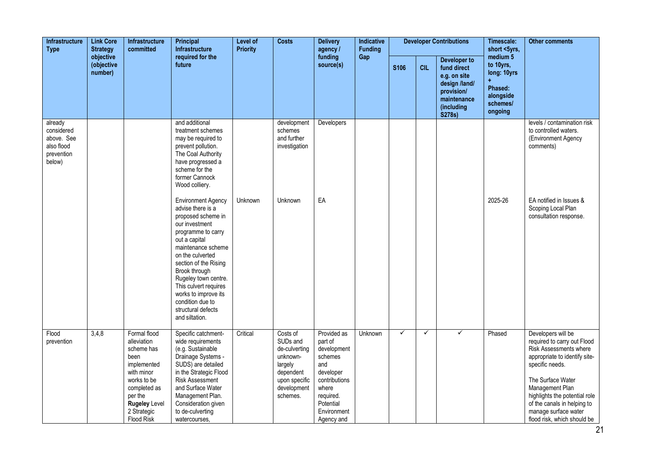| <b>Link Core</b><br><b>Infrastructure</b><br><b>Type</b><br><b>Strategy</b><br>objective | <b>Infrastructure</b><br>committed | Principal<br><b>Infrastructure</b>                                                                                                                                                   | Level of<br><b>Priority</b>                                                                                                                                                                                                                                                                                                                            | <b>Costs</b> | <b>Delivery</b><br>agency /                                                                                           | Indicative<br><b>Funding</b>                                                                                                                          |         |              | <b>Developer Contributions</b> | Timescale:<br>short <5yrs,                                                                                        | <b>Other comments</b>                                                               |                                                                                                                                                                                                                                                                                                |
|------------------------------------------------------------------------------------------|------------------------------------|--------------------------------------------------------------------------------------------------------------------------------------------------------------------------------------|--------------------------------------------------------------------------------------------------------------------------------------------------------------------------------------------------------------------------------------------------------------------------------------------------------------------------------------------------------|--------------|-----------------------------------------------------------------------------------------------------------------------|-------------------------------------------------------------------------------------------------------------------------------------------------------|---------|--------------|--------------------------------|-------------------------------------------------------------------------------------------------------------------|-------------------------------------------------------------------------------------|------------------------------------------------------------------------------------------------------------------------------------------------------------------------------------------------------------------------------------------------------------------------------------------------|
|                                                                                          | (objective<br>number)              |                                                                                                                                                                                      | required for the<br>future                                                                                                                                                                                                                                                                                                                             |              |                                                                                                                       | funding<br>source(s)                                                                                                                                  | Gap     | S106         | <b>CIL</b>                     | Developer to<br>fund direct<br>e.g. on site<br>design /land/<br>provision/<br>maintenance<br>(including<br>S278s) | medium 5<br>to 10yrs,<br>long: 10yrs<br>Phased:<br>alongside<br>schemes/<br>ongoing |                                                                                                                                                                                                                                                                                                |
| already<br>considered<br>above. See<br>also flood<br>prevention<br>below)                |                                    |                                                                                                                                                                                      | and additional<br>treatment schemes<br>may be required to<br>prevent pollution.<br>The Coal Authority<br>have progressed a<br>scheme for the<br>former Cannock<br>Wood colliery.                                                                                                                                                                       |              | development<br>schemes<br>and further<br>investigation                                                                | Developers                                                                                                                                            |         |              |                                |                                                                                                                   |                                                                                     | levels / contamination risk<br>to controlled waters.<br>(Environment Agency<br>comments)                                                                                                                                                                                                       |
|                                                                                          |                                    |                                                                                                                                                                                      | <b>Environment Agency</b><br>advise there is a<br>proposed scheme in<br>our investment<br>programme to carry<br>out a capital<br>maintenance scheme<br>on the culverted<br>section of the Rising<br>Brook through<br>Rugeley town centre.<br>This culvert requires<br>works to improve its<br>condition due to<br>structural defects<br>and siltation. | Unknown      | Unknown                                                                                                               | EA                                                                                                                                                    |         |              |                                |                                                                                                                   | 2025-26                                                                             | EA notified in Issues &<br>Scoping Local Plan<br>consultation response.                                                                                                                                                                                                                        |
| Flood<br>prevention                                                                      | 3,4,8                              | Formal flood<br>alleviation<br>scheme has<br>been<br>implemented<br>with minor<br>works to be<br>completed as<br>per the<br><b>Rugeley Level</b><br>2 Strategic<br><b>Flood Risk</b> | Specific catchment-<br>wide requirements<br>(e.g. Sustainable<br>Drainage Systems -<br>SUDS) are detailed<br>in the Strategic Flood<br><b>Risk Assessment</b><br>and Surface Water<br>Management Plan.<br>Consideration given<br>to de-culverting<br>watercourses,                                                                                     | Critical     | Costs of<br>SUDs and<br>de-culverting<br>unknown-<br>largely<br>dependent<br>upon specific<br>development<br>schemes. | Provided as<br>part of<br>development<br>schemes<br>and<br>developer<br>contributions<br>where<br>required.<br>Potential<br>Environment<br>Agency and | Unknown | $\checkmark$ | $\checkmark$                   | $\checkmark$                                                                                                      | Phased                                                                              | Developers will be<br>required to carry out Flood<br>Risk Assessments where<br>appropriate to identify site-<br>specific needs.<br>The Surface Water<br>Management Plan<br>highlights the potential role<br>of the canals in helping to<br>manage surface water<br>flood risk, which should be |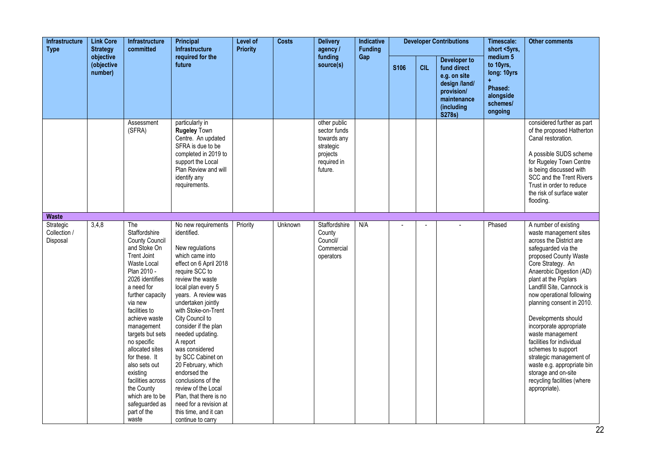| <b>Infrastructure</b><br><b>Type</b>  | <b>Link Core</b><br><b>Strategy</b> | <b>Infrastructure</b><br>committed                                                                                                                                                                                                                                                                                                                                                                                             | Principal<br><b>Infrastructure</b>                                                                                                                                                                                                                                                                                                                                                                                                                                                                                                        | <b>Level of</b><br><b>Priority</b> | <b>Costs</b> | <b>Delivery</b><br>agency /                                                                    | Indicative<br><b>Funding</b> |      |            | <b>Developer Contributions</b>                                                                                           | Timescale:<br>short <5yrs,                                                                     | <b>Other comments</b>                                                                                                                                                                                                                                                                                                                                                                                                                                                                                                                              |
|---------------------------------------|-------------------------------------|--------------------------------------------------------------------------------------------------------------------------------------------------------------------------------------------------------------------------------------------------------------------------------------------------------------------------------------------------------------------------------------------------------------------------------|-------------------------------------------------------------------------------------------------------------------------------------------------------------------------------------------------------------------------------------------------------------------------------------------------------------------------------------------------------------------------------------------------------------------------------------------------------------------------------------------------------------------------------------------|------------------------------------|--------------|------------------------------------------------------------------------------------------------|------------------------------|------|------------|--------------------------------------------------------------------------------------------------------------------------|------------------------------------------------------------------------------------------------|----------------------------------------------------------------------------------------------------------------------------------------------------------------------------------------------------------------------------------------------------------------------------------------------------------------------------------------------------------------------------------------------------------------------------------------------------------------------------------------------------------------------------------------------------|
|                                       | objective<br>(objective<br>number)  |                                                                                                                                                                                                                                                                                                                                                                                                                                | required for the<br>future                                                                                                                                                                                                                                                                                                                                                                                                                                                                                                                |                                    |              | funding<br>source(s)                                                                           | Gap                          | S106 | <b>CIL</b> | <b>Developer to</b><br>fund direct<br>e.g. on site<br>design /land/<br>provision/<br>maintenance<br>(including<br>S278s) | medium <sub>5</sub><br>to 10yrs,<br>long: 10yrs<br>Phased:<br>alongside<br>schemes/<br>ongoing |                                                                                                                                                                                                                                                                                                                                                                                                                                                                                                                                                    |
|                                       |                                     | Assessment<br>(SFRA)                                                                                                                                                                                                                                                                                                                                                                                                           | particularly in<br><b>Rugeley Town</b><br>Centre. An updated<br>SFRA is due to be<br>completed in 2019 to<br>support the Local<br>Plan Review and will<br>identify any<br>requirements.                                                                                                                                                                                                                                                                                                                                                   |                                    |              | other public<br>sector funds<br>towards any<br>strategic<br>projects<br>required in<br>future. |                              |      |            |                                                                                                                          |                                                                                                | considered further as part<br>of the proposed Hatherton<br>Canal restoration.<br>A possible SUDS scheme<br>for Rugeley Town Centre<br>is being discussed with<br>SCC and the Trent Rivers<br>Trust in order to reduce<br>the risk of surface water<br>flooding.                                                                                                                                                                                                                                                                                    |
| <b>Waste</b>                          |                                     |                                                                                                                                                                                                                                                                                                                                                                                                                                |                                                                                                                                                                                                                                                                                                                                                                                                                                                                                                                                           |                                    |              |                                                                                                |                              |      |            |                                                                                                                          |                                                                                                |                                                                                                                                                                                                                                                                                                                                                                                                                                                                                                                                                    |
| Strategic<br>Collection /<br>Disposal | 3,4,8                               | The<br>Staffordshire<br>County Council<br>and Stoke On<br><b>Trent Joint</b><br>Waste Local<br>Plan 2010 -<br>2026 identifies<br>a need for<br>further capacity<br>via new<br>facilities to<br>achieve waste<br>management<br>targets but sets<br>no specific<br>allocated sites<br>for these. It<br>also sets out<br>existing<br>facilities across<br>the County<br>which are to be<br>safeguarded as<br>part of the<br>waste | No new requirements<br>identified.<br>New regulations<br>which came into<br>effect on 6 April 2018<br>require SCC to<br>review the waste<br>local plan every 5<br>years. A review was<br>undertaken jointly<br>with Stoke-on-Trent<br>City Council to<br>consider if the plan<br>needed updating.<br>A report<br>was considered<br>by SCC Cabinet on<br>20 February, which<br>endorsed the<br>conclusions of the<br>review of the Local<br>Plan, that there is no<br>need for a revision at<br>this time, and it can<br>continue to carry | Priority                           | Unknown      | <b>Staffordshire</b><br>County<br>Council/<br>Commercial<br>operators                          | N/A                          |      |            |                                                                                                                          | Phased                                                                                         | A number of existing<br>waste management sites<br>across the District are<br>safeguarded via the<br>proposed County Waste<br>Core Strategy. An<br>Anaerobic Digestion (AD)<br>plant at the Poplars<br>Landfill Site, Cannock is<br>now operational following<br>planning consent in 2010.<br>Developments should<br>incorporate appropriate<br>waste management<br>facilities for individual<br>schemes to support<br>strategic management of<br>waste e.g. appropriate bin<br>storage and on-site<br>recycling facilities (where<br>appropriate). |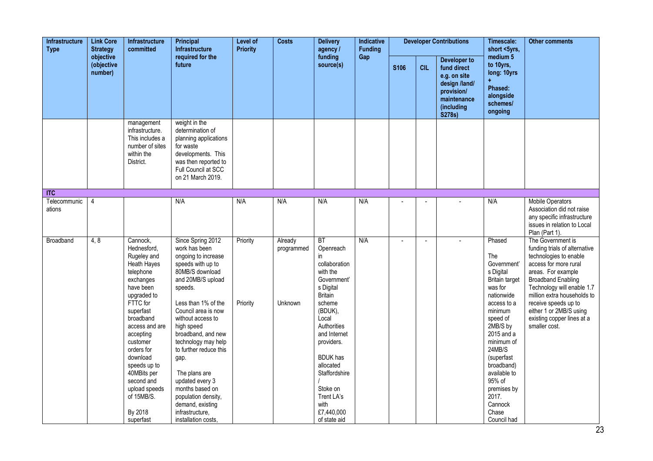| <b>Link Core</b><br><b>Infrastructure</b><br><b>Type</b><br><b>Strategy</b><br>objective | <b>Infrastructure</b><br>committed | Principal<br><b>Infrastructure</b>                                                                                                                                                                                                                                                                                                | <b>Level of</b><br><b>Priority</b>                                                                                                                                                                                                                                                                                                                                                                                                            | <b>Costs</b>         | <b>Delivery</b><br>agency /      | Indicative<br><b>Funding</b>                                                                                                                                                                                                                                                                 |     |                | <b>Developer Contributions</b> | Timescale:<br>short <5yrs,                                                                                               | <b>Other comments</b>                                                                                                                                                                                                                                                                                |                                                                                                                                                                                                                                                                                                                         |
|------------------------------------------------------------------------------------------|------------------------------------|-----------------------------------------------------------------------------------------------------------------------------------------------------------------------------------------------------------------------------------------------------------------------------------------------------------------------------------|-----------------------------------------------------------------------------------------------------------------------------------------------------------------------------------------------------------------------------------------------------------------------------------------------------------------------------------------------------------------------------------------------------------------------------------------------|----------------------|----------------------------------|----------------------------------------------------------------------------------------------------------------------------------------------------------------------------------------------------------------------------------------------------------------------------------------------|-----|----------------|--------------------------------|--------------------------------------------------------------------------------------------------------------------------|------------------------------------------------------------------------------------------------------------------------------------------------------------------------------------------------------------------------------------------------------------------------------------------------------|-------------------------------------------------------------------------------------------------------------------------------------------------------------------------------------------------------------------------------------------------------------------------------------------------------------------------|
|                                                                                          | (objective<br>number)              |                                                                                                                                                                                                                                                                                                                                   | required for the<br>future                                                                                                                                                                                                                                                                                                                                                                                                                    |                      |                                  | funding<br>source(s)                                                                                                                                                                                                                                                                         | Gap | <b>S106</b>    | <b>CIL</b>                     | <b>Developer to</b><br>fund direct<br>e.g. on site<br>design /land/<br>provision/<br>maintenance<br>(including<br>S278s) | medium 5<br>to 10yrs,<br>long: 10yrs<br>Phased:<br>alongside<br>schemes/<br>ongoing                                                                                                                                                                                                                  |                                                                                                                                                                                                                                                                                                                         |
|                                                                                          |                                    | management<br>infrastructure.<br>This includes a<br>number of sites<br>within the<br>District.                                                                                                                                                                                                                                    | weight in the<br>determination of<br>planning applications<br>for waste<br>developments. This<br>was then reported to<br>Full Council at SCC<br>on 21 March 2019.                                                                                                                                                                                                                                                                             |                      |                                  |                                                                                                                                                                                                                                                                                              |     |                |                                |                                                                                                                          |                                                                                                                                                                                                                                                                                                      |                                                                                                                                                                                                                                                                                                                         |
| $\Pi$                                                                                    |                                    |                                                                                                                                                                                                                                                                                                                                   |                                                                                                                                                                                                                                                                                                                                                                                                                                               |                      |                                  |                                                                                                                                                                                                                                                                                              |     |                |                                |                                                                                                                          |                                                                                                                                                                                                                                                                                                      |                                                                                                                                                                                                                                                                                                                         |
| Telecommunic<br>ations                                                                   | $\overline{4}$                     |                                                                                                                                                                                                                                                                                                                                   | N/A                                                                                                                                                                                                                                                                                                                                                                                                                                           | N/A                  | N/A                              | N/A                                                                                                                                                                                                                                                                                          | N/A |                |                                |                                                                                                                          | N/A                                                                                                                                                                                                                                                                                                  | <b>Mobile Operators</b><br>Association did not raise<br>any specific infrastructure<br>issues in relation to Local<br>Plan (Part 1).                                                                                                                                                                                    |
| <b>Broadband</b>                                                                         | 4, 8                               | Cannock,<br>Hednesford,<br>Rugeley and<br><b>Heath Hayes</b><br>telephone<br>exchanges<br>have been<br>upgraded to<br>FTTC for<br>superfast<br>broadband<br>access and are<br>accepting<br>customer<br>orders for<br>download<br>speeds up to<br>40MBits per<br>second and<br>upload speeds<br>of 15MB/S.<br>By 2018<br>superfast | Since Spring 2012<br>work has been<br>ongoing to increase<br>speeds with up to<br>80MB/S download<br>and 20MB/S upload<br>speeds.<br>Less than 1% of the<br>Council area is now<br>without access to<br>high speed<br>broadband, and new<br>technology may help<br>to further reduce this<br>gap.<br>The plans are<br>updated every 3<br>months based on<br>population density,<br>demand, existing<br>infrastructure,<br>installation costs. | Priority<br>Priority | Already<br>programmed<br>Unknown | BT<br>Openreach<br>in<br>collaboration<br>with the<br>Government'<br>s Digital<br><b>Britain</b><br>scheme<br>(BDUK),<br>Local<br>Authorities<br>and Internet<br>providers.<br><b>BDUK</b> has<br>allocated<br>Staffordshire<br>Stoke on<br>Trent LA's<br>with<br>£7,440,000<br>of state aid | N/A | $\blacksquare$ | $\overline{a}$                 | $\mathbf{r}$                                                                                                             | Phased<br>The<br>Government'<br>s Digital<br><b>Britain target</b><br>was for<br>nationwide<br>access to a<br>minimum<br>speed of<br>2MB/S by<br>2015 and a<br>minimum of<br>24MB/S<br>(superfast<br>broadband)<br>available to<br>95% of<br>premises by<br>2017.<br>Cannock<br>Chase<br>Council had | The Government is<br>funding trials of alternative<br>technologies to enable<br>access for more rural<br>areas. For example<br><b>Broadband Enabling</b><br>Technology will enable 1.7<br>million extra households to<br>receive speeds up to<br>either 1 or 2MB/S using<br>existing copper lines at a<br>smaller cost. |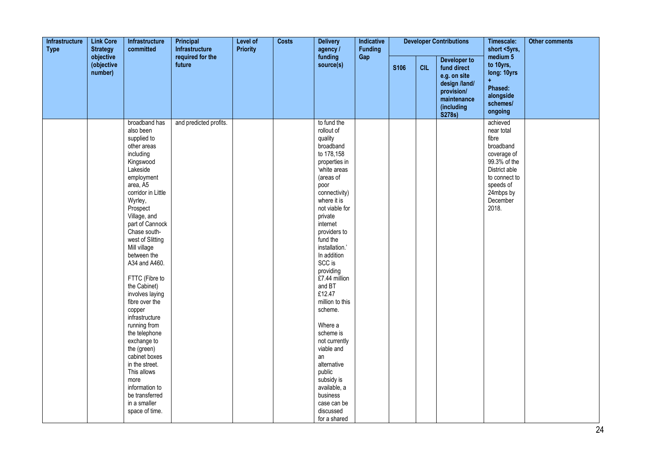| Infrastructure<br><b>Link Core</b><br><b>Strategy</b><br><b>Type</b><br>objective | Infrastructure<br>committed | Principal<br>Infrastructure                                                                                                                                                                                                                                                                                                                                                                                                                                                                                                                                                                    | Level of<br><b>Priority</b> | <b>Costs</b> | <b>Delivery</b><br>agency / | Indicative<br><b>Funding</b>                                                                                                                                                                                                                                                                                                                                                                                                                                                                                                      |     |             | <b>Developer Contributions</b> | Timescale:<br>short <5yrs,                                                                                        | <b>Other comments</b>                                                                                                                                        |  |
|-----------------------------------------------------------------------------------|-----------------------------|------------------------------------------------------------------------------------------------------------------------------------------------------------------------------------------------------------------------------------------------------------------------------------------------------------------------------------------------------------------------------------------------------------------------------------------------------------------------------------------------------------------------------------------------------------------------------------------------|-----------------------------|--------------|-----------------------------|-----------------------------------------------------------------------------------------------------------------------------------------------------------------------------------------------------------------------------------------------------------------------------------------------------------------------------------------------------------------------------------------------------------------------------------------------------------------------------------------------------------------------------------|-----|-------------|--------------------------------|-------------------------------------------------------------------------------------------------------------------|--------------------------------------------------------------------------------------------------------------------------------------------------------------|--|
|                                                                                   | (objective<br>number)       |                                                                                                                                                                                                                                                                                                                                                                                                                                                                                                                                                                                                | required for the<br>future  |              |                             | funding<br>source(s)                                                                                                                                                                                                                                                                                                                                                                                                                                                                                                              | Gap | <b>S106</b> | <b>CIL</b>                     | Developer to<br>fund direct<br>e.g. on site<br>design /land/<br>provision/<br>maintenance<br>(including<br>S278s) | medium 5<br>to 10yrs,<br>long: 10yrs<br>Ŧ<br>Phased:<br>alongside<br>schemes/<br>ongoing                                                                     |  |
|                                                                                   |                             | broadband has<br>also been<br>supplied to<br>other areas<br>including<br>Kingswood<br>Lakeside<br>employment<br>area, A5<br>corridor in Little<br>Wyrley,<br>Prospect<br>Village, and<br>part of Cannock<br>Chase south-<br>west of Slitting<br>Mill village<br>between the<br>A34 and A460.<br>FTTC (Fibre to<br>the Cabinet)<br>involves laying<br>fibre over the<br>copper<br>infrastructure<br>running from<br>the telephone<br>exchange to<br>the (green)<br>cabinet boxes<br>in the street.<br>This allows<br>more<br>information to<br>be transferred<br>in a smaller<br>space of time. | and predicted profits.      |              |                             | to fund the<br>rollout of<br>quality<br>broadband<br>to 178,158<br>properties in<br>'white areas<br>(areas of<br>poor<br>connectivity)<br>where it is<br>not viable for<br>private<br>internet<br>providers to<br>fund the<br>installation.'<br>In addition<br>SCC is<br>providing<br>£7.44 million<br>and BT<br>£12.47<br>million to this<br>scheme.<br>Where a<br>scheme is<br>not currently<br>viable and<br>an<br>alternative<br>public<br>subsidy is<br>available, a<br>business<br>case can be<br>discussed<br>for a shared |     |             |                                |                                                                                                                   | achieved<br>near total<br>fibre<br>broadband<br>coverage of<br>99.3% of the<br>District able<br>to connect to<br>speeds of<br>24mbps by<br>December<br>2018. |  |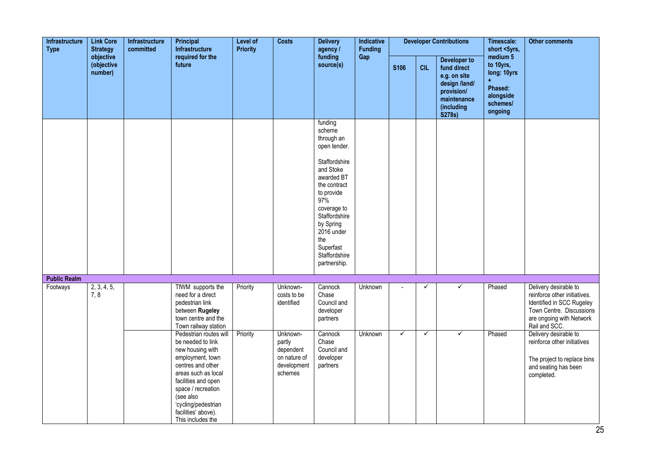| Infrastructure<br><b>Type</b> | <b>Link Core</b><br><b>Strategy</b> | Infrastructure<br>committed | Principal<br>Infrastructure                                                                                                                                                                                                                                  | Level of<br><b>Priority</b> | <b>Costs</b>                                                              | <b>Delivery</b><br>agency /                                                                                                                                                                                                                      | Indicative<br><b>Funding</b> |                |              | <b>Developer Contributions</b>                                                                                    | Timescale:<br>short <5yrs,                                                                     | <b>Other comments</b>                                                                                                                                       |
|-------------------------------|-------------------------------------|-----------------------------|--------------------------------------------------------------------------------------------------------------------------------------------------------------------------------------------------------------------------------------------------------------|-----------------------------|---------------------------------------------------------------------------|--------------------------------------------------------------------------------------------------------------------------------------------------------------------------------------------------------------------------------------------------|------------------------------|----------------|--------------|-------------------------------------------------------------------------------------------------------------------|------------------------------------------------------------------------------------------------|-------------------------------------------------------------------------------------------------------------------------------------------------------------|
|                               | objective<br>(objective<br>number)  |                             | required for the<br>future                                                                                                                                                                                                                                   |                             |                                                                           | funding<br>source(s)                                                                                                                                                                                                                             | Gap                          | <b>S106</b>    | <b>CIL</b>   | Developer to<br>fund direct<br>e.g. on site<br>design /land/<br>provision/<br>maintenance<br>(including<br>S278s) | medium <sub>5</sub><br>to 10yrs,<br>long: 10yrs<br>Phased:<br>alongside<br>schemes/<br>ongoing |                                                                                                                                                             |
|                               |                                     |                             |                                                                                                                                                                                                                                                              |                             |                                                                           | funding<br>scheme<br>through an<br>open tender.<br>Staffordshire<br>and Stoke<br>awarded BT<br>the contract<br>to provide<br>97%<br>coverage to<br>Staffordshire<br>by Spring<br>2016 under<br>the<br>Superfast<br>Staffordshire<br>partnership. |                              |                |              |                                                                                                                   |                                                                                                |                                                                                                                                                             |
| <b>Public Realm</b>           |                                     |                             |                                                                                                                                                                                                                                                              |                             |                                                                           |                                                                                                                                                                                                                                                  |                              |                |              |                                                                                                                   |                                                                                                |                                                                                                                                                             |
| Footways                      | 2, 3, 4, 5,<br>7, 8                 |                             | TfWM supports the<br>need for a direct<br>pedestrian link<br>between Rugeley<br>town centre and the<br>Town railway station                                                                                                                                  | Priority                    | Unknown-<br>costs to be<br>identified                                     | Cannock<br>Chase<br>Council and<br>developer<br>partners                                                                                                                                                                                         | Unknown                      | $\blacksquare$ | $\checkmark$ | $\checkmark$                                                                                                      | Phased                                                                                         | Delivery desirable to<br>reinforce other initiatives.<br>Identified in SCC Rugeley<br>Town Centre. Discussions<br>are ongoing with Network<br>Rail and SCC. |
|                               |                                     |                             | Pedestrian routes will<br>be needed to link<br>new housing with<br>employment, town<br>centres and other<br>areas such as local<br>facilities and open<br>space / recreation<br>(see also<br>'cycling/pedestrian<br>facilities' above).<br>This includes the | Priority                    | Unknown-<br>partly<br>dependent<br>on nature of<br>development<br>schemes | Cannock<br>Chase<br>Council and<br>developer<br>partners                                                                                                                                                                                         | Unknown                      | ✓              | ✓            | ✓                                                                                                                 | Phased                                                                                         | Delivery desirable to<br>reinforce other initiatives<br>The project to replace bins<br>and seating has been<br>completed.                                   |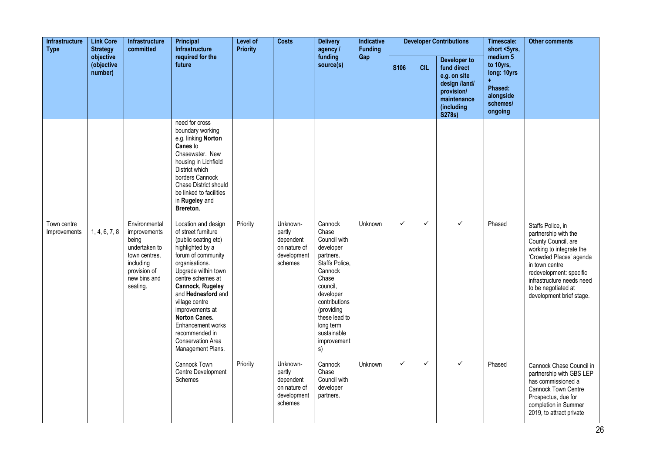| Infrastructure<br><b>Link Core</b><br><b>Type</b><br><b>Strategy</b><br>objective | Infrastructure<br>committed | <b>Principal</b><br>Infrastructure                                                                                                | Level of<br><b>Priority</b>                                                                                                                                                                                                                                                                                                                                        | <b>Costs</b> | <b>Delivery</b><br>agency /                                               | Indicative<br><b>Funding</b>                                                                                                                                                                                               |                |              | <b>Developer Contributions</b> | Timescale:<br>short <5yrs,                                                                                                      | <b>Other comments</b>                                                                      |                                                                                                                                                                                                                                                      |
|-----------------------------------------------------------------------------------|-----------------------------|-----------------------------------------------------------------------------------------------------------------------------------|--------------------------------------------------------------------------------------------------------------------------------------------------------------------------------------------------------------------------------------------------------------------------------------------------------------------------------------------------------------------|--------------|---------------------------------------------------------------------------|----------------------------------------------------------------------------------------------------------------------------------------------------------------------------------------------------------------------------|----------------|--------------|--------------------------------|---------------------------------------------------------------------------------------------------------------------------------|--------------------------------------------------------------------------------------------|------------------------------------------------------------------------------------------------------------------------------------------------------------------------------------------------------------------------------------------------------|
|                                                                                   | (objective<br>number)       |                                                                                                                                   | required for the<br>future                                                                                                                                                                                                                                                                                                                                         |              |                                                                           | funding<br>source(s)                                                                                                                                                                                                       | Gap            | <b>S106</b>  | <b>CIL</b>                     | <b>Developer to</b><br>fund direct<br>e.g. on site<br>design /land/<br>provision/<br>maintenance<br>(including<br><b>S278s)</b> | medium 5<br>to 10yrs,<br>long: 10yrs<br>$+$<br>Phased:<br>alongside<br>schemes/<br>ongoing |                                                                                                                                                                                                                                                      |
|                                                                                   |                             |                                                                                                                                   | need for cross<br>boundary working<br>e.g. linking Norton<br>Canes to<br>Chasewater. New<br>housing in Lichfield<br>District which<br>borders Cannock<br><b>Chase District should</b><br>be linked to facilities<br>in Rugeley and<br>Brereton.                                                                                                                    |              |                                                                           |                                                                                                                                                                                                                            |                |              |                                |                                                                                                                                 |                                                                                            |                                                                                                                                                                                                                                                      |
| Town centre<br>Improvements                                                       | 1, 4, 6, 7, 8               | Environmental<br>improvements<br>being<br>undertaken to<br>town centres.<br>including<br>provision of<br>new bins and<br>seating. | Location and design<br>of street furniture<br>(public seating etc)<br>highlighted by a<br>forum of community<br>organisations.<br>Upgrade within town<br>centre schemes at<br>Cannock, Rugeley<br>and Hednesford and<br>village centre<br>improvements at<br><b>Norton Canes.</b><br>Enhancement works<br>recommended in<br>Conservation Area<br>Management Plans. | Priority     | Unknown-<br>partly<br>dependent<br>on nature of<br>development<br>schemes | Cannock<br>Chase<br>Council with<br>developer<br>partners.<br>Staffs Police,<br>Cannock<br>Chase<br>council,<br>developer<br>contributions<br>(providing<br>these lead to<br>long term<br>sustainable<br>improvement<br>s) | <b>Unknown</b> | $\checkmark$ | $\checkmark$                   | $\checkmark$                                                                                                                    | Phased                                                                                     | Staffs Police, in<br>partnership with the<br>County Council, are<br>working to integrate the<br>'Crowded Places' agenda<br>in town centre<br>redevelopment: specific<br>infrastructure needs need<br>to be negotiated at<br>development brief stage. |
|                                                                                   |                             |                                                                                                                                   | Cannock Town<br>Centre Development<br><b>Schemes</b>                                                                                                                                                                                                                                                                                                               | Priority     | Unknown-<br>partly<br>dependent<br>on nature of<br>development<br>schemes | Cannock<br>Chase<br>Council with<br>developer<br>partners.                                                                                                                                                                 | Unknown        | $\checkmark$ | $\checkmark$                   | $\checkmark$                                                                                                                    | Phased                                                                                     | Cannock Chase Council in<br>partnership with GBS LEP<br>has commissioned a<br><b>Cannock Town Centre</b><br>Prospectus, due for<br>completion in Summer<br>2019, to attract private                                                                  |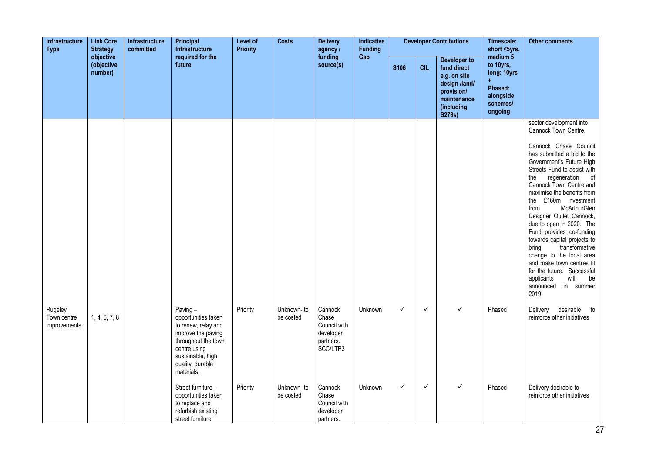| Infrastructure<br><b>Type</b>          | <b>Link Core</b><br><b>Strategy</b> | Infrastructure<br>committed | Principal<br>Infrastructure                                                                                                                                                  | Level of<br><b>Priority</b> | <b>Costs</b>             | <b>Delivery</b><br>agency /                                            | Indicative<br><b>Funding</b> |              |              | <b>Developer Contributions</b>                                                                                    | Timescale:<br>short <5yrs,                                                                          | <b>Other comments</b>                                                                                                                                                                                                                                                                                                                                                                                                                                                                                                                                                                                 |
|----------------------------------------|-------------------------------------|-----------------------------|------------------------------------------------------------------------------------------------------------------------------------------------------------------------------|-----------------------------|--------------------------|------------------------------------------------------------------------|------------------------------|--------------|--------------|-------------------------------------------------------------------------------------------------------------------|-----------------------------------------------------------------------------------------------------|-------------------------------------------------------------------------------------------------------------------------------------------------------------------------------------------------------------------------------------------------------------------------------------------------------------------------------------------------------------------------------------------------------------------------------------------------------------------------------------------------------------------------------------------------------------------------------------------------------|
|                                        | objective<br>(objective<br>number)  |                             | required for the<br>future                                                                                                                                                   |                             |                          | funding<br>source(s)                                                   | Gap                          | <b>S106</b>  | <b>CIL</b>   | Developer to<br>fund direct<br>e.g. on site<br>design /land/<br>provision/<br>maintenance<br>(including<br>S278s) | medium <sub>5</sub><br>to 10yrs,<br>long: 10yrs<br>÷<br>Phased:<br>alongside<br>schemes/<br>ongoing |                                                                                                                                                                                                                                                                                                                                                                                                                                                                                                                                                                                                       |
|                                        |                                     |                             |                                                                                                                                                                              |                             |                          |                                                                        |                              |              |              |                                                                                                                   |                                                                                                     | sector development into<br>Cannock Town Centre.<br>Cannock Chase Council<br>has submitted a bid to the<br>Government's Future High<br>Streets Fund to assist with<br>regeneration of<br>the<br>Cannock Town Centre and<br>maximise the benefits from<br>the £160m investment<br>McArthurGlen<br>from<br>Designer Outlet Cannock,<br>due to open in 2020. The<br>Fund provides co-funding<br>towards capital projects to<br>transformative<br>bring<br>change to the local area<br>and make town centres fit<br>for the future. Successful<br>will<br>applicants<br>be<br>announced in summer<br>2019. |
| Rugeley<br>Town centre<br>improvements | 1, 4, 6, 7, 8                       |                             | Paving $-$<br>opportunities taken<br>to renew, relay and<br>improve the paving<br>throughout the town<br>centre using<br>sustainable, high<br>quality, durable<br>materials. | Priority                    | Unknown- to<br>be costed | Cannock<br>Chase<br>Council with<br>developer<br>partners.<br>SCC/LTP3 | Unknown                      | $\checkmark$ | $\checkmark$ | $\checkmark$                                                                                                      | Phased                                                                                              | desirable to<br>Delivery<br>reinforce other initiatives                                                                                                                                                                                                                                                                                                                                                                                                                                                                                                                                               |
|                                        |                                     |                             | Street furniture -<br>opportunities taken<br>to replace and<br>refurbish existing<br>street furniture                                                                        | Priority                    | Unknown- to<br>be costed | Cannock<br>Chase<br>Council with<br>developer<br>partners.             | Unknown                      | ✓            | $\checkmark$ | ✓                                                                                                                 | Phased                                                                                              | Delivery desirable to<br>reinforce other initiatives                                                                                                                                                                                                                                                                                                                                                                                                                                                                                                                                                  |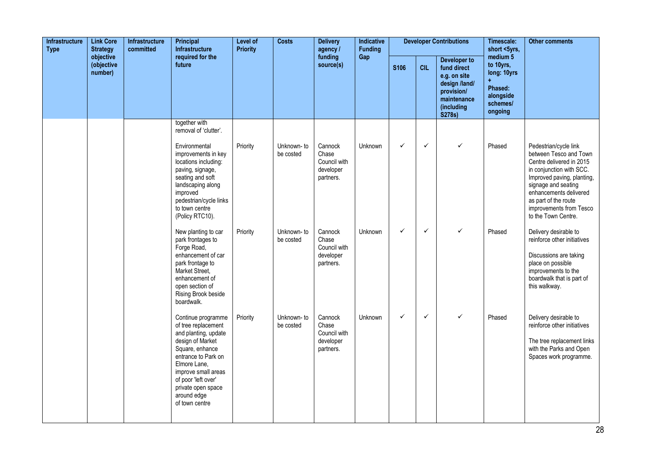| Infrastructure<br><b>Type</b><br>objective | <b>Link Core</b><br><b>Strategy</b> | Infrastructure<br>committed | <b>Principal</b><br><b>Infrastructure</b>                                                                                                                                                                                                            | Level of<br><b>Priority</b> | <b>Costs</b>            | <b>Delivery</b><br>agency /                                | Indicative<br><b>Funding</b> |             |              | <b>Developer Contributions</b>                                                                                    | Timescale:<br>short <5yrs,                                                                     | <b>Other comments</b>                                                                                                                                                                  |
|--------------------------------------------|-------------------------------------|-----------------------------|------------------------------------------------------------------------------------------------------------------------------------------------------------------------------------------------------------------------------------------------------|-----------------------------|-------------------------|------------------------------------------------------------|------------------------------|-------------|--------------|-------------------------------------------------------------------------------------------------------------------|------------------------------------------------------------------------------------------------|----------------------------------------------------------------------------------------------------------------------------------------------------------------------------------------|
|                                            | (objective<br>number)               |                             | required for the<br>future                                                                                                                                                                                                                           |                             |                         | funding<br>source(s)                                       | Gap                          | <b>S106</b> | <b>CIL</b>   | Developer to<br>fund direct<br>e.g. on site<br>design /land/<br>provision/<br>maintenance<br>(including<br>S278s) | medium <sub>5</sub><br>to 10yrs,<br>long: 10yrs<br>Phased:<br>alongside<br>schemes/<br>ongoing |                                                                                                                                                                                        |
|                                            |                                     |                             | together with<br>removal of 'clutter'.<br>Environmental<br>improvements in key<br>locations including:<br>paving, signage,<br>seating and soft<br>landscaping along                                                                                  | Priority                    | Unknown-to<br>be costed | Cannock<br>Chase<br>Council with<br>developer<br>partners. | Unknown                      | ✓           | $\checkmark$ | $\checkmark$                                                                                                      | Phased                                                                                         | Pedestrian/cycle link<br>between Tesco and Town<br>Centre delivered in 2015<br>in conjunction with SCC.<br>Improved paving, planting,<br>signage and seating<br>enhancements delivered |
|                                            |                                     |                             | improved<br>pedestrian/cycle links<br>to town centre<br>(Policy RTC10).<br>New planting to car<br>park frontages to                                                                                                                                  | Priority                    | Unknown-to<br>be costed | Cannock<br>Chase                                           | Unknown                      | ✓           | $\checkmark$ | ✓                                                                                                                 | Phased                                                                                         | as part of the route<br>improvements from Tesco<br>to the Town Centre.<br>Delivery desirable to<br>reinforce other initiatives                                                         |
|                                            |                                     |                             | Forge Road,<br>enhancement of car<br>park frontage to<br>Market Street,<br>enhancement of<br>open section of<br>Rising Brook beside<br>boardwalk.                                                                                                    |                             |                         | Council with<br>developer<br>partners.                     |                              |             |              |                                                                                                                   |                                                                                                | Discussions are taking<br>place on possible<br>improvements to the<br>boardwalk that is part of<br>this walkway.                                                                       |
|                                            |                                     |                             | Continue programme<br>of tree replacement<br>and planting, update<br>design of Market<br>Square, enhance<br>entrance to Park on<br>Elmore Lane,<br>improve small areas<br>of poor 'left over'<br>private open space<br>around edge<br>of town centre | Priority                    | Unknown-to<br>be costed | Cannock<br>Chase<br>Council with<br>developer<br>partners. | Unknown                      | ✓           | $\checkmark$ | $\checkmark$                                                                                                      | Phased                                                                                         | Delivery desirable to<br>reinforce other initiatives<br>The tree replacement links<br>with the Parks and Open<br>Spaces work programme.                                                |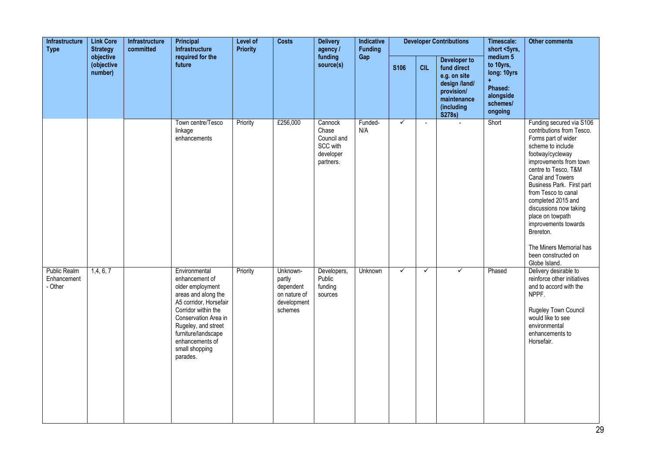| Infrastructure<br><b>Type</b>                 | <b>Link Core</b><br><b>Strategy</b><br>objective | Infrastructure<br>committed | <b>Principal</b><br>Infrastructure                                                                                                                                                                                                                 | Level of<br><b>Priority</b> | <b>Costs</b>                                                              | <b>Delivery</b><br>agency /                                           | Indicative<br><b>Funding</b> |              |              | <b>Developer Contributions</b>                                                                                           | Timescale:<br>short <5yrs,                                                          | <b>Other comments</b>                                                                                                                                                                                                                                                                                                                                                                                                       |
|-----------------------------------------------|--------------------------------------------------|-----------------------------|----------------------------------------------------------------------------------------------------------------------------------------------------------------------------------------------------------------------------------------------------|-----------------------------|---------------------------------------------------------------------------|-----------------------------------------------------------------------|------------------------------|--------------|--------------|--------------------------------------------------------------------------------------------------------------------------|-------------------------------------------------------------------------------------|-----------------------------------------------------------------------------------------------------------------------------------------------------------------------------------------------------------------------------------------------------------------------------------------------------------------------------------------------------------------------------------------------------------------------------|
|                                               | (objective<br>number)                            |                             | required for the<br>future                                                                                                                                                                                                                         |                             |                                                                           | funding<br>source(s)                                                  | Gap                          | <b>S106</b>  | <b>CIL</b>   | <b>Developer to</b><br>fund direct<br>e.g. on site<br>design /land/<br>provision/<br>maintenance<br>(including<br>S278s) | medium 5<br>to 10yrs,<br>long: 10yrs<br>Phased:<br>alongside<br>schemes/<br>ongoing |                                                                                                                                                                                                                                                                                                                                                                                                                             |
|                                               |                                                  |                             | Town centre/Tesco<br>linkage<br>enhancements                                                                                                                                                                                                       | Priority                    | £256,000                                                                  | Cannock<br>Chase<br>Council and<br>SCC with<br>developer<br>partners. | Funded-<br>N/A               | $\checkmark$ | $\mathbf{r}$ |                                                                                                                          | Short                                                                               | Funding secured via S106<br>contributions from Tesco.<br>Forms part of wider<br>scheme to include<br>footway/cycleway<br>improvements from town<br>centre to Tesco, T&M<br>Canal and Towers<br>Business Park. First part<br>from Tesco to canal<br>completed 2015 and<br>discussions now taking<br>place on towpath<br>improvements towards<br>Brereton.<br>The Miners Memorial has<br>been constructed on<br>Globe Island. |
| <b>Public Realm</b><br>Enhancement<br>- Other | 1,4,6,7                                          |                             | Environmental<br>enhancement of<br>older employment<br>areas and along the<br>A5 corridor, Horsefair<br>Corridor within the<br>Conservation Area in<br>Rugeley, and street<br>furniture/landscape<br>enhancements of<br>small shopping<br>parades. | Priority                    | Unknown-<br>partly<br>dependent<br>on nature of<br>development<br>schemes | Developers,<br>Public<br>funding<br>sources                           | Unknown                      | ✓            | $\checkmark$ | ✓                                                                                                                        | Phased                                                                              | Delivery desirable to<br>reinforce other initiatives<br>and to accord with the<br>NPPF.<br>Rugeley Town Council<br>would like to see<br>environmental<br>enhancements to<br>Horsefair.                                                                                                                                                                                                                                      |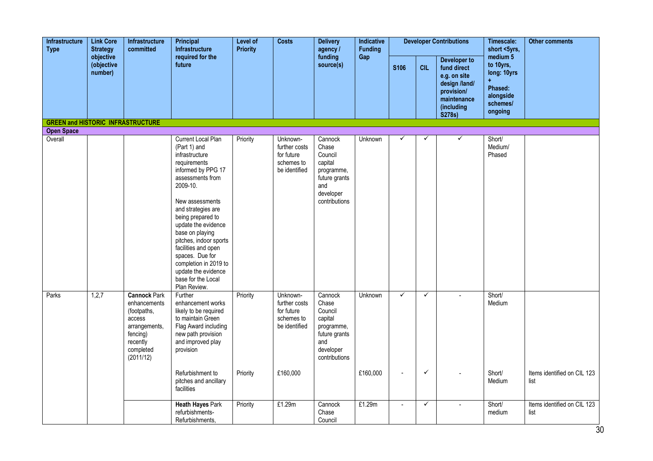| Infrastructure<br><b>Type</b>                                 | <b>Link Core</b><br><b>Strategy</b> | <b>Infrastructure</b><br>committed                                                                                              | Principal<br>Infrastructure                                                                                                                                                                                                                                                                                                                                                                  | <b>Level of</b><br><b>Priority</b> | <b>Costs</b>                                                                       | <b>Delivery</b><br>agency /                                                                                | Indicative<br><b>Funding</b> |                        |                   | <b>Developer Contributions</b>                                                                                    | Timescale:<br>short <5yrs,                                                          | <b>Other comments</b>               |
|---------------------------------------------------------------|-------------------------------------|---------------------------------------------------------------------------------------------------------------------------------|----------------------------------------------------------------------------------------------------------------------------------------------------------------------------------------------------------------------------------------------------------------------------------------------------------------------------------------------------------------------------------------------|------------------------------------|------------------------------------------------------------------------------------|------------------------------------------------------------------------------------------------------------|------------------------------|------------------------|-------------------|-------------------------------------------------------------------------------------------------------------------|-------------------------------------------------------------------------------------|-------------------------------------|
|                                                               | objective<br>(objective<br>number)  |                                                                                                                                 | required for the<br>future                                                                                                                                                                                                                                                                                                                                                                   |                                    |                                                                                    | funding<br>source(s)                                                                                       | Gap                          | S106                   | <b>CIL</b>        | Developer to<br>fund direct<br>e.g. on site<br>design /land/<br>provision/<br>maintenance<br>(including<br>S278s) | medium 5<br>to 10yrs,<br>long: 10yrs<br>Phased:<br>alongside<br>schemes/<br>ongoing |                                     |
| <b>GREEN and HISTORIC INFRASTRUCTURE</b><br><b>Open Space</b> |                                     |                                                                                                                                 |                                                                                                                                                                                                                                                                                                                                                                                              |                                    |                                                                                    |                                                                                                            |                              |                        |                   |                                                                                                                   |                                                                                     |                                     |
| Overall                                                       |                                     |                                                                                                                                 | Current Local Plan<br>(Part 1) and<br>infrastructure<br>requirements<br>informed by PPG 17<br>assessments from<br>2009-10.<br>New assessments<br>and strategies are<br>being prepared to<br>update the evidence<br>base on playing<br>pitches, indoor sports<br>facilities and open<br>spaces. Due for<br>completion in 2019 to<br>update the evidence<br>base for the Local<br>Plan Review. | Priority                           | Unknown-<br>further costs<br>for future<br>schemes to<br>be identified             | Cannock<br>Chase<br>Council<br>capital<br>programme,<br>future grants<br>and<br>developer<br>contributions | Unknown                      | $\checkmark$           | ✓                 | ✓                                                                                                                 | Short/<br>Medium/<br>Phased                                                         |                                     |
| Parks                                                         | 1,2,7                               | <b>Cannock Park</b><br>enhancements<br>(footpaths,<br>access<br>arrangements,<br>fencing)<br>recently<br>completed<br>(2011/12) | Further<br>enhancement works<br>likely to be required<br>to maintain Green<br>Flag Award including<br>new path provision<br>and improved play<br>provision<br>Refurbishment to<br>pitches and ancillary<br>facilities                                                                                                                                                                        | Priority<br>Priority               | Unknown-<br>further costs<br>for future<br>schemes to<br>be identified<br>£160,000 | Cannock<br>Chase<br>Council<br>capital<br>programme,<br>future grants<br>and<br>developer<br>contributions | Unknown<br>£160,000          | $\checkmark$<br>$\sim$ | $\checkmark$<br>✓ | $\overline{\phantom{a}}$                                                                                          | Short/<br>Medium<br>Short/<br>Medium                                                | Items identified on CIL 123<br>list |
|                                                               |                                     |                                                                                                                                 | <b>Heath Hayes Park</b><br>refurbishments-<br>Refurbishments,                                                                                                                                                                                                                                                                                                                                | Priority                           | £1.29m                                                                             | Cannock<br>Chase<br>Council                                                                                | £1.29m                       | $\sim$                 | $\checkmark$      |                                                                                                                   | Short/<br>medium                                                                    | Items identified on CIL 123<br>list |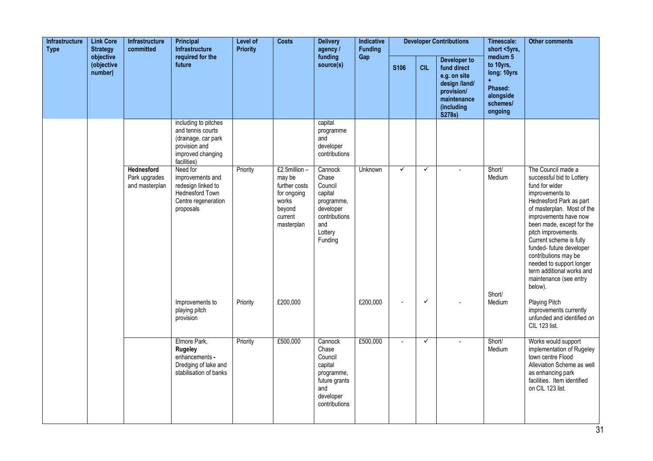| Infrastructure<br><b>Type</b> | <b>Link Core</b><br><b>Strategy</b> | Infrastructure<br>committed                          | <b>Principal</b><br><b>Infrastructure</b>                                                                             | Level of<br><b>Priority</b> | <b>Costs</b>                                                                                       | <b>Delivery</b><br>agency /                                                                                     | Indicative<br>Funding |                          |              | <b>Developer Contributions</b>                                                                                    | Timescale:<br>short <5yrs,                                                                | <b>Other comments</b>                                                                                                                                                                                                                                                                                                                                                                                   |
|-------------------------------|-------------------------------------|------------------------------------------------------|-----------------------------------------------------------------------------------------------------------------------|-----------------------------|----------------------------------------------------------------------------------------------------|-----------------------------------------------------------------------------------------------------------------|-----------------------|--------------------------|--------------|-------------------------------------------------------------------------------------------------------------------|-------------------------------------------------------------------------------------------|---------------------------------------------------------------------------------------------------------------------------------------------------------------------------------------------------------------------------------------------------------------------------------------------------------------------------------------------------------------------------------------------------------|
|                               | objective<br>(objective<br>number)  |                                                      | required for the<br>future                                                                                            |                             |                                                                                                    | funding<br>source(s)                                                                                            | Gap                   | <b>S106</b>              | <b>CIL</b>   | Developer to<br>fund direct<br>e.g. on site<br>design /land/<br>provision/<br>maintenance<br>(including<br>S278s) | medium 5<br>to 10yrs,<br>long: 10yrs<br>Ŧ.<br>Phased:<br>alongside<br>schemes/<br>ongoing |                                                                                                                                                                                                                                                                                                                                                                                                         |
|                               |                                     |                                                      | including to pitches<br>and tennis courts<br>(drainage, car park<br>provision and<br>improved changing<br>facilities) |                             |                                                                                                    | capital<br>programme<br>and<br>developer<br>contributions                                                       |                       |                          |              |                                                                                                                   |                                                                                           |                                                                                                                                                                                                                                                                                                                                                                                                         |
|                               |                                     | <b>Hednesford</b><br>Park upgrades<br>and masterplan | Need for<br>improvements and<br>redesign linked to<br>Hednesford Town<br>Centre regeneration<br>proposals             | Priority                    | £2.5million-<br>may be<br>further costs<br>for ongoing<br>works<br>beyond<br>current<br>masterplan | Cannock<br>Chase<br>Council<br>capital<br>programme,<br>developer<br>contributions<br>and<br>Lottery<br>Funding | Unknown               | $\checkmark$             | ✓            |                                                                                                                   | Short/<br>Medium                                                                          | The Council made a<br>successful bid to Lottery<br>fund for wider<br>improvements to<br>Hednesford Park as part<br>of masterplan. Most of the<br>improvements have now<br>been made, except for the<br>pitch improvements.<br>Current scheme is fully<br>funded- future developer<br>contributions may be<br>needed to support longer<br>term additional works and<br>maintenance (see entry<br>below). |
|                               |                                     |                                                      | Improvements to<br>playing pitch<br>provision                                                                         | Priority                    | £200,000                                                                                           |                                                                                                                 | £200,000              | $\overline{\phantom{a}}$ | $\checkmark$ |                                                                                                                   | Short/<br>Medium                                                                          | Playing Pitch<br>improvements currently<br>unfunded and identified on<br>CIL 123 list.                                                                                                                                                                                                                                                                                                                  |
|                               |                                     |                                                      | Elmore Park,<br>Rugeley<br>enhancements -<br>Dredging of lake and<br>stabilisation of banks                           | Priority                    | £500,000                                                                                           | Cannock<br>Chase<br>Council<br>capital<br>programme,<br>future grants<br>and<br>developer<br>contributions      | £500,000              | $\omega$                 | $\checkmark$ |                                                                                                                   | Short/<br>Medium                                                                          | Works would support<br>implementation of Rugeley<br>town centre Flood<br>Alleviation Scheme as well<br>as enhancing park<br>facilities. Item identified<br>on CIL 123 list.                                                                                                                                                                                                                             |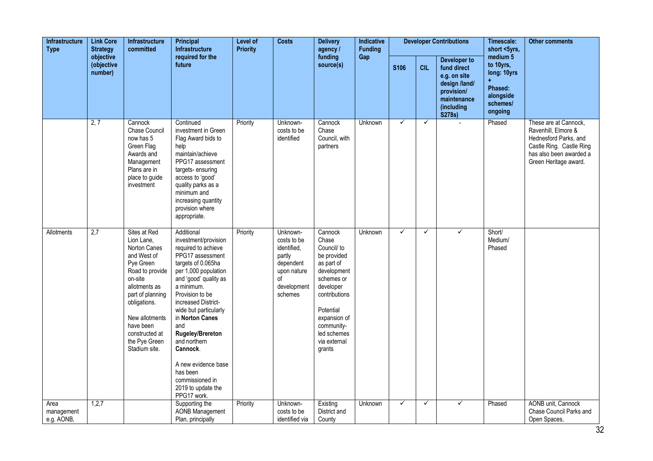| <b>Link Core</b><br><b>Infrastructure</b><br><b>Type</b><br><b>Strategy</b><br>objective | <b>Infrastructure</b><br>committed | Principal<br><b>Infrastructure</b>                                                                                                                                                                                                           | Level of<br><b>Priority</b>                                                                                                                                                                                                                                                                                                                                                                                | <b>Costs</b> | <b>Delivery</b><br>agency /                                                                                  | <b>Indicative</b><br><b>Funding</b>                                                                                                                                                                         |                |              | <b>Developer Contributions</b> | Timescale:<br>short <5yrs,                                                                                        | <b>Other comments</b>                                                               |                                                                                                                                                       |
|------------------------------------------------------------------------------------------|------------------------------------|----------------------------------------------------------------------------------------------------------------------------------------------------------------------------------------------------------------------------------------------|------------------------------------------------------------------------------------------------------------------------------------------------------------------------------------------------------------------------------------------------------------------------------------------------------------------------------------------------------------------------------------------------------------|--------------|--------------------------------------------------------------------------------------------------------------|-------------------------------------------------------------------------------------------------------------------------------------------------------------------------------------------------------------|----------------|--------------|--------------------------------|-------------------------------------------------------------------------------------------------------------------|-------------------------------------------------------------------------------------|-------------------------------------------------------------------------------------------------------------------------------------------------------|
|                                                                                          | (objective<br>number)              |                                                                                                                                                                                                                                              | required for the<br>future                                                                                                                                                                                                                                                                                                                                                                                 |              |                                                                                                              | funding<br>source(s)                                                                                                                                                                                        | Gap            | <b>S106</b>  | <b>CIL</b>                     | Developer to<br>fund direct<br>e.g. on site<br>design /land/<br>provision/<br>maintenance<br>(including<br>S278s) | medium 5<br>to 10yrs,<br>long: 10yrs<br>Phased:<br>alongside<br>schemes/<br>ongoing |                                                                                                                                                       |
|                                                                                          | 2, 7                               | Cannock<br><b>Chase Council</b><br>now has 5<br>Green Flag<br>Awards and<br>Management<br>Plans are in<br>place to guide<br>investment                                                                                                       | Continued<br>investment in Green<br>Flag Award bids to<br>help<br>maintain/achieve<br>PPG17 assessment<br>targets-ensuring<br>access to 'good'<br>quality parks as a<br>minimum and<br>increasing quantity<br>provision where<br>appropriate.                                                                                                                                                              | Priority     | Unknown-<br>costs to be<br>identified                                                                        | Cannock<br>Chase<br>Council, with<br>partners                                                                                                                                                               | Unknown        | $\checkmark$ | ✓                              |                                                                                                                   | Phased                                                                              | These are at Cannock,<br>Ravenhill, Elmore &<br>Hednesford Parks, and<br>Castle Ring. Castle Ring<br>has also been awarded a<br>Green Heritage award. |
| Allotments                                                                               | $\overline{2,7}$                   | Sites at Red<br>Lion Lane,<br>Norton Canes<br>and West of<br>Pye Green<br>Road to provide<br>on-site<br>allotments as<br>part of planning<br>obligations.<br>New allotments<br>have been<br>constructed at<br>the Pye Green<br>Stadium site. | Additional<br>investment/provision<br>required to achieve<br>PPG17 assessment<br>targets of 0.065ha<br>per 1,000 population<br>and 'good' quality as<br>a minimum.<br>Provision to be<br>increased District-<br>wide but particularly<br>in Norton Canes<br>and<br>Rugeley/Brereton<br>and northern<br>Cannock.<br>A new evidence base<br>has been<br>commissioned in<br>2019 to update the<br>PPG17 work. | Priority     | Unknown-<br>costs to be<br>identified,<br>partly<br>dependent<br>upon nature<br>οf<br>development<br>schemes | Cannock<br>Chase<br>Council/ to<br>be provided<br>as part of<br>development<br>schemes or<br>developer<br>contributions<br>Potential<br>expansion of<br>community-<br>led schemes<br>via external<br>grants | <b>Unknown</b> | $\checkmark$ | ✓                              | ✓                                                                                                                 | Short/<br>Medium/<br>Phased                                                         |                                                                                                                                                       |
| Area<br>management<br>e.g. AONB,                                                         | 1,2,7                              |                                                                                                                                                                                                                                              | Supporting the<br><b>AONB</b> Management<br>Plan, principally                                                                                                                                                                                                                                                                                                                                              | Priority     | Unknown-<br>costs to be<br>identified via                                                                    | Existing<br>District and<br>County                                                                                                                                                                          | <b>Unknown</b> | $\checkmark$ | ✓                              | $\checkmark$                                                                                                      | Phased                                                                              | AONB unit, Cannock<br>Chase Council Parks and<br>Open Spaces,                                                                                         |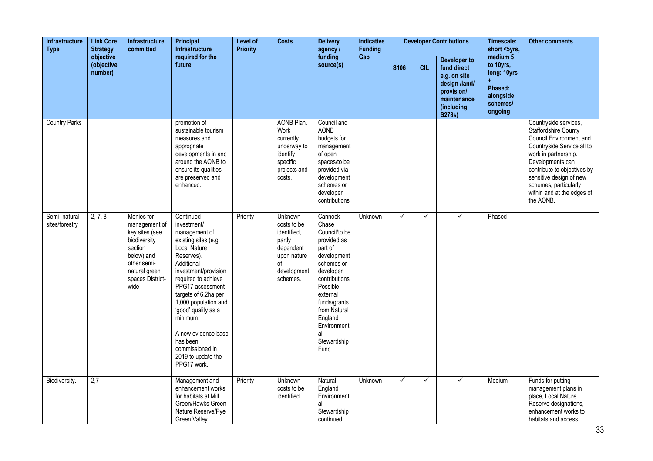| <b>Link Core</b><br><b>Infrastructure</b><br><b>Type</b><br><b>Strategy</b><br>objective | <b>Infrastructure</b><br>committed | Principal<br><b>Infrastructure</b>                                                                                                                 | Level of<br><b>Priority</b>                                                                                                                                                                                                                                                                                                                                           | <b>Costs</b> | <b>Delivery</b><br>agency /                                                                                   | <b>Indicative</b><br><b>Funding</b>                                                                                                                                                                                                   |                |              | <b>Developer Contributions</b> | Timescale:<br>short <5yrs,                                                                                        | <b>Other comments</b>                                                               |                                                                                                                                                                                                                                                                                                |
|------------------------------------------------------------------------------------------|------------------------------------|----------------------------------------------------------------------------------------------------------------------------------------------------|-----------------------------------------------------------------------------------------------------------------------------------------------------------------------------------------------------------------------------------------------------------------------------------------------------------------------------------------------------------------------|--------------|---------------------------------------------------------------------------------------------------------------|---------------------------------------------------------------------------------------------------------------------------------------------------------------------------------------------------------------------------------------|----------------|--------------|--------------------------------|-------------------------------------------------------------------------------------------------------------------|-------------------------------------------------------------------------------------|------------------------------------------------------------------------------------------------------------------------------------------------------------------------------------------------------------------------------------------------------------------------------------------------|
|                                                                                          | (objective<br>number)              |                                                                                                                                                    | required for the<br>future                                                                                                                                                                                                                                                                                                                                            |              |                                                                                                               | funding<br>source(s)                                                                                                                                                                                                                  | Gap            | S106         | <b>CIL</b>                     | Developer to<br>fund direct<br>e.g. on site<br>design /land/<br>provision/<br>maintenance<br>(including<br>S278s) | medium 5<br>to 10yrs,<br>long: 10yrs<br>Phased:<br>alongside<br>schemes/<br>ongoing |                                                                                                                                                                                                                                                                                                |
| <b>Country Parks</b>                                                                     |                                    |                                                                                                                                                    | promotion of<br>sustainable tourism<br>measures and<br>appropriate<br>developments in and<br>around the AONB to<br>ensure its qualities<br>are preserved and<br>enhanced.                                                                                                                                                                                             |              | <b>AONB Plan.</b><br>Work<br>currently<br>underway to<br>identify<br>specific<br>projects and<br>costs.       | Council and<br><b>AONB</b><br>budgets for<br>management<br>of open<br>spaces/to be<br>provided via<br>development<br>schemes or<br>developer<br>contributions                                                                         |                |              |                                |                                                                                                                   |                                                                                     | Countryside services,<br><b>Staffordshire County</b><br><b>Council Environment and</b><br>Countryside Service all to<br>work in partnership.<br>Developments can<br>contribute to objectives by<br>sensitive design of new<br>schemes, particularly<br>within and at the edges of<br>the AONB. |
| Semi-natural<br>sites/forestry                                                           | 2, 7, 8                            | Monies for<br>management of<br>key sites (see<br>biodiversity<br>section<br>below) and<br>other semi-<br>natural green<br>spaces District-<br>wide | Continued<br>investment/<br>management of<br>existing sites (e.g.<br><b>Local Nature</b><br>Reserves).<br>Additional<br>investment/provision<br>required to achieve<br>PPG17 assessment<br>targets of 6.2ha per<br>1,000 population and<br>'good' quality as a<br>minimum.<br>A new evidence base<br>has been<br>commissioned in<br>2019 to update the<br>PPG17 work. | Priority     | Unknown-<br>costs to be<br>identified,<br>partly<br>dependent<br>upon nature<br>οf<br>development<br>schemes. | Cannock<br>Chase<br>Council/to be<br>provided as<br>part of<br>development<br>schemes or<br>developer<br>contributions<br>Possible<br>external<br>funds/grants<br>from Natural<br>England<br>Environment<br>al<br>Stewardship<br>Fund | <b>Unknown</b> | $\checkmark$ | ✓                              | $\checkmark$                                                                                                      | Phased                                                                              |                                                                                                                                                                                                                                                                                                |
| Biodiversity.                                                                            | 2,7                                |                                                                                                                                                    | Management and<br>enhancement works<br>for habitats at Mill<br>Green/Hawks Green<br>Nature Reserve/Pye<br><b>Green Valley</b>                                                                                                                                                                                                                                         | Priority     | Unknown-<br>costs to be<br>identified                                                                         | Natural<br>England<br>Environment<br>al<br>Stewardship<br>continued                                                                                                                                                                   | Unknown        | $\checkmark$ | ✓                              | ✓                                                                                                                 | Medium                                                                              | Funds for putting<br>management plans in<br>place, Local Nature<br>Reserve designations,<br>enhancement works to<br>habitats and access                                                                                                                                                        |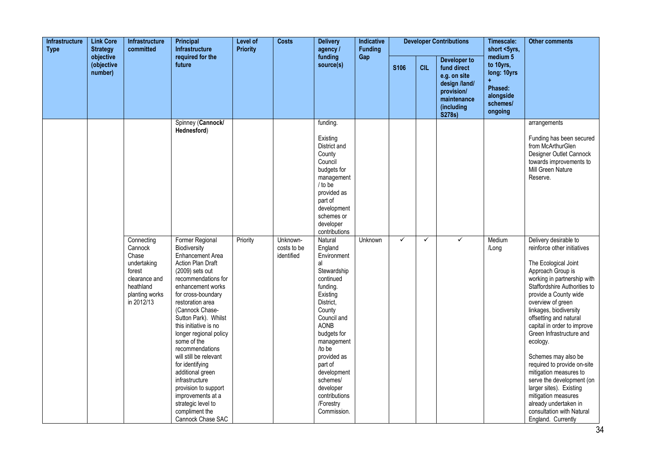| <b>Link Core</b><br><b>Infrastructure</b><br><b>Type</b><br><b>Strategy</b><br>objective | <b>Infrastructure</b><br>committed | Principal<br><b>Infrastructure</b>                                                                                    | <b>Level of</b><br><b>Priority</b>                                                                                                                                                                                                                                                                                                                                                                                                                                                                                           | <b>Costs</b> | <b>Delivery</b><br>agency /           | Indicative<br><b>Funding</b>                                                                                                                                                                                                                                                                           |         |              | <b>Developer Contributions</b> | Timescale:<br>short <5yrs,                                                                                               | <b>Other comments</b>                                                               |                                                                                                                                                                                                                                                                                                                                                                                                                                                                                                                                                                                      |
|------------------------------------------------------------------------------------------|------------------------------------|-----------------------------------------------------------------------------------------------------------------------|------------------------------------------------------------------------------------------------------------------------------------------------------------------------------------------------------------------------------------------------------------------------------------------------------------------------------------------------------------------------------------------------------------------------------------------------------------------------------------------------------------------------------|--------------|---------------------------------------|--------------------------------------------------------------------------------------------------------------------------------------------------------------------------------------------------------------------------------------------------------------------------------------------------------|---------|--------------|--------------------------------|--------------------------------------------------------------------------------------------------------------------------|-------------------------------------------------------------------------------------|--------------------------------------------------------------------------------------------------------------------------------------------------------------------------------------------------------------------------------------------------------------------------------------------------------------------------------------------------------------------------------------------------------------------------------------------------------------------------------------------------------------------------------------------------------------------------------------|
|                                                                                          | (objective<br>number)              |                                                                                                                       | required for the<br>future                                                                                                                                                                                                                                                                                                                                                                                                                                                                                                   |              |                                       | funding<br>source(s)                                                                                                                                                                                                                                                                                   | Gap     | S106         | <b>CIL</b>                     | <b>Developer to</b><br>fund direct<br>e.g. on site<br>design /land/<br>provision/<br>maintenance<br>(including<br>S278s) | medium 5<br>to 10yrs,<br>long: 10yrs<br>Phased:<br>alongside<br>schemes/<br>ongoing |                                                                                                                                                                                                                                                                                                                                                                                                                                                                                                                                                                                      |
|                                                                                          |                                    |                                                                                                                       | Spinney (Cannock/<br>Hednesford)                                                                                                                                                                                                                                                                                                                                                                                                                                                                                             |              |                                       | funding.<br>Existing<br>District and<br>County<br>Council<br>budgets for<br>management<br>/ to be<br>provided as<br>part of<br>development<br>schemes or<br>developer<br>contributions                                                                                                                 |         |              |                                |                                                                                                                          |                                                                                     | arrangements<br>Funding has been secured<br>from McArthurGlen<br>Designer Outlet Cannock<br>towards improvements to<br>Mill Green Nature<br>Reserve.                                                                                                                                                                                                                                                                                                                                                                                                                                 |
|                                                                                          |                                    | Connecting<br>Cannock<br>Chase<br>undertaking<br>forest<br>clearance and<br>heathland<br>planting works<br>in 2012/13 | Former Regional<br>Biodiversity<br><b>Enhancement Area</b><br><b>Action Plan Draft</b><br>(2009) sets out<br>recommendations for<br>enhancement works<br>for cross-boundary<br>restoration area<br>(Cannock Chase-<br>Sutton Park). Whilst<br>this initiative is no<br>longer regional policy<br>some of the<br>recommendations<br>will still be relevant<br>for identifying<br>additional green<br>infrastructure<br>provision to support<br>improvements at a<br>strategic level to<br>compliment the<br>Cannock Chase SAC | Priority     | Unknown-<br>costs to be<br>identified | Natural<br>England<br>Environment<br>al<br>Stewardship<br>continued<br>funding.<br>Existing<br>District,<br>County<br>Council and<br><b>AONB</b><br>budgets for<br>management<br>/to be<br>provided as<br>part of<br>development<br>schemes/<br>developer<br>contributions<br>/Forestry<br>Commission. | Unknown | $\checkmark$ | $\checkmark$                   | ✓                                                                                                                        | Medium<br>/Long                                                                     | Delivery desirable to<br>reinforce other initiatives<br>The Ecological Joint<br>Approach Group is<br>working in partnership with<br>Staffordshire Authorities to<br>provide a County wide<br>overview of green<br>linkages, biodiversity<br>offsetting and natural<br>capital in order to improve<br>Green Infrastructure and<br>ecology.<br>Schemes may also be<br>required to provide on-site<br>mitigation measures to<br>serve the development (on<br>larger sites). Existing<br>mitigation measures<br>already undertaken in<br>consultation with Natural<br>England. Currently |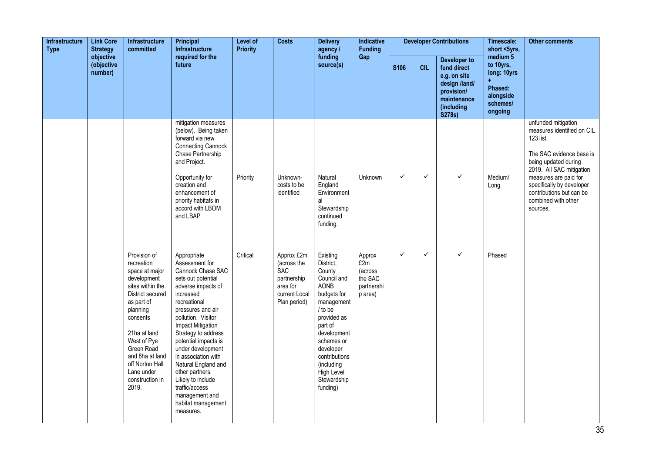| Infrastructure<br><b>Type</b><br><b>Strategy</b><br>objective | <b>Link Core</b>      | <b>Infrastructure</b><br>committed                                                                                                                                                                                                                                     | Principal<br><b>Infrastructure</b>                                                                                                                                                                                                                                                                                                                                                                                           | Level of<br><b>Priority</b> | <b>Costs</b>                                                                                        | <b>Delivery</b><br>agency /                                                                                                                                                                                                                       | Indicative<br><b>Funding</b>                                 |              |              | <b>Developer Contributions</b>                                                                                    | Timescale:<br>short <5yrs,                                                          | <b>Other comments</b>                                                                                                                                                                                                                                               |
|---------------------------------------------------------------|-----------------------|------------------------------------------------------------------------------------------------------------------------------------------------------------------------------------------------------------------------------------------------------------------------|------------------------------------------------------------------------------------------------------------------------------------------------------------------------------------------------------------------------------------------------------------------------------------------------------------------------------------------------------------------------------------------------------------------------------|-----------------------------|-----------------------------------------------------------------------------------------------------|---------------------------------------------------------------------------------------------------------------------------------------------------------------------------------------------------------------------------------------------------|--------------------------------------------------------------|--------------|--------------|-------------------------------------------------------------------------------------------------------------------|-------------------------------------------------------------------------------------|---------------------------------------------------------------------------------------------------------------------------------------------------------------------------------------------------------------------------------------------------------------------|
|                                                               | (objective<br>number) |                                                                                                                                                                                                                                                                        | required for the<br>future                                                                                                                                                                                                                                                                                                                                                                                                   |                             |                                                                                                     | funding<br>source(s)                                                                                                                                                                                                                              | Gap                                                          | <b>S106</b>  | <b>CIL</b>   | Developer to<br>fund direct<br>e.g. on site<br>design /land/<br>provision/<br>maintenance<br>(including<br>S278s) | medium 5<br>to 10yrs,<br>long: 10yrs<br>Phased:<br>alongside<br>schemes/<br>ongoing |                                                                                                                                                                                                                                                                     |
|                                                               |                       |                                                                                                                                                                                                                                                                        | mitigation measures<br>(below). Being taken<br>forward via new<br><b>Connecting Cannock</b><br>Chase Partnership<br>and Project.<br>Opportunity for<br>creation and<br>enhancement of<br>priority habitats in<br>accord with LBOM<br>and LBAP                                                                                                                                                                                | Priority                    | Unknown-<br>costs to be<br>identified                                                               | Natural<br>England<br>Environment<br>al<br>Stewardship<br>continued<br>funding.                                                                                                                                                                   | Unknown                                                      | $\checkmark$ | $\checkmark$ | ✓                                                                                                                 | Medium/<br>Long                                                                     | unfunded mitigation<br>measures identified on CIL<br>123 list.<br>The SAC evidence base is<br>being updated during<br>2019. All SAC mitigation<br>measures are paid for<br>specifically by developer<br>contributions but can be<br>combined with other<br>sources. |
|                                                               |                       | Provision of<br>recreation<br>space at major<br>development<br>sites within the<br>District secured<br>as part of<br>planning<br>consents<br>21ha at land<br>West of Pye<br>Green Road<br>and 8ha at land<br>off Norton Hall<br>Lane under<br>construction in<br>2019. | Appropriate<br>Assessment for<br>Cannock Chase SAC<br>sets out potential<br>adverse impacts of<br>increased<br>recreational<br>pressures and air<br>pollution. Visitor<br>Impact Mitigation<br>Strategy to address<br>potential impacts is<br>under development<br>in association with<br>Natural England and<br>other partners.<br>Likely to include<br>traffic/access<br>management and<br>habitat management<br>measures. | Critical                    | Approx £2m<br>(across the<br><b>SAC</b><br>partnership<br>area for<br>current Local<br>Plan period) | Existing<br>District,<br>County<br>Council and<br><b>AONB</b><br>budgets for<br>management<br>/ to be<br>provided as<br>part of<br>development<br>schemes or<br>developer<br>contributions<br>(including<br>High Level<br>Stewardship<br>funding) | Approx<br>£2m<br>(across<br>the SAC<br>partnershi<br>p area) | $\checkmark$ | $\checkmark$ | ✓                                                                                                                 | Phased                                                                              |                                                                                                                                                                                                                                                                     |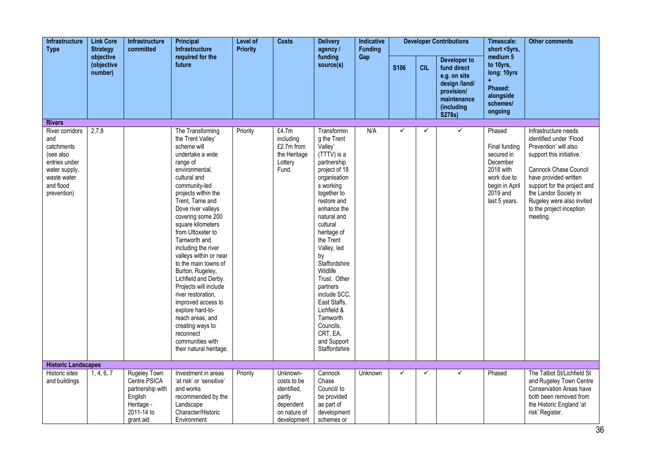| Infrastructure<br><b>Type</b>                                                                                                  | <b>Link Core</b><br><b>Strategy</b> | <b>Infrastructure</b><br>committed                                                                          | Principal<br><b>Infrastructure</b>                                                                                                                                                                                                                                                                                                                                                                                                                                                                                                                                                                       | Level of<br><b>Priority</b> | <b>Costs</b>                                                                                 | <b>Delivery</b><br>agency /                                                                                                                                                                                                                                                                                                                                                                                             | <b>Indicative</b><br><b>Funding</b> |              |            | <b>Developer Contributions</b>                                                                                    | Timescale:<br>short <5yrs,                                                                                                     | <b>Other comments</b>                                                                                                                                                                                                                                                                |
|--------------------------------------------------------------------------------------------------------------------------------|-------------------------------------|-------------------------------------------------------------------------------------------------------------|----------------------------------------------------------------------------------------------------------------------------------------------------------------------------------------------------------------------------------------------------------------------------------------------------------------------------------------------------------------------------------------------------------------------------------------------------------------------------------------------------------------------------------------------------------------------------------------------------------|-----------------------------|----------------------------------------------------------------------------------------------|-------------------------------------------------------------------------------------------------------------------------------------------------------------------------------------------------------------------------------------------------------------------------------------------------------------------------------------------------------------------------------------------------------------------------|-------------------------------------|--------------|------------|-------------------------------------------------------------------------------------------------------------------|--------------------------------------------------------------------------------------------------------------------------------|--------------------------------------------------------------------------------------------------------------------------------------------------------------------------------------------------------------------------------------------------------------------------------------|
|                                                                                                                                | objective<br>(objective<br>number)  |                                                                                                             | required for the<br>future                                                                                                                                                                                                                                                                                                                                                                                                                                                                                                                                                                               |                             |                                                                                              | funding<br>source(s)                                                                                                                                                                                                                                                                                                                                                                                                    | Gap                                 | <b>S106</b>  | <b>CIL</b> | Developer to<br>fund direct<br>e.g. on site<br>design /land/<br>provision/<br>maintenance<br>(including<br>S278s) | medium 5<br>to 10yrs,<br>long: 10yrs<br>Phased:<br>alongside<br>schemes/<br>ongoing                                            |                                                                                                                                                                                                                                                                                      |
| <b>Rivers</b>                                                                                                                  |                                     |                                                                                                             |                                                                                                                                                                                                                                                                                                                                                                                                                                                                                                                                                                                                          |                             |                                                                                              |                                                                                                                                                                                                                                                                                                                                                                                                                         |                                     |              |            |                                                                                                                   |                                                                                                                                |                                                                                                                                                                                                                                                                                      |
| River corridors<br>and<br>catchments<br>(see also<br>entries under<br>water supply,<br>waste water<br>and flood<br>prevention) | 2,7,8                               |                                                                                                             | The Transforming<br>the Trent Valley'<br>scheme will<br>undertake a wide<br>range of<br>environmental,<br>cultural and<br>community-led<br>projects within the<br>Trent, Tame and<br>Dove river valleys<br>covering some 200<br>square kilometers<br>from Uttoxeter to<br>Tamworth and<br>including the river<br>valleys within or near<br>to the main towns of<br>Burton, Rugeley,<br>Lichfield and Derby.<br>Projects will include<br>river restoration,<br>improved access to<br>explore hard-to-<br>reach areas, and<br>creating ways to<br>reconnect<br>communities with<br>their natural heritage. | Priority                    | £4.7m<br>including<br>£2.7m from<br>the Heritage<br>Lottery<br>Fund.                         | Transformin<br>g the Trent<br>Valley'<br>(TTTV) is a<br>partnership<br>project of 18<br>organisation<br>s working<br>together to<br>restore and<br>enhance the<br>natural and<br>cultural<br>heritage of<br>the Trent<br>Valley, led<br>by<br>Staffordshire<br>Wildlife<br>Trust. Other<br>partners<br>include SCC,<br>East Staffs,<br>Lichfield &<br>Tamworth<br>Councils,<br>CRT, EA,<br>and Support<br>Staffordshire | N/A                                 | ✓            | ✓          | ✓                                                                                                                 | Phased<br>Final funding<br>secured in<br>December<br>2018 with<br>work due to<br>begin in April<br>$2019$ and<br>last 5 years. | Infrastructure needs<br>identified under 'Flood<br>Prevention' will also<br>support this initiative.'<br>Cannock Chase Council<br>have provided written<br>support for the project and<br>the Landor Society in<br>Rugeley were also invited<br>to the project inception<br>meeting. |
| <b>Historic Landscapes</b>                                                                                                     |                                     |                                                                                                             |                                                                                                                                                                                                                                                                                                                                                                                                                                                                                                                                                                                                          |                             |                                                                                              |                                                                                                                                                                                                                                                                                                                                                                                                                         |                                     |              |            |                                                                                                                   |                                                                                                                                |                                                                                                                                                                                                                                                                                      |
| <b>Historic sites</b><br>and buildings                                                                                         | 1, 4, 6, 7                          | <b>Rugeley Town</b><br>Centre PSICA<br>partnership with<br>English<br>Heritage -<br>2011-14 to<br>grant aid | Investment in areas<br>'at risk' or 'sensitive'<br>and works<br>recommended by the<br>Landscape<br>Character/Historic<br>Environment                                                                                                                                                                                                                                                                                                                                                                                                                                                                     | Priority                    | Unknown-<br>costs to be<br>identified,<br>partly<br>dependent<br>on nature of<br>development | Cannock<br>Chase<br>Council/ to<br>be provided<br>as part of<br>development<br>schemes or                                                                                                                                                                                                                                                                                                                               | <b>Unknown</b>                      | $\checkmark$ | ✓          | $\checkmark$                                                                                                      | Phased                                                                                                                         | The Talbot St/Lichfield St<br>and Rugeley Town Centre<br><b>Conservation Areas have</b><br>both been removed from<br>the Historic England 'at<br>risk' Register.                                                                                                                     |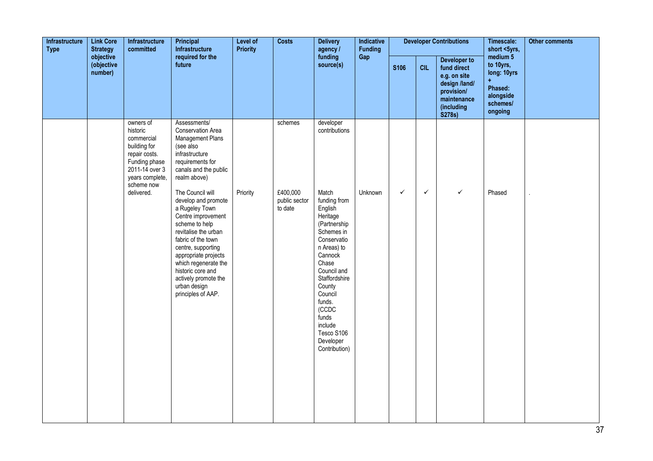| Infrastructure<br><b>Type</b> | <b>Link Core</b><br><b>Strategy</b> | Infrastructure<br>committed                                                                                                              | <b>Principal</b><br>Infrastructure                                                                                                                                                                                                                                                                       | Level of<br><b>Priority</b> | <b>Costs</b>                         | <b>Delivery</b><br>agency /                                                                                                                                                                                                                                          | Indicative<br><b>Funding</b> |              |              | <b>Developer Contributions</b>                                                                                           | Timescale:<br>short <5yrs,                                                                | Other comments |
|-------------------------------|-------------------------------------|------------------------------------------------------------------------------------------------------------------------------------------|----------------------------------------------------------------------------------------------------------------------------------------------------------------------------------------------------------------------------------------------------------------------------------------------------------|-----------------------------|--------------------------------------|----------------------------------------------------------------------------------------------------------------------------------------------------------------------------------------------------------------------------------------------------------------------|------------------------------|--------------|--------------|--------------------------------------------------------------------------------------------------------------------------|-------------------------------------------------------------------------------------------|----------------|
|                               | objective<br>(objective<br>number)  |                                                                                                                                          | required for the<br>future                                                                                                                                                                                                                                                                               |                             |                                      | funding<br>source(s)                                                                                                                                                                                                                                                 | Gap                          | <b>S106</b>  | <b>CIL</b>   | <b>Developer to</b><br>fund direct<br>e.g. on site<br>design /land/<br>provision/<br>maintenance<br>(including<br>S278s) | medium 5<br>to 10yrs,<br>long: 10yrs<br>÷.<br>Phased:<br>alongside<br>schemes/<br>ongoing |                |
|                               |                                     | owners of<br>historic<br>commercial<br>building for<br>repair costs.<br>Funding phase<br>2011-14 over 3<br>years complete,<br>scheme now | Assessments/<br>Conservation Area<br>Management Plans<br>(see also<br>infrastructure<br>requirements for<br>canals and the public<br>realm above)                                                                                                                                                        |                             | schemes                              | developer<br>contributions                                                                                                                                                                                                                                           |                              |              |              |                                                                                                                          |                                                                                           |                |
|                               |                                     | delivered.                                                                                                                               | The Council will<br>develop and promote<br>a Rugeley Town<br>Centre improvement<br>scheme to help<br>revitalise the urban<br>fabric of the town<br>centre, supporting<br>appropriate projects<br>which regenerate the<br>historic core and<br>actively promote the<br>urban design<br>principles of AAP. | Priority                    | £400,000<br>public sector<br>to date | Match<br>funding from<br>English<br>Heritage<br>(Partnership<br>Schemes in<br>Conservatio<br>n Areas) to<br>Cannock<br>Chase<br>Council and<br>Staffordshire<br>County<br>Council<br>funds.<br>(CCDC<br>funds<br>include<br>Tesco S106<br>Developer<br>Contribution) | Unknown                      | $\checkmark$ | $\checkmark$ | $\checkmark$                                                                                                             | Phased                                                                                    |                |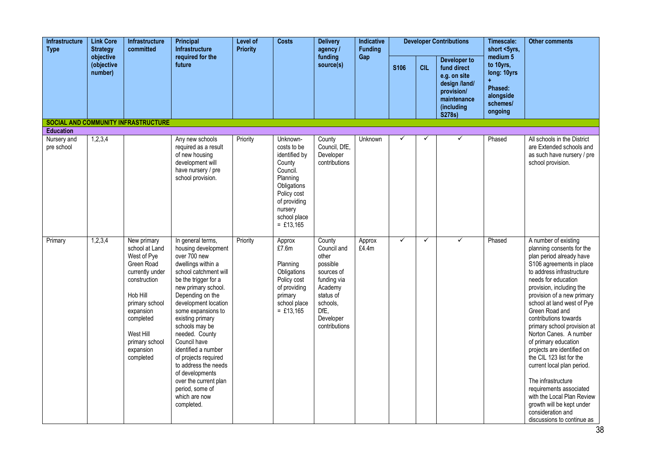| Infrastructure<br><b>Type</b> | <b>Link Core</b><br><b>Strategy</b> | <b>Infrastructure</b><br>committed                                                                                                                                                                             | <b>Principal</b><br><b>Infrastructure</b>                                                                                                                                                                                                                                                                                                                                                                                                                             | Level of<br><b>Priority</b> | <b>Costs</b>                                                                                                                                                       | <b>Delivery</b><br>agency /                                                                                                                       | Indicative<br><b>Funding</b> |              |              | <b>Developer Contributions</b>                                                                                    | Timescale:<br>short <5yrs,                                                          | <b>Other comments</b>                                                                                                                                                                                                                                                                                                                                                                                                                                                                                                                                                                                                                    |
|-------------------------------|-------------------------------------|----------------------------------------------------------------------------------------------------------------------------------------------------------------------------------------------------------------|-----------------------------------------------------------------------------------------------------------------------------------------------------------------------------------------------------------------------------------------------------------------------------------------------------------------------------------------------------------------------------------------------------------------------------------------------------------------------|-----------------------------|--------------------------------------------------------------------------------------------------------------------------------------------------------------------|---------------------------------------------------------------------------------------------------------------------------------------------------|------------------------------|--------------|--------------|-------------------------------------------------------------------------------------------------------------------|-------------------------------------------------------------------------------------|------------------------------------------------------------------------------------------------------------------------------------------------------------------------------------------------------------------------------------------------------------------------------------------------------------------------------------------------------------------------------------------------------------------------------------------------------------------------------------------------------------------------------------------------------------------------------------------------------------------------------------------|
|                               | objective<br>(objective<br>number)  |                                                                                                                                                                                                                | required for the<br>future                                                                                                                                                                                                                                                                                                                                                                                                                                            |                             |                                                                                                                                                                    | funding<br>source(s)                                                                                                                              | Gap                          | S106         | <b>CIL</b>   | Developer to<br>fund direct<br>e.g. on site<br>design /land/<br>provision/<br>maintenance<br>(including<br>S278s) | medium 5<br>to 10yrs,<br>long: 10yrs<br>Phased:<br>alongside<br>schemes/<br>ongoing |                                                                                                                                                                                                                                                                                                                                                                                                                                                                                                                                                                                                                                          |
| <b>Education</b>              |                                     | <b>SOCIAL AND COMMUNITY INFRASTRUCTURE</b>                                                                                                                                                                     |                                                                                                                                                                                                                                                                                                                                                                                                                                                                       |                             |                                                                                                                                                                    |                                                                                                                                                   |                              |              |              |                                                                                                                   |                                                                                     |                                                                                                                                                                                                                                                                                                                                                                                                                                                                                                                                                                                                                                          |
| Nursery and<br>pre school     | 1,2,3,4                             |                                                                                                                                                                                                                | Any new schools<br>required as a result<br>of new housing<br>development will<br>have nursery / pre<br>school provision.                                                                                                                                                                                                                                                                                                                                              | Priority                    | Unknown-<br>costs to be<br>identified by<br>County<br>Council.<br>Planning<br>Obligations<br>Policy cost<br>of providing<br>nursery<br>school place<br>$=$ £13,165 | County<br>Council, DfE,<br>Developer<br>contributions                                                                                             | Unknown                      | ✓            | ✓            | ✓                                                                                                                 | Phased                                                                              | All schools in the District<br>are Extended schools and<br>as such have nursery / pre<br>school provision.                                                                                                                                                                                                                                                                                                                                                                                                                                                                                                                               |
| Primary                       | 1,2,3,4                             | New primary<br>school at Land<br>West of Pye<br>Green Road<br>currently under<br>construction<br>Hob Hill<br>primary school<br>expansion<br>completed<br>West Hill<br>primary school<br>expansion<br>completed | In general terms,<br>housing development<br>over 700 new<br>dwellings within a<br>school catchment will<br>be the trigger for a<br>new primary school.<br>Depending on the<br>development location<br>some expansions to<br>existing primary<br>schools may be<br>needed. County<br>Council have<br>identified a number<br>of projects required<br>to address the needs<br>of developments<br>over the current plan<br>period, some of<br>which are now<br>completed. | Priority                    | Approx<br>£7.6m<br>Planning<br>Obligations<br>Policy cost<br>of providing<br>primary<br>school place<br>$=$ £13,165                                                | County<br>Council and<br>other<br>possible<br>sources of<br>funding via<br>Academy<br>status of<br>schools,<br>DfE,<br>Developer<br>contributions | Approx<br>£4.4m              | $\checkmark$ | $\checkmark$ | ✓                                                                                                                 | Phased                                                                              | A number of existing<br>planning consents for the<br>plan period already have<br>S106 agreements in place<br>to address infrastructure<br>needs for education<br>provision, including the<br>provision of a new primary<br>school at land west of Pye<br>Green Road and<br>contributions towards<br>primary school provision at<br>Norton Canes. A number<br>of primary education<br>projects are identified on<br>the CIL 123 list for the<br>current local plan period.<br>The infrastructure<br>requirements associated<br>with the Local Plan Review<br>growth will be kept under<br>consideration and<br>discussions to continue as |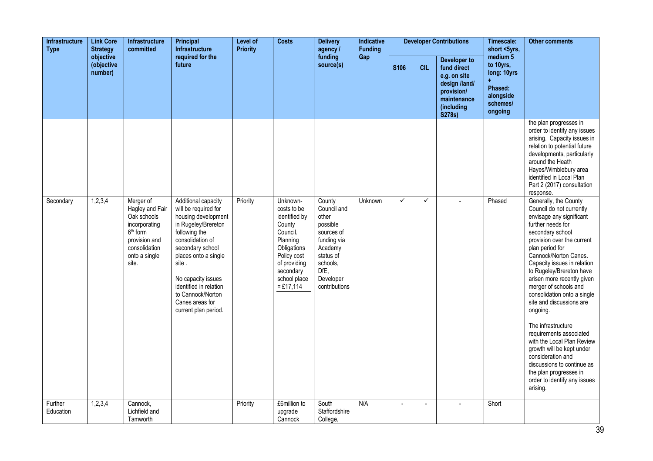| <b>Infrastructure</b><br><b>Type</b><br><b>Strategy</b><br>objective | <b>Link Core</b>      | <b>Infrastructure</b><br>committed                                                                                                     | Principal<br><b>Infrastructure</b>                                                                                                                                                                                                                                                                  | Level of<br><b>Priority</b> | <b>Costs</b>                                                                                                                                                         | <b>Delivery</b><br>agency /                                                                                                                       | Indicative<br><b>Funding</b> |              |                | <b>Developer Contributions</b>                                                                                    | Timescale:<br>short <5yrs,                                                                     | <b>Other comments</b>                                                                                                                                                                                                                                                                                                                                                                                                                                                                                                                                                                                                          |
|----------------------------------------------------------------------|-----------------------|----------------------------------------------------------------------------------------------------------------------------------------|-----------------------------------------------------------------------------------------------------------------------------------------------------------------------------------------------------------------------------------------------------------------------------------------------------|-----------------------------|----------------------------------------------------------------------------------------------------------------------------------------------------------------------|---------------------------------------------------------------------------------------------------------------------------------------------------|------------------------------|--------------|----------------|-------------------------------------------------------------------------------------------------------------------|------------------------------------------------------------------------------------------------|--------------------------------------------------------------------------------------------------------------------------------------------------------------------------------------------------------------------------------------------------------------------------------------------------------------------------------------------------------------------------------------------------------------------------------------------------------------------------------------------------------------------------------------------------------------------------------------------------------------------------------|
|                                                                      | (objective<br>number) |                                                                                                                                        | required for the<br>future                                                                                                                                                                                                                                                                          |                             |                                                                                                                                                                      | funding<br>source(s)                                                                                                                              | Gap                          | S106         | <b>CIL</b>     | Developer to<br>fund direct<br>e.g. on site<br>design /land/<br>provision/<br>maintenance<br>(including<br>S278s) | medium <sub>5</sub><br>to 10yrs,<br>long: 10yrs<br>Phased:<br>alongside<br>schemes/<br>ongoing |                                                                                                                                                                                                                                                                                                                                                                                                                                                                                                                                                                                                                                |
|                                                                      |                       |                                                                                                                                        |                                                                                                                                                                                                                                                                                                     |                             |                                                                                                                                                                      |                                                                                                                                                   |                              |              |                |                                                                                                                   |                                                                                                | the plan progresses in<br>order to identify any issues<br>arising. Capacity issues in<br>relation to potential future<br>developments, particularly<br>around the Heath<br>Hayes/Wimblebury area<br>identified in Local Plan<br>Part 2 (2017) consultation<br>response.                                                                                                                                                                                                                                                                                                                                                        |
| Secondary                                                            | 1,2,3,4               | Merger of<br>Hagley and Fair<br>Oak schools<br>incorporating<br>$6th$ form<br>provision and<br>consolidation<br>onto a single<br>site. | Additional capacity<br>will be required for<br>housing development<br>in Rugeley/Brereton<br>following the<br>consolidation of<br>secondary school<br>places onto a single<br>site.<br>No capacity issues<br>identified in relation<br>to Cannock/Norton<br>Canes areas for<br>current plan period. | Priority                    | Unknown-<br>costs to be<br>identified by<br>County<br>Council.<br>Planning<br>Obligations<br>Policy cost<br>of providing<br>secondary<br>school place<br>$= £17,114$ | County<br>Council and<br>other<br>possible<br>sources of<br>funding via<br>Academy<br>status of<br>schools,<br>DfE,<br>Developer<br>contributions | Unknown                      | $\checkmark$ | $\checkmark$   |                                                                                                                   | Phased                                                                                         | Generally, the County<br>Council do not currently<br>envisage any significant<br>further needs for<br>secondary school<br>provision over the current<br>plan period for<br>Cannock/Norton Canes.<br>Capacity issues in relation<br>to Rugeley/Brereton have<br>arisen more recently given<br>merger of schools and<br>consolidation onto a single<br>site and discussions are<br>ongoing.<br>The infrastructure<br>requirements associated<br>with the Local Plan Review<br>growth will be kept under<br>consideration and<br>discussions to continue as<br>the plan progresses in<br>order to identify any issues<br>arising. |
| Further<br>Education                                                 | 1,2,3,4               | Cannock,<br>Lichfield and<br>Tamworth                                                                                                  |                                                                                                                                                                                                                                                                                                     | Priority                    | £6million to<br>upgrade<br>Cannock                                                                                                                                   | South<br>Staffordshire<br>College,                                                                                                                | N/A                          |              | $\blacksquare$ |                                                                                                                   | Short                                                                                          |                                                                                                                                                                                                                                                                                                                                                                                                                                                                                                                                                                                                                                |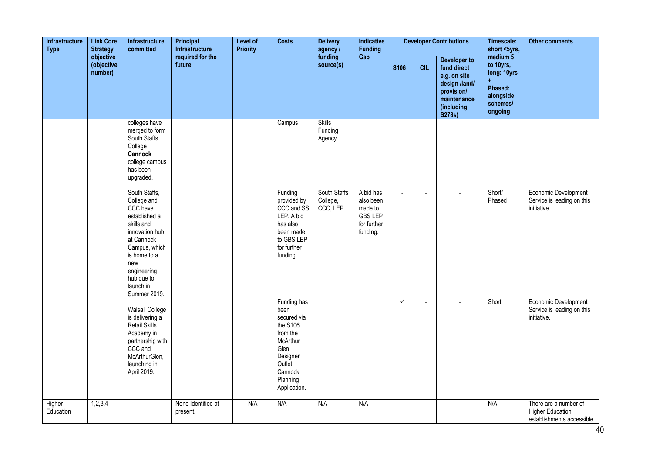| <b>Infrastructure</b><br><b>Type</b> | <b>Link Core</b><br><b>Strategy</b> | Infrastructure<br>committed                                                                                                                                                                               | Principal<br><b>Infrastructure</b> | Level of<br><b>Priority</b> | <b>Costs</b>                                                                                                                                | <b>Delivery</b><br>agency /          | Indicative<br><b>Funding</b>                                                   |                |                       | <b>Developer Contributions</b>                                                                                           | Timescale:<br>short <5yrs,                                                                       | <b>Other comments</b>                                                         |
|--------------------------------------|-------------------------------------|-----------------------------------------------------------------------------------------------------------------------------------------------------------------------------------------------------------|------------------------------------|-----------------------------|---------------------------------------------------------------------------------------------------------------------------------------------|--------------------------------------|--------------------------------------------------------------------------------|----------------|-----------------------|--------------------------------------------------------------------------------------------------------------------------|--------------------------------------------------------------------------------------------------|-------------------------------------------------------------------------------|
|                                      | objective<br>(objective<br>number)  |                                                                                                                                                                                                           | required for the<br>future         |                             |                                                                                                                                             | funding<br>source(s)                 | Gap                                                                            | <b>S106</b>    | <b>CIL</b>            | <b>Developer to</b><br>fund direct<br>e.g. on site<br>design /land/<br>provision/<br>maintenance<br>(including<br>S278s) | medium 5<br>to 10yrs,<br>long: 10yrs<br>$\ddot{}$<br>Phased:<br>alongside<br>schemes/<br>ongoing |                                                                               |
|                                      |                                     | colleges have<br>merged to form<br>South Staffs<br>College<br>Cannock<br>college campus<br>has been<br>upgraded.                                                                                          |                                    |                             | Campus                                                                                                                                      | <b>Skills</b><br>Funding<br>Agency   |                                                                                |                |                       |                                                                                                                          |                                                                                                  |                                                                               |
|                                      |                                     | South Staffs,<br>College and<br>CCC have<br>established a<br>skills and<br>innovation hub<br>at Cannock<br>Campus, which<br>is home to a<br>new<br>engineering<br>hub due to<br>launch in<br>Summer 2019. |                                    |                             | Funding<br>provided by<br>CCC and SS<br>LEP. A bid<br>has also<br>been made<br>to GBS LEP<br>for further<br>funding.                        | South Staffs<br>College,<br>CCC, LEP | A bid has<br>also been<br>made to<br><b>GBS LEP</b><br>for further<br>funding. | $\sim$         | $\tilde{\phantom{a}}$ |                                                                                                                          | Short/<br>Phased                                                                                 | Economic Development<br>Service is leading on this<br>initiative.             |
|                                      |                                     | <b>Walsall College</b><br>is delivering a<br>Retail Skills<br>Academy in<br>partnership with<br>CCC and<br>McArthurGlen,<br>launching in<br>April 2019.                                                   |                                    |                             | Funding has<br>been<br>secured via<br>the S106<br>from the<br>McArthur<br>Glen<br>Designer<br>Outlet<br>Cannock<br>Planning<br>Application. |                                      |                                                                                | ✓              | $\blacksquare$        |                                                                                                                          | Short                                                                                            | Economic Development<br>Service is leading on this<br>initiative.             |
| Higher<br>Education                  | 1,2,3,4                             |                                                                                                                                                                                                           | None Identified at<br>present.     | N/A                         | N/A                                                                                                                                         | N/A                                  | N/A                                                                            | $\overline{a}$ | $\sim$                |                                                                                                                          | N/A                                                                                              | There are a number of<br><b>Higher Education</b><br>establishments accessible |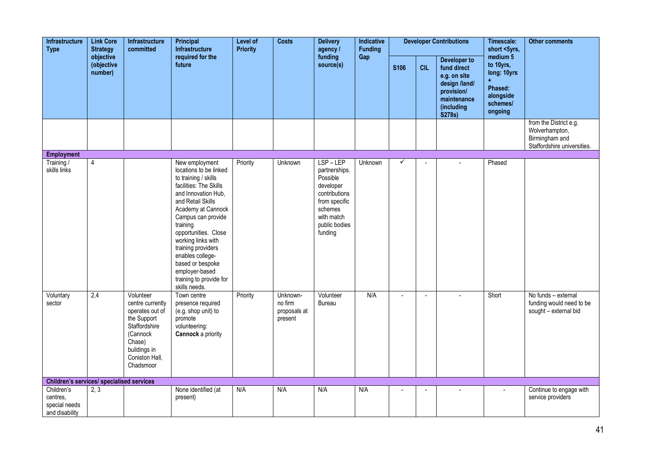| Infrastructure<br><b>Type</b>                             | <b>Link Core</b><br><b>Strategy</b> | Infrastructure<br>committed                                                                                                                           | Principal<br>Infrastructure                                                                                                                                                                                                                                                                                                                                              | <b>Level of</b><br><b>Priority</b> | <b>Costs</b>                                   | <b>Delivery</b><br>agency /                                                                                                              | Indicative<br><b>Funding</b> |                |                       | <b>Developer Contributions</b>                                                                                    | Timescale:<br>short <5yrs,                                                          | <b>Other comments</b>                                                                     |
|-----------------------------------------------------------|-------------------------------------|-------------------------------------------------------------------------------------------------------------------------------------------------------|--------------------------------------------------------------------------------------------------------------------------------------------------------------------------------------------------------------------------------------------------------------------------------------------------------------------------------------------------------------------------|------------------------------------|------------------------------------------------|------------------------------------------------------------------------------------------------------------------------------------------|------------------------------|----------------|-----------------------|-------------------------------------------------------------------------------------------------------------------|-------------------------------------------------------------------------------------|-------------------------------------------------------------------------------------------|
|                                                           | objective<br>(objective<br>number)  |                                                                                                                                                       | required for the<br>future                                                                                                                                                                                                                                                                                                                                               |                                    |                                                | funding<br>source(s)                                                                                                                     | Gap                          | S106           | <b>CIL</b>            | Developer to<br>fund direct<br>e.g. on site<br>design /land/<br>provision/<br>maintenance<br>(including<br>S278s) | medium 5<br>to 10yrs,<br>long: 10yrs<br>Phased:<br>alongside<br>schemes/<br>ongoing |                                                                                           |
|                                                           |                                     |                                                                                                                                                       |                                                                                                                                                                                                                                                                                                                                                                          |                                    |                                                |                                                                                                                                          |                              |                |                       |                                                                                                                   |                                                                                     | from the District e.g.<br>Wolverhampton,<br>Birmingham and<br>Staffordshire universities. |
| <b>Employment</b>                                         |                                     |                                                                                                                                                       |                                                                                                                                                                                                                                                                                                                                                                          |                                    |                                                |                                                                                                                                          |                              |                |                       |                                                                                                                   |                                                                                     |                                                                                           |
| Training /<br>skills links                                | $\overline{4}$                      |                                                                                                                                                       | New employment<br>locations to be linked<br>to training / skills<br>facilities: The Skills<br>and Innovation Hub,<br>and Retail Skills<br>Academy at Cannock<br>Campus can provide<br>training<br>opportunities. Close<br>working links with<br>training providers<br>enables college-<br>based or bespoke<br>employer-based<br>training to provide for<br>skills needs. | Priority                           | Unknown                                        | LSP-LEP<br>partnerships.<br>Possible<br>developer<br>contributions<br>from specific<br>schemes<br>with match<br>public bodies<br>funding | Unknown                      | $\checkmark$   | $\overline{a}$        |                                                                                                                   | Phased                                                                              |                                                                                           |
| Voluntary<br>sector                                       | 2,4                                 | Volunteer<br>centre currently<br>operates out of<br>the Support<br>Staffordshire<br>(Cannock<br>Chase)<br>buildings in<br>Coniston Hall,<br>Chadsmoor | Town centre<br>presence required<br>(e.g. shop unit) to<br>promote<br>volunteering:<br><b>Cannock</b> a priority                                                                                                                                                                                                                                                         | Priority                           | Unknown-<br>no firm<br>proposals at<br>present | Volunteer<br><b>Bureau</b>                                                                                                               | N/A                          | $\blacksquare$ | $\tilde{\phantom{a}}$ |                                                                                                                   | Short                                                                               | No funds - external<br>funding would need to be<br>sought - external bid                  |
| <b>Children's services/ specialised services</b>          |                                     |                                                                                                                                                       |                                                                                                                                                                                                                                                                                                                                                                          |                                    |                                                |                                                                                                                                          |                              |                |                       |                                                                                                                   |                                                                                     |                                                                                           |
| Children's<br>centres,<br>special needs<br>and disability | 2, 3                                |                                                                                                                                                       | None identified (at<br>present)                                                                                                                                                                                                                                                                                                                                          | N/A                                | N/A                                            | N/A                                                                                                                                      | N/A                          |                | $\overline{a}$        |                                                                                                                   | $\mathbf{r}$                                                                        | Continue to engage with<br>service providers                                              |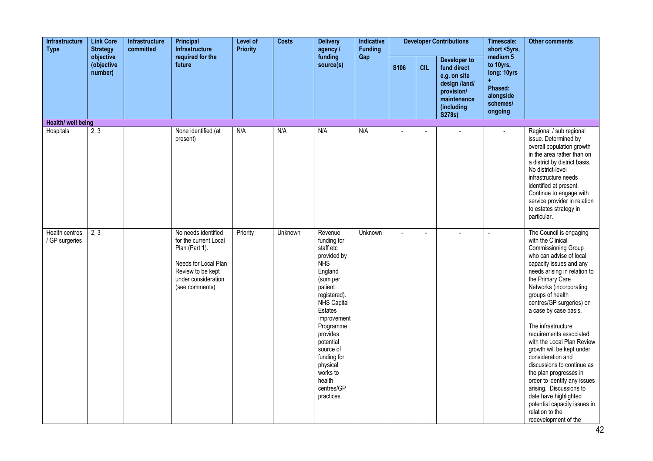| Infrastructure<br><b>Type</b>    | <b>Link Core</b><br><b>Strategy</b> | Infrastructure<br>committed | Principal<br><b>Infrastructure</b>                                                                                                                   | Level of<br><b>Priority</b> | <b>Costs</b> | <b>Delivery</b><br>agency /<br>funding<br>source(s)                                                                                                                                                                                                                                         | Indicative<br><b>Funding</b> |             |            | <b>Developer Contributions</b>                                                                                    | Timescale:<br>short <5yrs,                                                          | <b>Other comments</b>                                                                                                                                                                                                                                                                                                                                                                                                                                                                                                                                                                                                                     |
|----------------------------------|-------------------------------------|-----------------------------|------------------------------------------------------------------------------------------------------------------------------------------------------|-----------------------------|--------------|---------------------------------------------------------------------------------------------------------------------------------------------------------------------------------------------------------------------------------------------------------------------------------------------|------------------------------|-------------|------------|-------------------------------------------------------------------------------------------------------------------|-------------------------------------------------------------------------------------|-------------------------------------------------------------------------------------------------------------------------------------------------------------------------------------------------------------------------------------------------------------------------------------------------------------------------------------------------------------------------------------------------------------------------------------------------------------------------------------------------------------------------------------------------------------------------------------------------------------------------------------------|
|                                  | objective<br>(objective<br>number)  |                             | required for the<br>future                                                                                                                           |                             |              |                                                                                                                                                                                                                                                                                             | Gap                          | <b>S106</b> | <b>CIL</b> | Developer to<br>fund direct<br>e.g. on site<br>design /land/<br>provision/<br>maintenance<br>(including<br>S278s) | medium 5<br>to 10yrs,<br>long: 10yrs<br>Phased:<br>alongside<br>schemes/<br>ongoing |                                                                                                                                                                                                                                                                                                                                                                                                                                                                                                                                                                                                                                           |
| Health/ well being               |                                     |                             |                                                                                                                                                      |                             |              |                                                                                                                                                                                                                                                                                             |                              |             |            |                                                                                                                   |                                                                                     |                                                                                                                                                                                                                                                                                                                                                                                                                                                                                                                                                                                                                                           |
| Hospitals                        | 2, 3                                |                             | None identified (at<br>present)                                                                                                                      | N/A                         | N/A          | N/A                                                                                                                                                                                                                                                                                         | N/A                          |             |            |                                                                                                                   | ÷.                                                                                  | Regional / sub regional<br>issue. Determined by<br>overall population growth<br>in the area rather than on<br>a district by district basis.<br>No district-level<br>infrastructure needs<br>identified at present.<br>Continue to engage with<br>service provider in relation<br>to estates strategy in<br>particular.                                                                                                                                                                                                                                                                                                                    |
| Health centres<br>/ GP surgeries | 2, 3                                |                             | No needs identified<br>for the current Local<br>Plan (Part 1).<br>Needs for Local Plan<br>Review to be kept<br>under consideration<br>(see comments) | Priority                    | Unknown      | Revenue<br>funding for<br>staff etc<br>provided by<br><b>NHS</b><br>England<br>(sum per<br>patient<br>registered).<br>NHS Capital<br>Estates<br>Improvement<br>Programme<br>provides<br>potential<br>source of<br>funding for<br>physical<br>works to<br>health<br>centres/GP<br>practices. | Unknown                      | $\sim$      | L,         |                                                                                                                   |                                                                                     | The Council is engaging<br>with the Clinical<br>Commissioning Group<br>who can advise of local<br>capacity issues and any<br>needs arising in relation to<br>the Primary Care<br>Networks (incorporating<br>groups of health<br>centres/GP surgeries) on<br>a case by case basis.<br>The infrastructure<br>requirements associated<br>with the Local Plan Review<br>growth will be kept under<br>consideration and<br>discussions to continue as<br>the plan progresses in<br>order to identify any issues<br>arising. Discussions to<br>date have highlighted<br>potential capacity issues in<br>relation to the<br>redevelopment of the |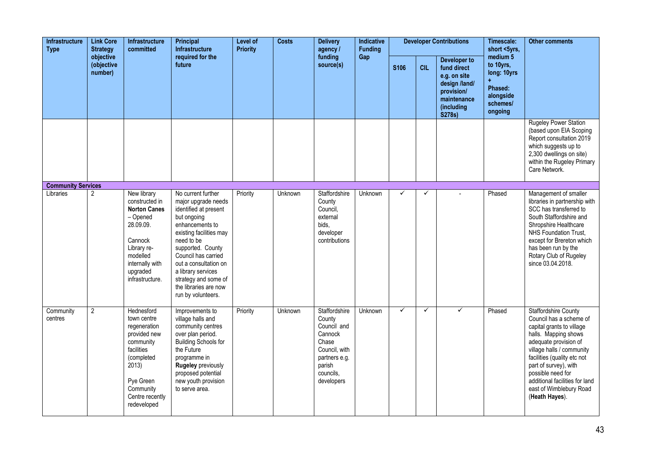| Infrastructure<br><b>Type</b> | <b>Link Core</b><br><b>Strategy</b> | Infrastructure<br>committed                                                                                                                                             | Principal<br><b>Infrastructure</b>                                                                                                                                                                                                                                                                              | <b>Level of</b><br><b>Priority</b> | <b>Costs</b> | <b>Delivery</b><br>agency /                                                                                                              | Indicative<br><b>Funding</b> |              |              | <b>Developer Contributions</b>                                                                                    | Timescale:<br>short <5yrs,                                                                     | <b>Other comments</b>                                                                                                                                                                                                                                                                                                         |
|-------------------------------|-------------------------------------|-------------------------------------------------------------------------------------------------------------------------------------------------------------------------|-----------------------------------------------------------------------------------------------------------------------------------------------------------------------------------------------------------------------------------------------------------------------------------------------------------------|------------------------------------|--------------|------------------------------------------------------------------------------------------------------------------------------------------|------------------------------|--------------|--------------|-------------------------------------------------------------------------------------------------------------------|------------------------------------------------------------------------------------------------|-------------------------------------------------------------------------------------------------------------------------------------------------------------------------------------------------------------------------------------------------------------------------------------------------------------------------------|
|                               | objective<br>(objective<br>number)  |                                                                                                                                                                         | required for the<br>future                                                                                                                                                                                                                                                                                      |                                    |              | funding<br>source(s)                                                                                                                     | Gap                          | S106         | <b>CIL</b>   | Developer to<br>fund direct<br>e.g. on site<br>design /land/<br>provision/<br>maintenance<br>(including<br>S278s) | medium <sub>5</sub><br>to 10yrs,<br>long: 10yrs<br>Phased:<br>alongside<br>schemes/<br>ongoing |                                                                                                                                                                                                                                                                                                                               |
|                               |                                     |                                                                                                                                                                         |                                                                                                                                                                                                                                                                                                                 |                                    |              |                                                                                                                                          |                              |              |              |                                                                                                                   |                                                                                                | <b>Rugeley Power Station</b><br>(based upon EIA Scoping<br>Report consultation 2019<br>which suggests up to<br>2,300 dwellings on site)<br>within the Rugeley Primary<br>Care Network.                                                                                                                                        |
| <b>Community Services</b>     |                                     |                                                                                                                                                                         |                                                                                                                                                                                                                                                                                                                 |                                    |              |                                                                                                                                          |                              |              |              |                                                                                                                   |                                                                                                |                                                                                                                                                                                                                                                                                                                               |
| Libraries                     | $\overline{2}$                      | New library<br>constructed in<br><b>Norton Canes</b><br>- Opened<br>28.09.09.<br>Cannock<br>Library re-<br>modelled<br>internally with<br>upgraded<br>infrastructure.   | No current further<br>major upgrade needs<br>identified at present<br>but ongoing<br>enhancements to<br>existing facilities may<br>need to be<br>supported. County<br>Council has carried<br>out a consultation on<br>a library services<br>strategy and some of<br>the libraries are now<br>run by volunteers. | Priority                           | Unknown      | Staffordshire<br>County<br>Council,<br>external<br>bids,<br>developer<br>contributions                                                   | Unknown                      | ✓            | ✓            |                                                                                                                   | Phased                                                                                         | Management of smaller<br>libraries in partnership with<br>SCC has transferred to<br>South Staffordshire and<br>Shropshire Healthcare<br>NHS Foundation Trust,<br>except for Brereton which<br>has been run by the<br>Rotary Club of Rugeley<br>since 03.04.2018.                                                              |
| Community<br>centres          | $\overline{2}$                      | Hednesford<br>town centre<br>regeneration<br>provided new<br>community<br>facilities<br>(completed<br>2013)<br>Pye Green<br>Community<br>Centre recently<br>redeveloped | Improvements to<br>village halls and<br>community centres<br>over plan period.<br><b>Building Schools for</b><br>the Future<br>programme in<br><b>Rugeley previously</b><br>proposed potential<br>new youth provision<br>to serve area.                                                                         | Priority                           | Unknown      | <b>Staffordshire</b><br>County<br>Council and<br>Cannock<br>Chase<br>Council, with<br>partners e.g.<br>parish<br>councils,<br>developers | Unknown                      | $\checkmark$ | $\checkmark$ | ✓                                                                                                                 | Phased                                                                                         | <b>Staffordshire County</b><br>Council has a scheme of<br>capital grants to village<br>halls. Mapping shows<br>adequate provision of<br>village halls / community<br>facilities (quality etc not<br>part of survey), with<br>possible need for<br>additional facilities for land<br>east of Wimblebury Road<br>(Heath Hayes). |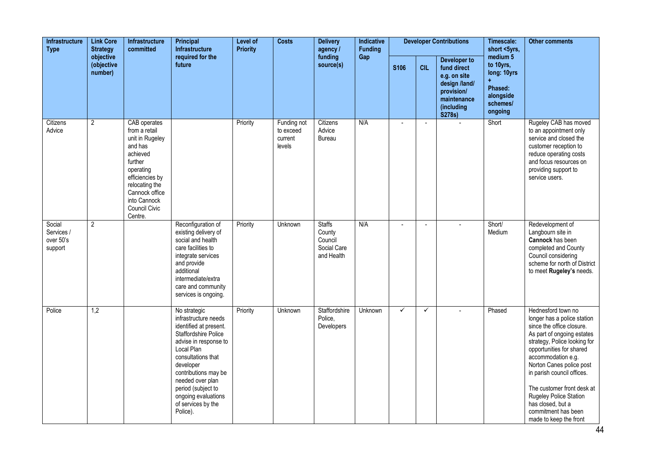| <b>Infrastructure</b><br><b>Type</b>         | <b>Link Core</b><br><b>Strategy</b> | <b>Infrastructure</b><br>committed<br>objective<br>(objective                                                                                                                                      | Principal<br><b>Infrastructure</b>                                                                                                                                                                                                                                                                 | Level of<br><b>Priority</b> | <b>Costs</b>                                  | <b>Delivery</b><br>agency /<br>funding                          | Indicative<br><b>Funding</b> |              |                | <b>Developer Contributions</b>                                                                                    | Timescale:<br>short <5yrs,                                                               | <b>Other comments</b>                                                                                                                                                                                                                                                                                                                                                                  |
|----------------------------------------------|-------------------------------------|----------------------------------------------------------------------------------------------------------------------------------------------------------------------------------------------------|----------------------------------------------------------------------------------------------------------------------------------------------------------------------------------------------------------------------------------------------------------------------------------------------------|-----------------------------|-----------------------------------------------|-----------------------------------------------------------------|------------------------------|--------------|----------------|-------------------------------------------------------------------------------------------------------------------|------------------------------------------------------------------------------------------|----------------------------------------------------------------------------------------------------------------------------------------------------------------------------------------------------------------------------------------------------------------------------------------------------------------------------------------------------------------------------------------|
|                                              | number)                             |                                                                                                                                                                                                    | required for the<br>future                                                                                                                                                                                                                                                                         |                             |                                               | source(s)                                                       | Gap                          | <b>S106</b>  | <b>CIL</b>     | Developer to<br>fund direct<br>e.g. on site<br>design /land/<br>provision/<br>maintenance<br>(including<br>S278s) | medium 5<br>to 10yrs,<br>long: 10yrs<br>÷<br>Phased:<br>alongside<br>schemes/<br>ongoing |                                                                                                                                                                                                                                                                                                                                                                                        |
| Citizens<br>Advice                           | $\overline{2}$                      | CAB operates<br>from a retail<br>unit in Rugeley<br>and has<br>achieved<br>further<br>operating<br>efficiencies by<br>relocating the<br>Cannock office<br>into Cannock<br>Council Civic<br>Centre. |                                                                                                                                                                                                                                                                                                    | Priority                    | Funding not<br>to exceed<br>current<br>levels | Citizens<br>Advice<br><b>Bureau</b>                             | N/A                          |              | $\blacksquare$ |                                                                                                                   | Short                                                                                    | Rugeley CAB has moved<br>to an appointment only<br>service and closed the<br>customer reception to<br>reduce operating costs<br>and focus resources on<br>providing support to<br>service users.                                                                                                                                                                                       |
| Social<br>Services /<br>over 50's<br>support | $\overline{2}$                      |                                                                                                                                                                                                    | Reconfiguration of<br>existing delivery of<br>social and health<br>care facilities to<br>integrate services<br>and provide<br>additional<br>intermediate/extra<br>care and community<br>services is ongoing.                                                                                       | Priority                    | Unknown                                       | <b>Staffs</b><br>County<br>Council<br>Social Care<br>and Health | N/A                          |              | Ĭ.             |                                                                                                                   | Short/<br>Medium                                                                         | Redevelopment of<br>Langbourn site in<br>Cannock has been<br>completed and County<br>Council considering<br>scheme for north of District<br>to meet Rugeley's needs.                                                                                                                                                                                                                   |
| Police                                       | 1,2                                 |                                                                                                                                                                                                    | No strategic<br>infrastructure needs<br>identified at present.<br><b>Staffordshire Police</b><br>advise in response to<br>Local Plan<br>consultations that<br>developer<br>contributions may be<br>needed over plan<br>period (subject to<br>ongoing evaluations<br>of services by the<br>Police). | Priority                    | Unknown                                       | <b>Staffordshire</b><br>Police,<br>Developers                   | Unknown                      | $\checkmark$ | $\checkmark$   |                                                                                                                   | Phased                                                                                   | Hednesford town no<br>longer has a police station<br>since the office closure.<br>As part of ongoing estates<br>strategy, Police looking for<br>opportunities for shared<br>accommodation e.g.<br>Norton Canes police post<br>in parish council offices.<br>The customer front desk at<br>Rugeley Police Station<br>has closed, but a<br>commitment has been<br>made to keep the front |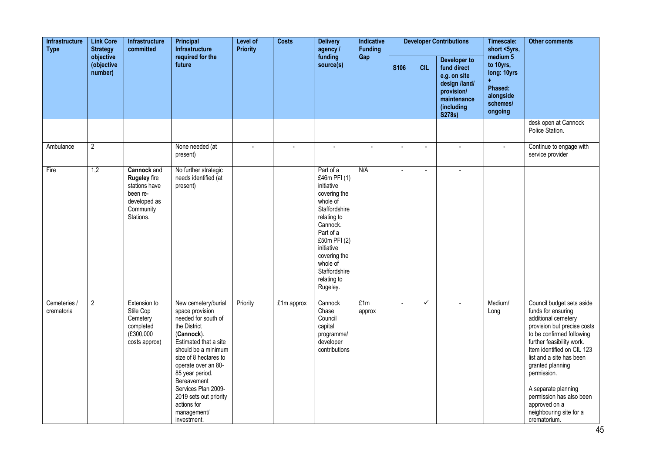| Infrastructure<br><b>Type</b> | <b>Link Core</b><br><b>Strategy</b> | Infrastructure<br>committed                                                                                      | Principal<br><b>Infrastructure</b>                                                                                                                                                                                                                                                                                          | Level of<br><b>Priority</b> | <b>Costs</b>   | <b>Delivery</b><br>agency /                                                                                                                                                                                                        | Indicative<br><b>Funding</b> |                |                      | <b>Developer Contributions</b>                                                                                    | Timescale:<br>short <5yrs,                                                          | <b>Other comments</b>                                                                                                                                                                                                                                                                                                                                                       |
|-------------------------------|-------------------------------------|------------------------------------------------------------------------------------------------------------------|-----------------------------------------------------------------------------------------------------------------------------------------------------------------------------------------------------------------------------------------------------------------------------------------------------------------------------|-----------------------------|----------------|------------------------------------------------------------------------------------------------------------------------------------------------------------------------------------------------------------------------------------|------------------------------|----------------|----------------------|-------------------------------------------------------------------------------------------------------------------|-------------------------------------------------------------------------------------|-----------------------------------------------------------------------------------------------------------------------------------------------------------------------------------------------------------------------------------------------------------------------------------------------------------------------------------------------------------------------------|
|                               | objective<br>(objective<br>number)  |                                                                                                                  | required for the<br>future                                                                                                                                                                                                                                                                                                  |                             |                | funding<br>source(s)                                                                                                                                                                                                               | Gap                          | <b>S106</b>    | <b>CIL</b>           | Developer to<br>fund direct<br>e.g. on site<br>design /land/<br>provision/<br>maintenance<br>(including<br>S278s) | medium 5<br>to 10yrs,<br>long: 10yrs<br>Phased:<br>alongside<br>schemes/<br>ongoing |                                                                                                                                                                                                                                                                                                                                                                             |
|                               |                                     |                                                                                                                  |                                                                                                                                                                                                                                                                                                                             |                             |                |                                                                                                                                                                                                                                    |                              |                |                      |                                                                                                                   |                                                                                     | desk open at Cannock<br>Police Station.                                                                                                                                                                                                                                                                                                                                     |
| Ambulance                     | $\overline{2}$                      |                                                                                                                  | None needed (at<br>present)                                                                                                                                                                                                                                                                                                 | $\mathbf{u}$                | $\blacksquare$ | $\blacksquare$                                                                                                                                                                                                                     | ÷,                           | $\blacksquare$ | $\ddot{\phantom{a}}$ | $\blacksquare$                                                                                                    | $\mathbf{r}$                                                                        | Continue to engage with<br>service provider                                                                                                                                                                                                                                                                                                                                 |
| Fire                          | 1,2                                 | <b>Cannock</b> and<br><b>Rugeley</b> fire<br>stations have<br>been re-<br>developed as<br>Community<br>Stations. | No further strategic<br>needs identified (at<br>present)                                                                                                                                                                                                                                                                    |                             |                | Part of a<br>£46m PFI (1)<br>initiative<br>covering the<br>whole of<br>Staffordshire<br>relating to<br>Cannock.<br>Part of a<br>£50m PFI (2)<br>initiative<br>covering the<br>whole of<br>Staffordshire<br>relating to<br>Rugeley. | N/A                          | $\blacksquare$ |                      |                                                                                                                   |                                                                                     |                                                                                                                                                                                                                                                                                                                                                                             |
| Cemeteries /<br>crematoria    | $\overline{2}$                      | Extension to<br>Stile Cop<br>Cemetery<br>completed<br>(£300,000<br>costs approx)                                 | New cemetery/burial<br>space provision<br>needed for south of<br>the District<br>(Cannock).<br>Estimated that a site<br>should be a minimum<br>size of 8 hectares to<br>operate over an 80-<br>85 year period.<br>Bereavement<br>Services Plan 2009-<br>2019 sets out priority<br>actions for<br>management/<br>investment. | Priority                    | £1m approx     | Cannock<br>Chase<br>Council<br>capital<br>programme/<br>developer<br>contributions                                                                                                                                                 | E1m<br>approx                | $\blacksquare$ | $\checkmark$         |                                                                                                                   | Medium/<br>Long                                                                     | Council budget sets aside<br>funds for ensuring<br>additional cemetery<br>provision but precise costs<br>to be confirmed following<br>further feasibility work.<br>Item identified on CIL 123<br>list and a site has been<br>granted planning<br>permission.<br>A separate planning<br>permission has also been<br>approved on a<br>neighbouring site for a<br>crematorium. |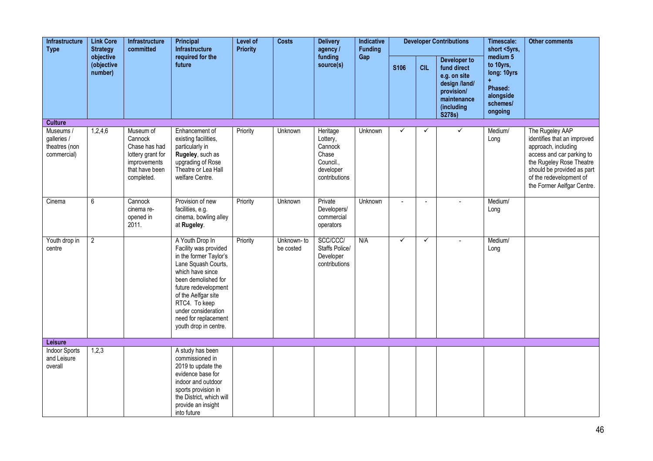| Infrastructure<br><b>Type</b>                            | <b>Link Core</b><br><b>Strategy</b> | Infrastructure<br>committed                                                                                | <b>Principal</b><br>Infrastructure                                                                                                                                                                                                                                           | Level of<br><b>Priority</b> | <b>Costs</b>            | <b>Delivery</b><br>agency /                                                         | Indicative<br><b>Funding</b> |                |                | <b>Developer Contributions</b>                                                                                    | Timescale:<br>short <5yrs,                                                                     | <b>Other comments</b>                                                                                                                                                                                                 |
|----------------------------------------------------------|-------------------------------------|------------------------------------------------------------------------------------------------------------|------------------------------------------------------------------------------------------------------------------------------------------------------------------------------------------------------------------------------------------------------------------------------|-----------------------------|-------------------------|-------------------------------------------------------------------------------------|------------------------------|----------------|----------------|-------------------------------------------------------------------------------------------------------------------|------------------------------------------------------------------------------------------------|-----------------------------------------------------------------------------------------------------------------------------------------------------------------------------------------------------------------------|
|                                                          | objective<br>(objective<br>number)  |                                                                                                            | required for the<br>future                                                                                                                                                                                                                                                   |                             |                         | funding<br>source(s)                                                                | Gap                          | <b>S106</b>    | <b>CIL</b>     | Developer to<br>fund direct<br>e.g. on site<br>design /land/<br>provision/<br>maintenance<br>(including<br>S278s) | medium <sub>5</sub><br>to 10yrs,<br>long: 10yrs<br>Phased:<br>alongside<br>schemes/<br>ongoing |                                                                                                                                                                                                                       |
| <b>Culture</b>                                           |                                     |                                                                                                            |                                                                                                                                                                                                                                                                              |                             |                         |                                                                                     |                              |                |                |                                                                                                                   |                                                                                                |                                                                                                                                                                                                                       |
| Museums /<br>galleries /<br>theatres (non<br>commercial) | 1,2,4,6                             | Museum of<br>Cannock<br>Chase has had<br>lottery grant for<br>improvements<br>that have been<br>completed. | Enhancement of<br>existing facilities,<br>particularly in<br>Rugeley, such as<br>upgrading of Rose<br>Theatre or Lea Hall<br>welfare Centre.                                                                                                                                 | Priority                    | Unknown                 | Heritage<br>Lottery,<br>Cannock<br>Chase<br>Council.,<br>developer<br>contributions | Unknown                      | $\checkmark$   | ✓              | $\checkmark$                                                                                                      | Medium/<br>Long                                                                                | The Rugeley AAP<br>identifies that an improved<br>approach, including<br>access and car parking to<br>the Rugeley Rose Theatre<br>should be provided as part<br>of the redevelopment of<br>the Former Aelfgar Centre. |
| Cinema                                                   | 6                                   | Cannock<br>cinema re-<br>opened in<br>2011.                                                                | Provision of new<br>facilities, e.g.<br>cinema, bowling alley<br>at Rugeley.                                                                                                                                                                                                 | Priority                    | Unknown                 | Private<br>Developers/<br>commercial<br>operators                                   | Unknown                      | $\overline{a}$ | $\overline{a}$ | $\mathbf{r}$                                                                                                      | Medium/<br>Long                                                                                |                                                                                                                                                                                                                       |
| Youth drop in<br>centre                                  | $\overline{2}$                      |                                                                                                            | A Youth Drop In<br>Facility was provided<br>in the former Taylor's<br>Lane Squash Courts,<br>which have since<br>been demolished for<br>future redevelopment<br>of the Aelfgar site<br>RTC4. To keep<br>under consideration<br>need for replacement<br>youth drop in centre. | Priority                    | Unknown-to<br>be costed | SCC/CCC/<br>Staffs Police/<br>Developer<br>contributions                            | N/A                          | $\checkmark$   | $\checkmark$   |                                                                                                                   | Medium/<br>Long                                                                                |                                                                                                                                                                                                                       |
| <b>Leisure</b>                                           |                                     |                                                                                                            |                                                                                                                                                                                                                                                                              |                             |                         |                                                                                     |                              |                |                |                                                                                                                   |                                                                                                |                                                                                                                                                                                                                       |
| <b>Indoor Sports</b><br>and Leisure<br>overall           | 1,2,3                               |                                                                                                            | A study has been<br>commissioned in<br>2019 to update the<br>evidence base for<br>indoor and outdoor<br>sports provision in<br>the District, which will<br>provide an insight<br>into future                                                                                 |                             |                         |                                                                                     |                              |                |                |                                                                                                                   |                                                                                                |                                                                                                                                                                                                                       |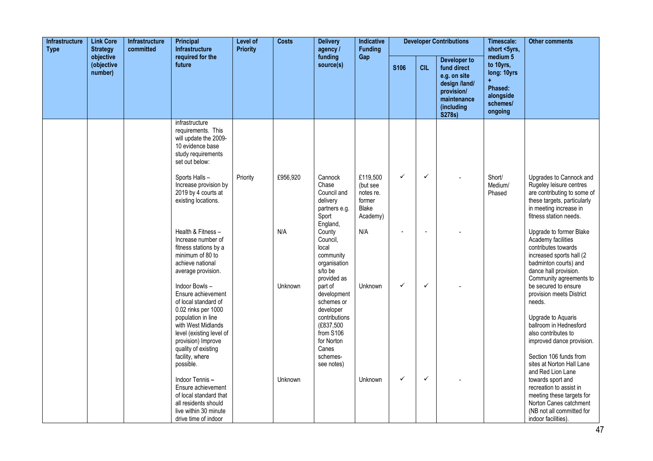| Infrastructure<br><b>Type</b> | <b>Link Core</b><br><b>Strategy</b> | Infrastructure<br>committed | <b>Principal</b><br><b>Infrastructure</b>                                                                                               | Level of<br><b>Priority</b> | <b>Costs</b><br><b>Delivery</b><br>agency /<br>funding<br>source(s) |                                                                                    | Indicative<br><b>Funding</b>                                            |                |              | <b>Developer Contributions</b>                                                                                    | Timescale:<br>short <5yrs,                                                          | <b>Other comments</b>                                                                                                                                                         |
|-------------------------------|-------------------------------------|-----------------------------|-----------------------------------------------------------------------------------------------------------------------------------------|-----------------------------|---------------------------------------------------------------------|------------------------------------------------------------------------------------|-------------------------------------------------------------------------|----------------|--------------|-------------------------------------------------------------------------------------------------------------------|-------------------------------------------------------------------------------------|-------------------------------------------------------------------------------------------------------------------------------------------------------------------------------|
|                               | objective<br>(objective<br>number)  |                             | required for the<br>future                                                                                                              |                             |                                                                     |                                                                                    | Gap                                                                     | <b>S106</b>    | <b>CIL</b>   | Developer to<br>fund direct<br>e.g. on site<br>design /land/<br>provision/<br>maintenance<br>(including<br>S278s) | medium 5<br>to 10yrs,<br>long: 10yrs<br>Phased:<br>alongside<br>schemes/<br>ongoing |                                                                                                                                                                               |
|                               |                                     |                             | infrastructure<br>requirements. This<br>will update the 2009-<br>10 evidence base<br>study requirements<br>set out below:               |                             |                                                                     |                                                                                    |                                                                         |                |              |                                                                                                                   |                                                                                     |                                                                                                                                                                               |
|                               |                                     |                             | Sports Halls-<br>Increase provision by<br>2019 by 4 courts at<br>existing locations.                                                    | Priority                    | £956,920                                                            | Cannock<br>Chase<br>Council and<br>delivery<br>partners e.g.<br>Sport<br>England,  | £119,500<br>(but see<br>notes re.<br>former<br><b>Blake</b><br>Academy) | $\checkmark$   | $\checkmark$ |                                                                                                                   | Short/<br>Medium/<br>Phased                                                         | Upgrades to Cannock and<br>Rugeley leisure centres<br>are contributing to some of<br>these targets, particularly<br>in meeting increase in<br>fitness station needs.          |
|                               |                                     |                             | Health & Fitness-<br>Increase number of<br>fitness stations by a<br>minimum of 80 to<br>achieve national<br>average provision.          |                             | N/A                                                                 | County<br>Council,<br>local<br>community<br>organisation<br>s/to be<br>provided as | N/A                                                                     | $\blacksquare$ | $\sim$       |                                                                                                                   |                                                                                     | Upgrade to former Blake<br>Academy facilities<br>contributes towards<br>increased sports hall (2<br>badminton courts) and<br>dance hall provision.<br>Community agreements to |
|                               |                                     |                             | Indoor Bowls-<br>Ensure achievement<br>of local standard of<br>0.02 rinks per 1000                                                      |                             | Unknown                                                             | part of<br>development<br>schemes or<br>developer                                  | Unknown                                                                 | $\checkmark$   | $\checkmark$ |                                                                                                                   |                                                                                     | be secured to ensure<br>provision meets District<br>needs.                                                                                                                    |
|                               |                                     |                             | population in line<br>with West Midlands<br>level (existing level of<br>provision) Improve<br>quality of existing                       |                             |                                                                     | contributions<br>(£837,500<br>from S106<br>for Norton<br>Canes                     |                                                                         |                |              |                                                                                                                   |                                                                                     | Upgrade to Aquaris<br>ballroom in Hednesford<br>also contributes to<br>improved dance provision.                                                                              |
|                               |                                     |                             | facility, where<br>possible.                                                                                                            |                             |                                                                     | schemes-<br>see notes)                                                             |                                                                         |                |              |                                                                                                                   |                                                                                     | Section 106 funds from<br>sites at Norton Hall Lane<br>and Red Lion Lane                                                                                                      |
|                               |                                     |                             | Indoor Tennis-<br>Ensure achievement<br>of local standard that<br>all residents should<br>live within 30 minute<br>drive time of indoor |                             | Unknown                                                             |                                                                                    | Unknown                                                                 | $\checkmark$   | $\checkmark$ |                                                                                                                   |                                                                                     | towards sport and<br>recreation to assist in<br>meeting these targets for<br>Norton Canes catchment<br>(NB not all committed for<br>indoor facilities).                       |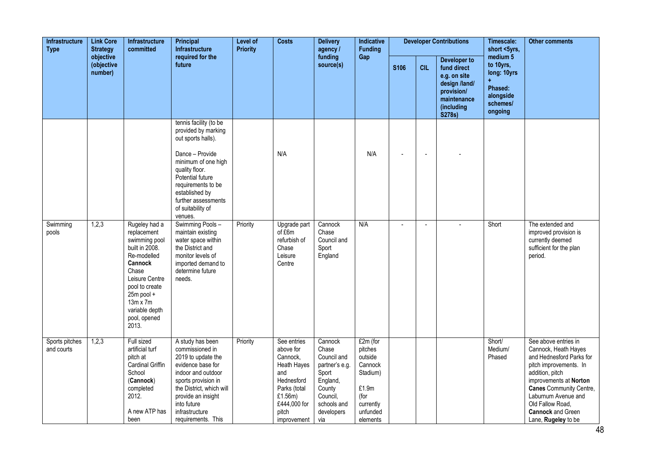| <b>Link Core</b><br><b>Infrastructure</b><br><b>Type</b><br><b>Strategy</b><br>objective | <b>Infrastructure</b><br>committed | Level of<br>Principal<br>Infrastructure<br><b>Priority</b><br>required for the                                                                                                                                     |                                                                                                                                                                                                                                         | <b>Costs</b> | <b>Delivery</b><br>agency /                                                                                                                        | Indicative<br><b>Funding</b>                                                                                                     |                                                                                                             |             | <b>Developer Contributions</b> | Timescale:<br>short <5yrs,                                                                                               | <b>Other comments</b>                                                               |                                                                                                                                                                                                                                                                                 |
|------------------------------------------------------------------------------------------|------------------------------------|--------------------------------------------------------------------------------------------------------------------------------------------------------------------------------------------------------------------|-----------------------------------------------------------------------------------------------------------------------------------------------------------------------------------------------------------------------------------------|--------------|----------------------------------------------------------------------------------------------------------------------------------------------------|----------------------------------------------------------------------------------------------------------------------------------|-------------------------------------------------------------------------------------------------------------|-------------|--------------------------------|--------------------------------------------------------------------------------------------------------------------------|-------------------------------------------------------------------------------------|---------------------------------------------------------------------------------------------------------------------------------------------------------------------------------------------------------------------------------------------------------------------------------|
|                                                                                          | (objective<br>number)              |                                                                                                                                                                                                                    | future                                                                                                                                                                                                                                  |              |                                                                                                                                                    | funding<br>source(s)                                                                                                             | Gap                                                                                                         | <b>S106</b> | <b>CIL</b>                     | <b>Developer to</b><br>fund direct<br>e.g. on site<br>design /land/<br>provision/<br>maintenance<br>(including<br>S278s) | medium 5<br>to 10yrs,<br>long: 10yrs<br>Phased:<br>alongside<br>schemes/<br>ongoing |                                                                                                                                                                                                                                                                                 |
|                                                                                          |                                    |                                                                                                                                                                                                                    | tennis facility (to be<br>provided by marking<br>out sports halls).<br>Dance - Provide<br>minimum of one high<br>quality floor.<br>Potential future<br>requirements to be<br>established by<br>further assessments<br>of suitability of |              | N/A                                                                                                                                                |                                                                                                                                  | N/A                                                                                                         | $\sim$      | $\blacksquare$                 |                                                                                                                          |                                                                                     |                                                                                                                                                                                                                                                                                 |
| Swimming<br>pools                                                                        | 1,2,3                              | Rugeley had a<br>replacement<br>swimming pool<br>built in 2008.<br>Re-modelled<br>Cannock<br>Chase<br>Leisure Centre<br>pool to create<br>25m pool +<br>$13m \times 7m$<br>variable depth<br>pool, opened<br>2013. | venues.<br>Swimming Pools-<br>maintain existing<br>water space within<br>the District and<br>monitor levels of<br>imported demand to<br>determine future<br>needs.                                                                      | Priority     | Upgrade part<br>of £6m<br>refurbish of<br>Chase<br>Leisure<br>Centre                                                                               | Cannock<br>Chase<br>Council and<br>Sport<br>England                                                                              | N/A                                                                                                         |             |                                |                                                                                                                          | Short                                                                               | The extended and<br>improved provision is<br>currently deemed<br>sufficient for the plan<br>period.                                                                                                                                                                             |
| Sports pitches<br>and courts                                                             | 1,2,3                              | Full sized<br>artificial turf<br>pitch at<br>Cardinal Griffin<br>School<br>(Cannock)<br>completed<br>2012.<br>A new ATP has<br>been                                                                                | A study has been<br>commissioned in<br>2019 to update the<br>evidence base for<br>indoor and outdoor<br>sports provision in<br>the District, which will<br>provide an insight<br>into future<br>infrastructure<br>requirements. This    | Priority     | See entries<br>above for<br>Cannock,<br><b>Heath Hayes</b><br>and<br>Hednesford<br>Parks (total<br>£1.56m)<br>£444,000 for<br>pitch<br>improvement | Cannock<br>Chase<br>Council and<br>partner's e.g.<br>Sport<br>England,<br>County<br>Council,<br>schools and<br>developers<br>via | £2m (for<br>pitches<br>outside<br>Cannock<br>Stadium)<br>£1.9m<br>(for<br>currently<br>unfunded<br>elements |             |                                |                                                                                                                          | Short/<br>Medium/<br>Phased                                                         | See above entries in<br>Cannock, Heath Hayes<br>and Hednesford Parks for<br>pitch improvements. In<br>addition, pitch<br>improvements at Norton<br><b>Canes</b> Community Centre,<br>Laburnum Avenue and<br>Old Fallow Road.<br><b>Cannock and Green</b><br>Lane, Rugeley to be |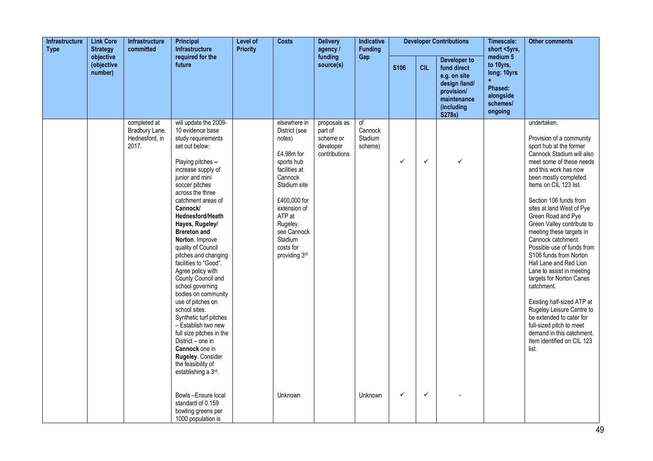| Infrastructure<br><b>Type</b> | <b>Link Core</b><br><b>Strategy</b> | <b>Infrastructure</b><br>committed                        | Principal<br><b>Infrastructure</b>                                                                                                                                                                                                                                                                                                                                                                                                                                                                                                                                                                                                                                                                | Level of<br><b>Priority</b> | <b>Costs</b>                                                                                                                                                                                                                  | <b>Delivery</b><br>agency /                                        | <b>Indicative</b><br><b>Funding</b> |              |              | <b>Developer Contributions</b>                                                                                    | Timescale:<br>short <5yrs,                                                                     | <b>Other comments</b>                                                                                                                                                                                                                                                                                                                                                                                                                                                                                                                                                                                                                                                                                                 |
|-------------------------------|-------------------------------------|-----------------------------------------------------------|---------------------------------------------------------------------------------------------------------------------------------------------------------------------------------------------------------------------------------------------------------------------------------------------------------------------------------------------------------------------------------------------------------------------------------------------------------------------------------------------------------------------------------------------------------------------------------------------------------------------------------------------------------------------------------------------------|-----------------------------|-------------------------------------------------------------------------------------------------------------------------------------------------------------------------------------------------------------------------------|--------------------------------------------------------------------|-------------------------------------|--------------|--------------|-------------------------------------------------------------------------------------------------------------------|------------------------------------------------------------------------------------------------|-----------------------------------------------------------------------------------------------------------------------------------------------------------------------------------------------------------------------------------------------------------------------------------------------------------------------------------------------------------------------------------------------------------------------------------------------------------------------------------------------------------------------------------------------------------------------------------------------------------------------------------------------------------------------------------------------------------------------|
|                               | objective<br>(objective<br>number)  |                                                           | required for the<br>future                                                                                                                                                                                                                                                                                                                                                                                                                                                                                                                                                                                                                                                                        |                             |                                                                                                                                                                                                                               | funding<br>source(s)                                               | Gap                                 | S106         | <b>CIL</b>   | Developer to<br>fund direct<br>e.g. on site<br>design /land/<br>provision/<br>maintenance<br>(including<br>S278s) | medium <sub>5</sub><br>to 10yrs,<br>long: 10yrs<br>Phased:<br>alongside<br>schemes/<br>ongoing |                                                                                                                                                                                                                                                                                                                                                                                                                                                                                                                                                                                                                                                                                                                       |
|                               |                                     | completed at<br>Bradbury Lane,<br>Hednesford, in<br>2017. | will update the 2009-<br>10 evidence base<br>study requirements<br>set out below:<br>Playing pitches -<br>increase supply of<br>junior and mini<br>soccer pitches<br>across the three<br>catchment areas of<br>Cannock/<br>Hednesford/Heath<br>Hayes, Rugeley/<br><b>Brereton and</b><br>Norton. Improve<br>quality of Council<br>pitches and changing<br>facilities to "Good".<br>Agree policy with<br>County Council and<br>school governing<br>bodies on community<br>use of pitches on<br>school sites.<br>Synthetic turf pitches<br>- Establish two new<br>full size pitches in the<br>District - one in<br>Cannock one in<br>Rugeley. Consider<br>the feasibility of<br>establishing a 3rd. |                             | elsewhere in<br>District (see<br>notes)<br>£4.98m for<br>sports hub<br>facilities at<br>Cannock<br>Stadium site<br>£400,000 for<br>extension of<br>ATP at<br>Rugeley.<br>see Cannock<br>Stadium<br>costs for<br>providing 3rd | proposals as<br>part of<br>scheme or<br>developer<br>contributions | of<br>Cannock<br>Stadium<br>scheme) | $\checkmark$ | $\checkmark$ | ✓                                                                                                                 |                                                                                                | undertaken.<br>Provision of a community<br>sport hub at the former<br>Cannock Stadium will also<br>meet some of these needs<br>and this work has now<br>been mostly completed.<br>Items on CIL 123 list.<br>Section 106 funds from<br>sites at land West of Pye<br>Green Road and Pye<br>Green Valley contribute to<br>meeting these targets in<br>Cannock catchment.<br>Possible use of funds from<br>S106 funds from Norton<br>Hall Lane and Red Lion<br>Lane to assist in meeting<br>targets for Norton Canes<br>catchment.<br>Existing half-sized ATP at<br>Rugeley Leisure Centre to<br>be extended to cater for<br>full-sized pitch to meet<br>demand in this catchment.<br>Item identified on CIL 123<br>list. |
|                               |                                     |                                                           | Bowls-Ensure local<br>standard of 0.159<br>bowling greens per<br>1000 population is                                                                                                                                                                                                                                                                                                                                                                                                                                                                                                                                                                                                               |                             | Unknown                                                                                                                                                                                                                       |                                                                    | Unknown                             | $\checkmark$ | $\checkmark$ |                                                                                                                   |                                                                                                |                                                                                                                                                                                                                                                                                                                                                                                                                                                                                                                                                                                                                                                                                                                       |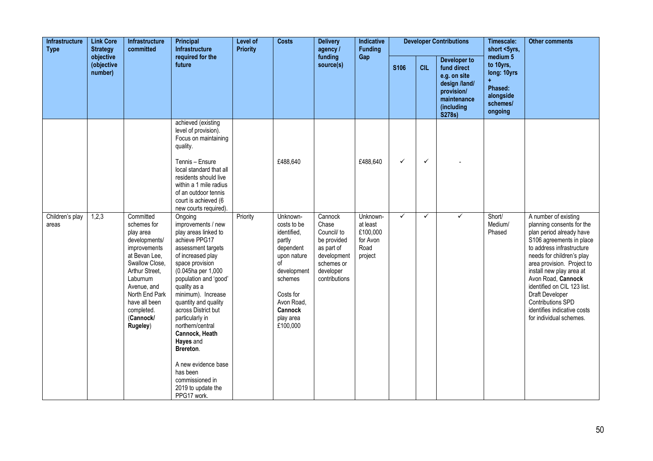| Infrastructure<br><b>Link Core</b><br><b>Type</b><br><b>Strategy</b><br>objective |                       | Infrastructure<br>committed                                                                                                                                                                                                      | <b>Principal</b><br>Infrastructure                                                                                                                                                                                                                                                                                                                                                                                                                     | Level of<br><b>Priority</b> | <b>Costs</b>                                                                                                                                                                       | <b>Delivery</b><br>agency /<br>funding                                                                                  | Indicative<br><b>Funding</b>                                    |              |              | <b>Developer Contributions</b>                                                                                    | Timescale:<br>short <5yrs,                                                          | <b>Other comments</b>                                                                                                                                                                                                                                                                                                                                                                |
|-----------------------------------------------------------------------------------|-----------------------|----------------------------------------------------------------------------------------------------------------------------------------------------------------------------------------------------------------------------------|--------------------------------------------------------------------------------------------------------------------------------------------------------------------------------------------------------------------------------------------------------------------------------------------------------------------------------------------------------------------------------------------------------------------------------------------------------|-----------------------------|------------------------------------------------------------------------------------------------------------------------------------------------------------------------------------|-------------------------------------------------------------------------------------------------------------------------|-----------------------------------------------------------------|--------------|--------------|-------------------------------------------------------------------------------------------------------------------|-------------------------------------------------------------------------------------|--------------------------------------------------------------------------------------------------------------------------------------------------------------------------------------------------------------------------------------------------------------------------------------------------------------------------------------------------------------------------------------|
|                                                                                   | (objective<br>number) |                                                                                                                                                                                                                                  | required for the<br>future                                                                                                                                                                                                                                                                                                                                                                                                                             |                             |                                                                                                                                                                                    | source(s)                                                                                                               | Gap                                                             | <b>S106</b>  | <b>CIL</b>   | Developer to<br>fund direct<br>e.g. on site<br>design /land/<br>provision/<br>maintenance<br>(including<br>S278s) | medium 5<br>to 10yrs,<br>long: 10yrs<br>Phased:<br>alongside<br>schemes/<br>ongoing |                                                                                                                                                                                                                                                                                                                                                                                      |
|                                                                                   |                       |                                                                                                                                                                                                                                  | achieved (existing<br>level of provision).<br>Focus on maintaining<br>quality.<br>Tennis - Ensure<br>local standard that all<br>residents should live<br>within a 1 mile radius<br>of an outdoor tennis<br>court is achieved (6<br>new courts required).                                                                                                                                                                                               |                             | £488,640                                                                                                                                                                           |                                                                                                                         | £488,640                                                        | $\checkmark$ | $\checkmark$ |                                                                                                                   |                                                                                     |                                                                                                                                                                                                                                                                                                                                                                                      |
| Children's play<br>areas                                                          | 1,2,3                 | Committed<br>schemes for<br>play area<br>developments/<br>improvements<br>at Bevan Lee,<br>Swallow Close,<br>Arthur Street,<br>Laburnum<br>Avenue, and<br>North End Park<br>have all been<br>completed.<br>(Cannock/<br>Rugeley) | Ongoing<br>improvements / new<br>play areas linked to<br>achieve PPG17<br>assessment targets<br>of increased play<br>space provision<br>(0.045ha per 1,000<br>population and 'good'<br>quality as a<br>minimum). Increase<br>quantity and quality<br>across District but<br>particularly in<br>northern/central<br>Cannock, Heath<br>Hayes and<br>Brereton.<br>A new evidence base<br>has been<br>commissioned in<br>2019 to update the<br>PPG17 work. | Priority                    | Unknown-<br>costs to be<br>identified,<br>partly<br>dependent<br>upon nature<br>οf<br>development<br>schemes<br>Costs for<br>Avon Road,<br><b>Cannock</b><br>play area<br>£100,000 | Cannock<br>Chase<br>Council/ to<br>be provided<br>as part of<br>development<br>schemes or<br>developer<br>contributions | Unknown-<br>at least<br>£100,000<br>for Avon<br>Road<br>project | $\checkmark$ | $\checkmark$ | $\checkmark$                                                                                                      | Short/<br>Medium/<br>Phased                                                         | A number of existing<br>planning consents for the<br>plan period already have<br>S106 agreements in place<br>to address infrastructure<br>needs for children's play<br>area provision. Project to<br>install new play area at<br>Avon Road, Cannock<br>identified on CIL 123 list.<br>Draft Developer<br>Contributions SPD<br>identifies indicative costs<br>for individual schemes. |